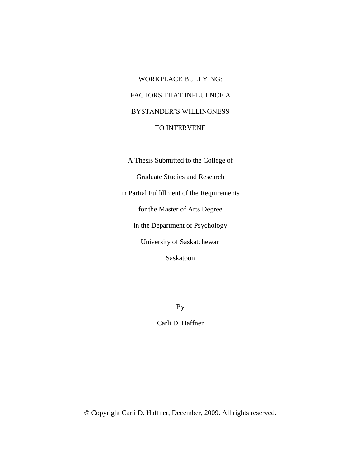# WORKPLACE BULLYING: FACTORS THAT INFLUENCE A BYSTANDER'S WILLINGNESS TO INTERVENE

A Thesis Submitted to the College of Graduate Studies and Research in Partial Fulfillment of the Requirements for the Master of Arts Degree in the Department of Psychology University of Saskatchewan Saskatoon

By

Carli D. Haffner

© Copyright Carli D. Haffner, December, 2009. All rights reserved.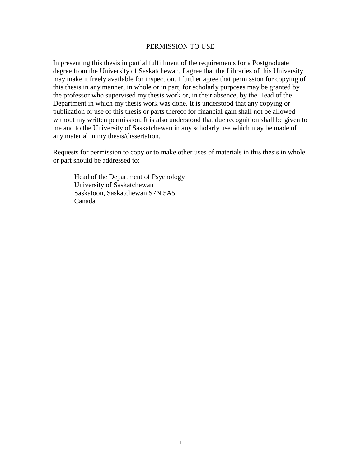# PERMISSION TO USE

In presenting this thesis in partial fulfillment of the requirements for a Postgraduate degree from the University of Saskatchewan, I agree that the Libraries of this University may make it freely available for inspection. I further agree that permission for copying of this thesis in any manner, in whole or in part, for scholarly purposes may be granted by the professor who supervised my thesis work or, in their absence, by the Head of the Department in which my thesis work was done. It is understood that any copying or publication or use of this thesis or parts thereof for financial gain shall not be allowed without my written permission. It is also understood that due recognition shall be given to me and to the University of Saskatchewan in any scholarly use which may be made of any material in my thesis/dissertation.

Requests for permission to copy or to make other uses of materials in this thesis in whole or part should be addressed to:

Head of the Department of Psychology University of Saskatchewan Saskatoon, Saskatchewan S7N 5A5 Canada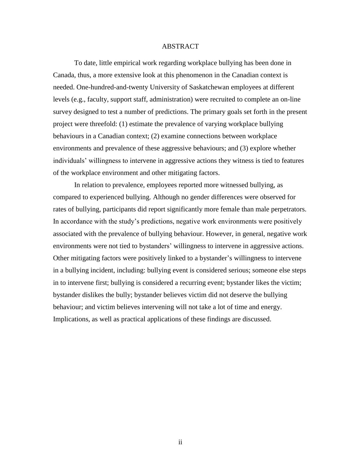# ABSTRACT

To date, little empirical work regarding workplace bullying has been done in Canada, thus, a more extensive look at this phenomenon in the Canadian context is needed. One-hundred-and-twenty University of Saskatchewan employees at different levels (e.g., faculty, support staff, administration) were recruited to complete an on-line survey designed to test a number of predictions. The primary goals set forth in the present project were threefold: (1) estimate the prevalence of varying workplace bullying behaviours in a Canadian context; (2) examine connections between workplace environments and prevalence of these aggressive behaviours; and (3) explore whether individuals' willingness to intervene in aggressive actions they witness is tied to features of the workplace environment and other mitigating factors.

In relation to prevalence, employees reported more witnessed bullying, as compared to experienced bullying. Although no gender differences were observed for rates of bullying, participants did report significantly more female than male perpetrators. In accordance with the study's predictions, negative work environments were positively associated with the prevalence of bullying behaviour. However, in general, negative work environments were not tied to bystanders' willingness to intervene in aggressive actions. Other mitigating factors were positively linked to a bystander's willingness to intervene in a bullying incident, including: bullying event is considered serious; someone else steps in to intervene first; bullying is considered a recurring event; bystander likes the victim; bystander dislikes the bully; bystander believes victim did not deserve the bullying behaviour; and victim believes intervening will not take a lot of time and energy. Implications, as well as practical applications of these findings are discussed.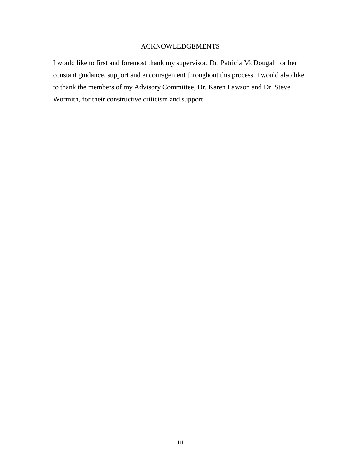# ACKNOWLEDGEMENTS

I would like to first and foremost thank my supervisor, Dr. Patricia McDougall for her constant guidance, support and encouragement throughout this process. I would also like to thank the members of my Advisory Committee, Dr. Karen Lawson and Dr. Steve Wormith, for their constructive criticism and support.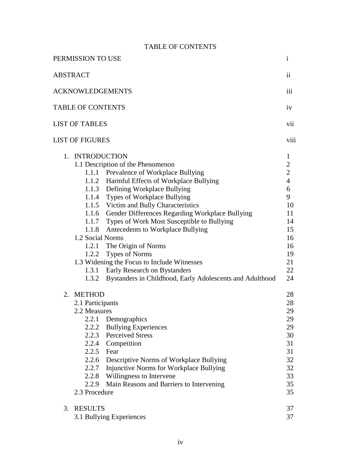|  | <b>TABLE OF CONTENTS</b> |
|--|--------------------------|
|--|--------------------------|

| PERMISSION TO USE                                                                                                                                                                                                                                                                                                                                                                                                                                                                                                                                                                                                                                                        | $\mathbf{i}$                                                                                                                             |
|--------------------------------------------------------------------------------------------------------------------------------------------------------------------------------------------------------------------------------------------------------------------------------------------------------------------------------------------------------------------------------------------------------------------------------------------------------------------------------------------------------------------------------------------------------------------------------------------------------------------------------------------------------------------------|------------------------------------------------------------------------------------------------------------------------------------------|
| <b>ABSTRACT</b>                                                                                                                                                                                                                                                                                                                                                                                                                                                                                                                                                                                                                                                          | ii                                                                                                                                       |
| <b>ACKNOWLEDGEMENTS</b>                                                                                                                                                                                                                                                                                                                                                                                                                                                                                                                                                                                                                                                  | iii                                                                                                                                      |
| <b>TABLE OF CONTENTS</b>                                                                                                                                                                                                                                                                                                                                                                                                                                                                                                                                                                                                                                                 | iv                                                                                                                                       |
| <b>LIST OF TABLES</b>                                                                                                                                                                                                                                                                                                                                                                                                                                                                                                                                                                                                                                                    | vii                                                                                                                                      |
| <b>LIST OF FIGURES</b>                                                                                                                                                                                                                                                                                                                                                                                                                                                                                                                                                                                                                                                   | viii                                                                                                                                     |
| 1. INTRODUCTION<br>1.1 Description of the Phenomenon<br>1.1.1 Prevalence of Workplace Bullying<br>Harmful Effects of Workplace Bullying<br>1.1.2<br>Defining Workplace Bullying<br>1.1.3<br>1.1.4 Types of Workplace Bullying<br>1.1.5 Victim and Bully Characteristics<br>1.1.6 Gender Differences Regarding Workplace Bullying<br>1.1.7 Types of Work Most Susceptible to Bullying<br>Antecedents to Workplace Bullying<br>1.1.8<br>1.2 Social Norms<br>1.2.1 The Origin of Norms<br>1.2.2 Types of Norms<br>1.3 Widening the Focus to Include Witnesses<br>Early Research on Bystanders<br>1.3.1<br>Bystanders in Childhood, Early Adolescents and Adulthood<br>1.3.2 | $\mathbf{1}$<br>$\overline{2}$<br>$\overline{2}$<br>$\overline{4}$<br>6<br>9<br>10<br>11<br>14<br>15<br>16<br>16<br>19<br>21<br>22<br>24 |
| <b>METHOD</b><br>2.<br>2.1 Participants<br>2.2 Measures<br>2.2.1<br>Demographics<br>2.2.2<br><b>Bullying Experiences</b><br>2.2.3<br><b>Perceived Stress</b><br>2.2.4<br>Competition<br>2.2.5<br>Fear<br>2.2.6<br>Descriptive Norms of Workplace Bullying<br>Injunctive Norms for Workplace Bullying<br>2.2.7<br>2.2.8<br>Willingness to Intervene<br>Main Reasons and Barriers to Intervening<br>2.2.9<br>2.3 Procedure                                                                                                                                                                                                                                                 | 28<br>28<br>29<br>29<br>29<br>30<br>31<br>31<br>32<br>32<br>33<br>35<br>35                                                               |
| <b>RESULTS</b><br>3.<br>3.1 Bullying Experiences                                                                                                                                                                                                                                                                                                                                                                                                                                                                                                                                                                                                                         | 37<br>37                                                                                                                                 |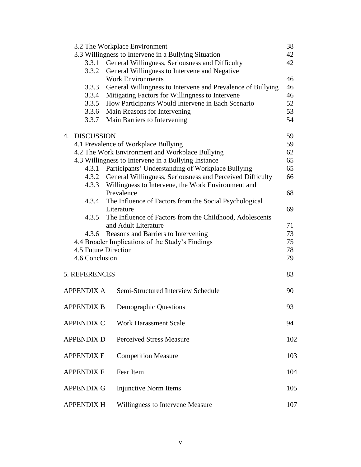| 3.2 The Workplace Environment |                      | 38                                                                                                                          |     |
|-------------------------------|----------------------|-----------------------------------------------------------------------------------------------------------------------------|-----|
|                               |                      | 3.3 Willingness to Intervene in a Bullying Situation                                                                        | 42  |
|                               | 3.3.1                | General Willingness, Seriousness and Difficulty                                                                             | 42  |
|                               | 3.3.2                | General Willingness to Intervene and Negative                                                                               |     |
|                               |                      | <b>Work Environments</b>                                                                                                    | 46  |
|                               | 3.3.3                | General Willingness to Intervene and Prevalence of Bullying                                                                 | 46  |
|                               | 3.3.4                | Mitigating Factors for Willingness to Intervene                                                                             | 46  |
|                               | 3.3.5                | How Participants Would Intervene in Each Scenario                                                                           | 52  |
|                               | 3.3.6                | Main Reasons for Intervening                                                                                                | 53  |
|                               | 3.3.7                | Main Barriers to Intervening                                                                                                | 54  |
|                               | 4. DISCUSSION        |                                                                                                                             | 59  |
|                               |                      | 4.1 Prevalence of Workplace Bullying                                                                                        | 59  |
|                               |                      | 4.2 The Work Environment and Workplace Bullying                                                                             | 62  |
|                               |                      | 4.3 Willingness to Intervene in a Bullying Instance                                                                         | 65  |
|                               | 4.3.1                | Participants' Understanding of Workplace Bullying                                                                           | 65  |
|                               |                      | 4.3.2 General Willingness, Seriousness and Perceived Difficulty<br>4.3.3 Willingness to Intervene, the Work Environment and | 66  |
|                               |                      | Prevalence                                                                                                                  | 68  |
|                               |                      | 4.3.4 The Influence of Factors from the Social Psychological                                                                |     |
|                               |                      | Literature                                                                                                                  | 69  |
|                               | 4.3.5                | The Influence of Factors from the Childhood, Adolescents                                                                    |     |
|                               |                      | and Adult Literature                                                                                                        | 71  |
|                               | 4.3.6                | Reasons and Barriers to Intervening                                                                                         | 73  |
|                               |                      | 4.4 Broader Implications of the Study's Findings                                                                            | 75  |
|                               | 4.5 Future Direction |                                                                                                                             | 78  |
|                               | 4.6 Conclusion       |                                                                                                                             |     |
|                               |                      |                                                                                                                             | 79  |
|                               | 5. REFERENCES        |                                                                                                                             | 83  |
|                               | <b>APPENDIX A</b>    | Semi-Structured Interview Schedule                                                                                          | 90  |
|                               | <b>APPENDIX B</b>    | <b>Demographic Questions</b>                                                                                                | 93  |
|                               | <b>APPENDIX C</b>    | <b>Work Harassment Scale</b>                                                                                                | 94  |
|                               | <b>APPENDIX D</b>    | <b>Perceived Stress Measure</b>                                                                                             | 102 |
|                               | <b>APPENDIX E</b>    | <b>Competition Measure</b>                                                                                                  | 103 |
|                               |                      |                                                                                                                             |     |
|                               | <b>APPENDIX F</b>    | Fear Item                                                                                                                   | 104 |
|                               | <b>APPENDIX G</b>    | <b>Injunctive Norm Items</b>                                                                                                | 105 |
|                               | <b>APPENDIX H</b>    | Willingness to Intervene Measure                                                                                            | 107 |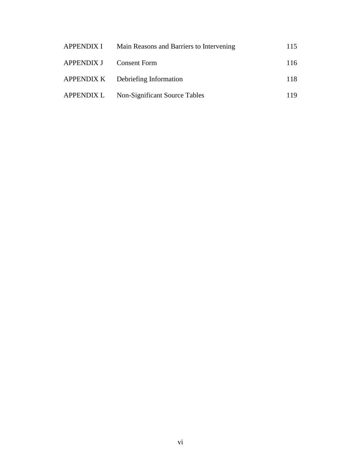| <b>APPENDIX I</b>       | Main Reasons and Barriers to Intervening | 115 |
|-------------------------|------------------------------------------|-----|
| APPENDIX J Consent Form |                                          | 116 |
|                         | APPENDIX K Debriefing Information        | 118 |
| APPENDIX L              | Non-Significant Source Tables            | 119 |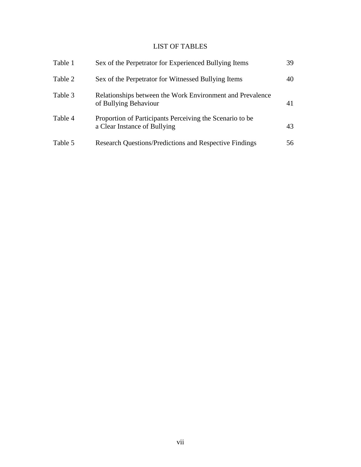# LIST OF TABLES

| Table 1 | Sex of the Perpetrator for Experienced Bullying Items                                    | 39 |
|---------|------------------------------------------------------------------------------------------|----|
| Table 2 | Sex of the Perpetrator for Witnessed Bullying Items                                      | 40 |
| Table 3 | Relationships between the Work Environment and Prevalence<br>of Bullying Behaviour       | 41 |
| Table 4 | Proportion of Participants Perceiving the Scenario to be<br>a Clear Instance of Bullying | 43 |
| Table 5 | <b>Research Questions/Predictions and Respective Findings</b>                            | 56 |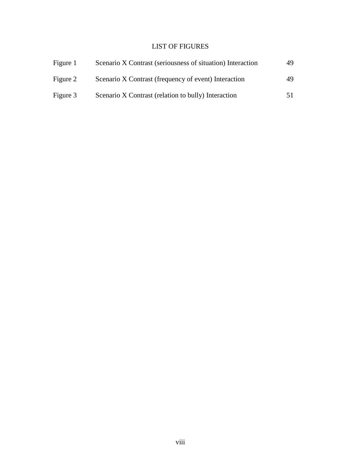# LIST OF FIGURES

| Figure 1 | Scenario X Contrast (seriousness of situation) Interaction | 49  |
|----------|------------------------------------------------------------|-----|
| Figure 2 | Scenario X Contrast (frequency of event) Interaction       | 49  |
| Figure 3 | Scenario X Contrast (relation to bully) Interaction        | 51. |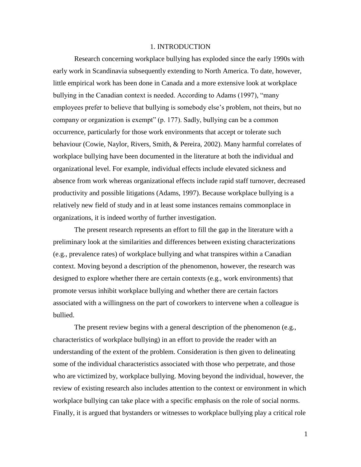#### 1. INTRODUCTION

Research concerning workplace bullying has exploded since the early 1990s with early work in Scandinavia subsequently extending to North America. To date, however, little empirical work has been done in Canada and a more extensive look at workplace bullying in the Canadian context is needed. According to Adams (1997), "many employees prefer to believe that bullying is somebody else's problem, not theirs, but no company or organization is exempt" (p. 177). Sadly, bullying can be a common occurrence, particularly for those work environments that accept or tolerate such behaviour (Cowie, Naylor, Rivers, Smith, & Pereira, 2002). Many harmful correlates of workplace bullying have been documented in the literature at both the individual and organizational level. For example, individual effects include elevated sickness and absence from work whereas organizational effects include rapid staff turnover, decreased productivity and possible litigations (Adams, 1997). Because workplace bullying is a relatively new field of study and in at least some instances remains commonplace in organizations, it is indeed worthy of further investigation.

The present research represents an effort to fill the gap in the literature with a preliminary look at the similarities and differences between existing characterizations (e.g., prevalence rates) of workplace bullying and what transpires within a Canadian context. Moving beyond a description of the phenomenon, however, the research was designed to explore whether there are certain contexts (e.g., work environments) that promote versus inhibit workplace bullying and whether there are certain factors associated with a willingness on the part of coworkers to intervene when a colleague is bullied.

The present review begins with a general description of the phenomenon (e.g., characteristics of workplace bullying) in an effort to provide the reader with an understanding of the extent of the problem. Consideration is then given to delineating some of the individual characteristics associated with those who perpetrate, and those who are victimized by, workplace bullying. Moving beyond the individual, however, the review of existing research also includes attention to the context or environment in which workplace bullying can take place with a specific emphasis on the role of social norms. Finally, it is argued that bystanders or witnesses to workplace bullying play a critical role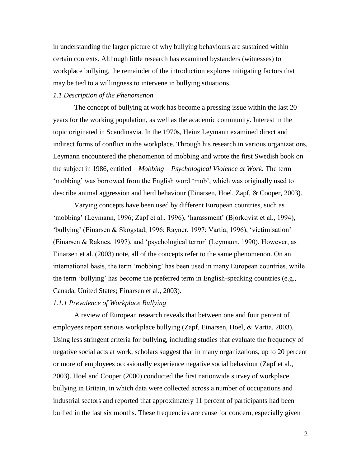in understanding the larger picture of why bullying behaviours are sustained within certain contexts. Although little research has examined bystanders (witnesses) to workplace bullying, the remainder of the introduction explores mitigating factors that may be tied to a willingness to intervene in bullying situations.

# *1.1 Description of the Phenomenon*

The concept of bullying at work has become a pressing issue within the last 20 years for the working population, as well as the academic community. Interest in the topic originated in Scandinavia. In the 1970s, Heinz Leymann examined direct and indirect forms of conflict in the workplace. Through his research in various organizations, Leymann encountered the phenomenon of mobbing and wrote the first Swedish book on the subject in 1986, entitled – *Mobbing – Psychological Violence at Work.* The term "mobbing" was borrowed from the English word "mob", which was originally used to describe animal aggression and herd behaviour (Einarsen, Hoel, Zapf, & Cooper, 2003).

Varying concepts have been used by different European countries, such as "mobbing" (Leymann, 1996; Zapf et al., 1996), "harassment" (Bjorkqvist et al., 1994), "bullying" (Einarsen & Skogstad, 1996; Rayner, 1997; Vartia, 1996), "victimisation" (Einarsen & Raknes, 1997), and "psychological terror" (Leymann, 1990). However, as Einarsen et al. (2003) note, all of the concepts refer to the same phenomenon. On an international basis, the term "mobbing" has been used in many European countries, while the term "bullying" has become the preferred term in English-speaking countries (e.g., Canada, United States; Einarsen et al., 2003).

## *1.1.1 Prevalence of Workplace Bullying*

A review of European research reveals that between one and four percent of employees report serious workplace bullying (Zapf, Einarsen, Hoel, & Vartia, 2003). Using less stringent criteria for bullying, including studies that evaluate the frequency of negative social acts at work, scholars suggest that in many organizations, up to 20 percent or more of employees occasionally experience negative social behaviour (Zapf et al., 2003). Hoel and Cooper (2000) conducted the first nationwide survey of workplace bullying in Britain, in which data were collected across a number of occupations and industrial sectors and reported that approximately 11 percent of participants had been bullied in the last six months. These frequencies are cause for concern, especially given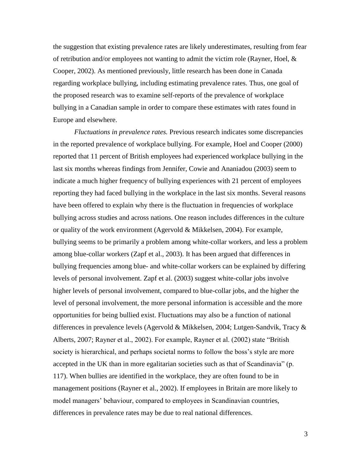the suggestion that existing prevalence rates are likely underestimates, resulting from fear of retribution and/or employees not wanting to admit the victim role (Rayner, Hoel,  $\&$ Cooper, 2002). As mentioned previously, little research has been done in Canada regarding workplace bullying, including estimating prevalence rates. Thus, one goal of the proposed research was to examine self-reports of the prevalence of workplace bullying in a Canadian sample in order to compare these estimates with rates found in Europe and elsewhere.

*Fluctuations in prevalence rates.* Previous research indicates some discrepancies in the reported prevalence of workplace bullying. For example, Hoel and Cooper (2000) reported that 11 percent of British employees had experienced workplace bullying in the last six months whereas findings from Jennifer, Cowie and Ananiadou (2003) seem to indicate a much higher frequency of bullying experiences with 21 percent of employees reporting they had faced bullying in the workplace in the last six months. Several reasons have been offered to explain why there is the fluctuation in frequencies of workplace bullying across studies and across nations. One reason includes differences in the culture or quality of the work environment (Agervold & Mikkelsen, 2004). For example, bullying seems to be primarily a problem among white-collar workers, and less a problem among blue-collar workers (Zapf et al., 2003). It has been argued that differences in bullying frequencies among blue- and white-collar workers can be explained by differing levels of personal involvement. Zapf et al. (2003) suggest white-collar jobs involve higher levels of personal involvement, compared to blue-collar jobs, and the higher the level of personal involvement, the more personal information is accessible and the more opportunities for being bullied exist. Fluctuations may also be a function of national differences in prevalence levels (Agervold & Mikkelsen, 2004; Lutgen-Sandvik, Tracy & Alberts, 2007; Rayner et al., 2002). For example, Rayner et al. (2002) state "British society is hierarchical, and perhaps societal norms to follow the boss"s style are more accepted in the UK than in more egalitarian societies such as that of Scandinavia" (p. 117). When bullies are identified in the workplace, they are often found to be in management positions (Rayner et al., 2002). If employees in Britain are more likely to model managers' behaviour, compared to employees in Scandinavian countries, differences in prevalence rates may be due to real national differences.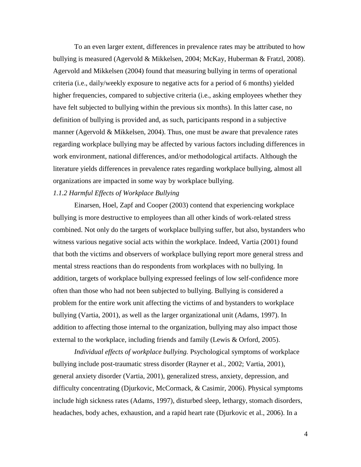To an even larger extent, differences in prevalence rates may be attributed to how bullying is measured (Agervold & Mikkelsen, 2004; McKay, Huberman & Fratzl, 2008). Agervold and Mikkelsen (2004) found that measuring bullying in terms of operational criteria (i.e., daily/weekly exposure to negative acts for a period of 6 months) yielded higher frequencies, compared to subjective criteria (i.e., asking employees whether they have felt subjected to bullying within the previous six months). In this latter case, no definition of bullying is provided and, as such, participants respond in a subjective manner (Agervold & Mikkelsen, 2004). Thus, one must be aware that prevalence rates regarding workplace bullying may be affected by various factors including differences in work environment, national differences, and/or methodological artifacts. Although the literature yields differences in prevalence rates regarding workplace bullying, almost all organizations are impacted in some way by workplace bullying.

## *1.1.2 Harmful Effects of Workplace Bullying*

Einarsen, Hoel, Zapf and Cooper (2003) contend that experiencing workplace bullying is more destructive to employees than all other kinds of work-related stress combined. Not only do the targets of workplace bullying suffer, but also, bystanders who witness various negative social acts within the workplace. Indeed, Vartia (2001) found that both the victims and observers of workplace bullying report more general stress and mental stress reactions than do respondents from workplaces with no bullying. In addition, targets of workplace bullying expressed feelings of low self-confidence more often than those who had not been subjected to bullying. Bullying is considered a problem for the entire work unit affecting the victims of and bystanders to workplace bullying (Vartia, 2001), as well as the larger organizational unit (Adams, 1997). In addition to affecting those internal to the organization, bullying may also impact those external to the workplace, including friends and family (Lewis & Orford, 2005).

*Individual effects of workplace bullying.* Psychological symptoms of workplace bullying include post-traumatic stress disorder (Rayner et al., 2002; Vartia, 2001), general anxiety disorder (Vartia, 2001), generalized stress, anxiety, depression, and difficulty concentrating (Djurkovic, McCormack, & Casimir, 2006). Physical symptoms include high sickness rates (Adams, 1997), disturbed sleep, lethargy, stomach disorders, headaches, body aches, exhaustion, and a rapid heart rate (Djurkovic et al., 2006). In a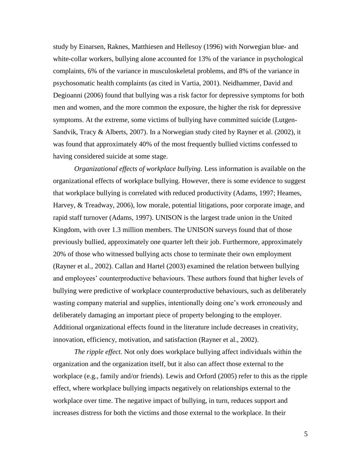study by Einarsen, Raknes, Matthiesen and Hellesoy (1996) with Norwegian blue- and white-collar workers, bullying alone accounted for 13% of the variance in psychological complaints, 6% of the variance in musculoskeletal problems, and 8% of the variance in psychosomatic health complaints (as cited in Vartia, 2001). Neidhammer, David and Degioanni (2006) found that bullying was a risk factor for depressive symptoms for both men and women, and the more common the exposure, the higher the risk for depressive symptoms. At the extreme, some victims of bullying have committed suicide (Lutgen-Sandvik, Tracy & Alberts, 2007). In a Norwegian study cited by Rayner et al. (2002), it was found that approximately 40% of the most frequently bullied victims confessed to having considered suicide at some stage.

*Organizational effects of workplace bullying.* Less information is available on the organizational effects of workplace bullying. However, there is some evidence to suggest that workplace bullying is correlated with reduced productivity (Adams, 1997; Heames, Harvey, & Treadway, 2006), low morale, potential litigations, poor corporate image, and rapid staff turnover (Adams, 1997). UNISON is the largest trade union in the United Kingdom, with over 1.3 million members. The UNISON surveys found that of those previously bullied, approximately one quarter left their job. Furthermore, approximately 20% of those who witnessed bullying acts chose to terminate their own employment (Rayner et al., 2002). Callan and Hartel (2003) examined the relation between bullying and employees' counterproductive behaviours. These authors found that higher levels of bullying were predictive of workplace counterproductive behaviours, such as deliberately wasting company material and supplies, intentionally doing one"s work erroneously and deliberately damaging an important piece of property belonging to the employer. Additional organizational effects found in the literature include decreases in creativity, innovation, efficiency, motivation, and satisfaction (Rayner et al., 2002).

*The ripple effect.* Not only does workplace bullying affect individuals within the organization and the organization itself, but it also can affect those external to the workplace (e.g., family and/or friends). Lewis and Orford (2005) refer to this as the ripple effect, where workplace bullying impacts negatively on relationships external to the workplace over time. The negative impact of bullying, in turn, reduces support and increases distress for both the victims and those external to the workplace. In their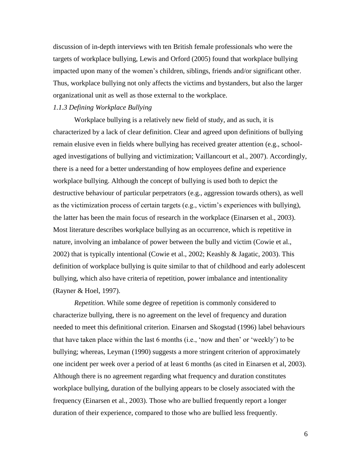discussion of in-depth interviews with ten British female professionals who were the targets of workplace bullying, Lewis and Orford (2005) found that workplace bullying impacted upon many of the women's children, siblings, friends and/or significant other. Thus, workplace bullying not only affects the victims and bystanders, but also the larger organizational unit as well as those external to the workplace.

# *1.1.3 Defining Workplace Bullying*

Workplace bullying is a relatively new field of study, and as such, it is characterized by a lack of clear definition. Clear and agreed upon definitions of bullying remain elusive even in fields where bullying has received greater attention (e.g., schoolaged investigations of bullying and victimization; Vaillancourt et al., 2007). Accordingly, there is a need for a better understanding of how employees define and experience workplace bullying. Although the concept of bullying is used both to depict the destructive behaviour of particular perpetrators (e.g., aggression towards others), as well as the victimization process of certain targets (e.g., victim"s experiences with bullying), the latter has been the main focus of research in the workplace (Einarsen et al., 2003). Most literature describes workplace bullying as an occurrence, which is repetitive in nature, involving an imbalance of power between the bully and victim (Cowie et al., 2002) that is typically intentional (Cowie et al., 2002; Keashly & Jagatic, 2003). This definition of workplace bullying is quite similar to that of childhood and early adolescent bullying, which also have criteria of repetition, power imbalance and intentionality (Rayner & Hoel, 1997).

*Repetition.* While some degree of repetition is commonly considered to characterize bullying, there is no agreement on the level of frequency and duration needed to meet this definitional criterion. Einarsen and Skogstad (1996) label behaviours that have taken place within the last 6 months (i.e., "now and then" or "weekly") to be bullying; whereas, Leyman (1990) suggests a more stringent criterion of approximately one incident per week over a period of at least 6 months (as cited in Einarsen et al, 2003). Although there is no agreement regarding what frequency and duration constitutes workplace bullying, duration of the bullying appears to be closely associated with the frequency (Einarsen et al., 2003). Those who are bullied frequently report a longer duration of their experience, compared to those who are bullied less frequently.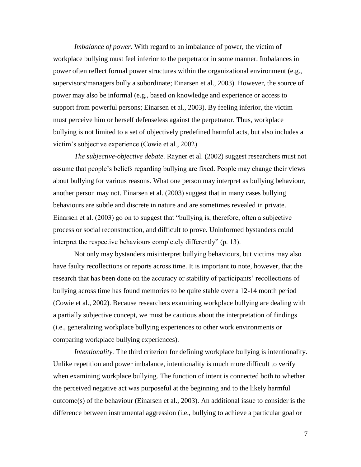*Imbalance of power.* With regard to an imbalance of power, the victim of workplace bullying must feel inferior to the perpetrator in some manner. Imbalances in power often reflect formal power structures within the organizational environment (e.g., supervisors/managers bully a subordinate; Einarsen et al., 2003). However, the source of power may also be informal (e.g., based on knowledge and experience or access to support from powerful persons; Einarsen et al., 2003). By feeling inferior, the victim must perceive him or herself defenseless against the perpetrator. Thus, workplace bullying is not limited to a set of objectively predefined harmful acts, but also includes a victim"s subjective experience (Cowie et al., 2002).

*The subjective-objective debate.* Rayner et al. (2002) suggest researchers must not assume that people"s beliefs regarding bullying are fixed. People may change their views about bullying for various reasons. What one person may interpret as bullying behaviour, another person may not. Einarsen et al. (2003) suggest that in many cases bullying behaviours are subtle and discrete in nature and are sometimes revealed in private. Einarsen et al. (2003) go on to suggest that "bullying is, therefore, often a subjective process or social reconstruction, and difficult to prove. Uninformed bystanders could interpret the respective behaviours completely differently" (p. 13).

Not only may bystanders misinterpret bullying behaviours, but victims may also have faulty recollections or reports across time. It is important to note, however, that the research that has been done on the accuracy or stability of participants' recollections of bullying across time has found memories to be quite stable over a 12-14 month period (Cowie et al., 2002). Because researchers examining workplace bullying are dealing with a partially subjective concept, we must be cautious about the interpretation of findings (i.e., generalizing workplace bullying experiences to other work environments or comparing workplace bullying experiences).

*Intentionality.* The third criterion for defining workplace bullying is intentionality. Unlike repetition and power imbalance, intentionality is much more difficult to verify when examining workplace bullying. The function of intent is connected both to whether the perceived negative act was purposeful at the beginning and to the likely harmful outcome(s) of the behaviour (Einarsen et al., 2003). An additional issue to consider is the difference between instrumental aggression (i.e., bullying to achieve a particular goal or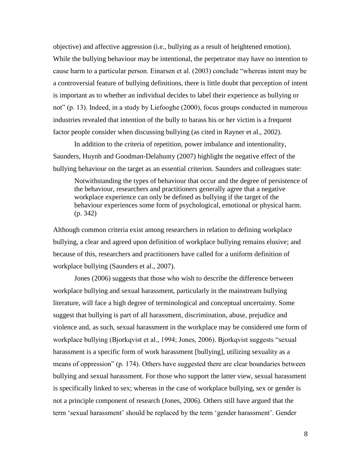objective) and affective aggression (i.e., bullying as a result of heightened emotion). While the bullying behaviour may be intentional, the perpetrator may have no intention to cause harm to a particular person. Einarsen et al. (2003) conclude "whereas intent may be a controversial feature of bullying definitions, there is little doubt that perception of intent is important as to whether an individual decides to label their experience as bullying or not" (p. 13). Indeed, in a study by Liefooghe (2000), focus groups conducted in numerous industries revealed that intention of the bully to harass his or her victim is a frequent factor people consider when discussing bullying (as cited in Rayner et al., 2002).

In addition to the criteria of repetition, power imbalance and intentionality, Saunders, Huynh and Goodman-Delahunty (2007) highlight the negative effect of the bullying behaviour on the target as an essential criterion. Saunders and colleagues state:

Notwithstanding the types of behaviour that occur and the degree of persistence of the behaviour, researchers and practitioners generally agree that a negative workplace experience can only be defined as bullying if the target of the behaviour experiences some form of psychological, emotional or physical harm. (p. 342)

Although common criteria exist among researchers in relation to defining workplace bullying, a clear and agreed upon definition of workplace bullying remains elusive; and because of this, researchers and practitioners have called for a uniform definition of workplace bullying (Saunders et al., 2007).

Jones (2006) suggests that those who wish to describe the difference between workplace bullying and sexual harassment, particularly in the mainstream bullying literature, will face a high degree of terminological and conceptual uncertainty. Some suggest that bullying is part of all harassment, discrimination, abuse, prejudice and violence and, as such, sexual harassment in the workplace may be considered one form of workplace bullying (Bjorkqvist et al., 1994; Jones, 2006). Bjorkqvist suggests "sexual harassment is a specific form of work harassment [bullying], utilizing sexuality as a means of oppression" (p. 174). Others have suggested there are clear boundaries between bullying and sexual harassment. For those who support the latter view, sexual harassment is specifically linked to sex; whereas in the case of workplace bullying, sex or gender is not a principle component of research (Jones, 2006). Others still have argued that the term "sexual harassment" should be replaced by the term "gender harassment". Gender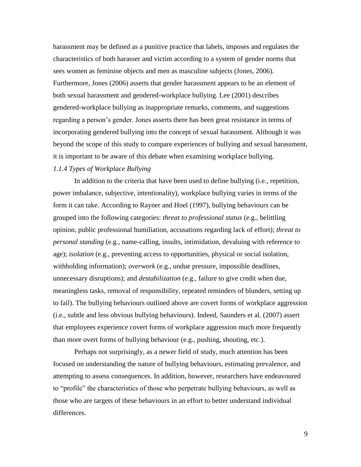harassment may be defined as a punitive practice that labels, imposes and regulates the characteristics of both harasser and victim according to a system of gender norms that sees women as feminine objects and men as masculine subjects (Jones, 2006). Furthermore, Jones (2006) asserts that gender harassment appears to be an element of both sexual harassment and gendered-workplace bullying. Lee (2001) describes gendered-workplace bullying as inappropriate remarks, comments, and suggestions regarding a person"s gender. Jones asserts there has been great resistance in terms of incorporating gendered bullying into the concept of sexual harassment. Although it was beyond the scope of this study to compare experiences of bullying and sexual harassment, it is important to be aware of this debate when examining workplace bullying.

# *1.1.4 Types of Workplace Bullying*

In addition to the criteria that have been used to define bullying (i.e., repetition, power imbalance, subjective, intentionality), workplace bullying varies in terms of the form it can take. According to Rayner and Hoel (1997), bullying behaviours can be grouped into the following categories: *threat to professional status* (e.g., belittling opinion, public professional humiliation, accusations regarding lack of effort); *threat to personal standing* (e.g., name-calling, insults, intimidation, devaluing with reference to age); *isolation* (e.g., preventing access to opportunities, physical or social isolation, withholding information); *overwork* (e.g., undue pressure, impossible deadlines, unnecessary disruptions); and *destabilization* (e.g., failure to give credit when due, meaningless tasks, removal of responsibility, repeated reminders of blunders, setting up to fail). The bullying behaviours outlined above are covert forms of workplace aggression (i.e., subtle and less obvious bullying behaviours). Indeed, Saunders et al. (2007) assert that employees experience covert forms of workplace aggression much more frequently than more overt forms of bullying behaviour (e.g., pushing, shouting, etc.).

Perhaps not surprisingly, as a newer field of study, much attention has been focused on understanding the nature of bullying behaviours, estimating prevalence, and attempting to assess consequences. In addition, however, researchers have endeavoured to "profile" the characteristics of those who perpetrate bullying behaviours, as well as those who are targets of these behaviours in an effort to better understand individual differences.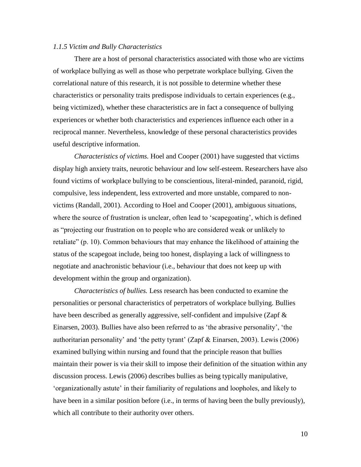#### *1.1.5 Victim and Bully Characteristics*

There are a host of personal characteristics associated with those who are victims of workplace bullying as well as those who perpetrate workplace bullying. Given the correlational nature of this research, it is not possible to determine whether these characteristics or personality traits predispose individuals to certain experiences (e.g., being victimized), whether these characteristics are in fact a consequence of bullying experiences or whether both characteristics and experiences influence each other in a reciprocal manner. Nevertheless, knowledge of these personal characteristics provides useful descriptive information.

*Characteristics of victims.* Hoel and Cooper (2001) have suggested that victims display high anxiety traits, neurotic behaviour and low self-esteem. Researchers have also found victims of workplace bullying to be conscientious, literal-minded, paranoid, rigid, compulsive, less independent, less extroverted and more unstable, compared to nonvictims (Randall, 2001). According to Hoel and Cooper (2001), ambiguous situations, where the source of frustration is unclear, often lead to 'scapegoating', which is defined as "projecting our frustration on to people who are considered weak or unlikely to retaliate" (p. 10). Common behaviours that may enhance the likelihood of attaining the status of the scapegoat include, being too honest, displaying a lack of willingness to negotiate and anachronistic behaviour (i.e., behaviour that does not keep up with development within the group and organization).

*Characteristics of bullies.* Less research has been conducted to examine the personalities or personal characteristics of perpetrators of workplace bullying. Bullies have been described as generally aggressive, self-confident and impulsive (Zapf & Einarsen, 2003). Bullies have also been referred to as "the abrasive personality", "the authoritarian personality' and 'the petty tyrant' (Zapf  $\&$  Einarsen, 2003). Lewis (2006) examined bullying within nursing and found that the principle reason that bullies maintain their power is via their skill to impose their definition of the situation within any discussion process. Lewis (2006) describes bullies as being typically manipulative, "organizationally astute" in their familiarity of regulations and loopholes, and likely to have been in a similar position before (i.e., in terms of having been the bully previously), which all contribute to their authority over others.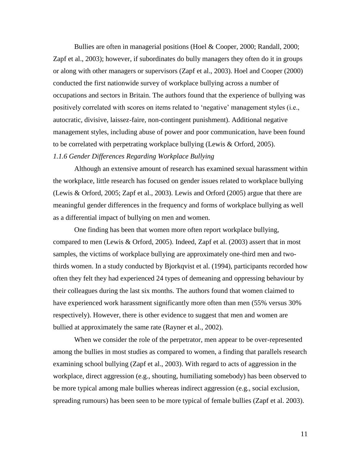Bullies are often in managerial positions (Hoel & Cooper, 2000; Randall, 2000; Zapf et al., 2003); however, if subordinates do bully managers they often do it in groups or along with other managers or supervisors (Zapf et al., 2003). Hoel and Cooper (2000) conducted the first nationwide survey of workplace bullying across a number of occupations and sectors in Britain. The authors found that the experience of bullying was positively correlated with scores on items related to "negative" management styles (i.e., autocratic, divisive, laissez-faire, non-contingent punishment). Additional negative management styles, including abuse of power and poor communication, have been found to be correlated with perpetrating workplace bullying (Lewis & Orford, 2005). *1.1.6 Gender Differences Regarding Workplace Bullying*

Although an extensive amount of research has examined sexual harassment within the workplace, little research has focused on gender issues related to workplace bullying (Lewis & Orford, 2005; Zapf et al., 2003). Lewis and Orford (2005) argue that there are meaningful gender differences in the frequency and forms of workplace bullying as well as a differential impact of bullying on men and women.

One finding has been that women more often report workplace bullying, compared to men (Lewis & Orford, 2005). Indeed, Zapf et al. (2003) assert that in most samples, the victims of workplace bullying are approximately one-third men and twothirds women. In a study conducted by Bjorkqvist et al. (1994), participants recorded how often they felt they had experienced 24 types of demeaning and oppressing behaviour by their colleagues during the last six months. The authors found that women claimed to have experienced work harassment significantly more often than men (55% versus 30% respectively). However, there is other evidence to suggest that men and women are bullied at approximately the same rate (Rayner et al., 2002).

When we consider the role of the perpetrator, men appear to be over-represented among the bullies in most studies as compared to women, a finding that parallels research examining school bullying (Zapf et al., 2003). With regard to acts of aggression in the workplace, direct aggression (e.g., shouting, humiliating somebody) has been observed to be more typical among male bullies whereas indirect aggression (e.g., social exclusion, spreading rumours) has been seen to be more typical of female bullies (Zapf et al. 2003).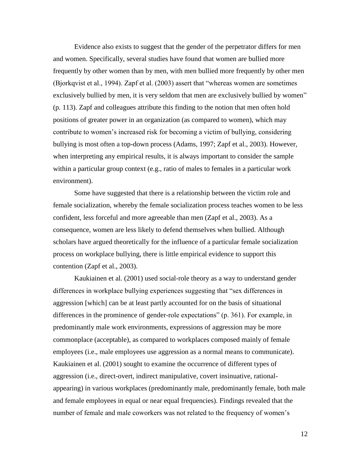Evidence also exists to suggest that the gender of the perpetrator differs for men and women. Specifically, several studies have found that women are bullied more frequently by other women than by men, with men bullied more frequently by other men (Bjorkqvist et al., 1994). Zapf et al. (2003) assert that "whereas women are sometimes exclusively bullied by men, it is very seldom that men are exclusively bullied by women" (p. 113). Zapf and colleagues attribute this finding to the notion that men often hold positions of greater power in an organization (as compared to women), which may contribute to women"s increased risk for becoming a victim of bullying, considering bullying is most often a top-down process (Adams, 1997; Zapf et al., 2003). However, when interpreting any empirical results, it is always important to consider the sample within a particular group context (e.g., ratio of males to females in a particular work environment).

Some have suggested that there is a relationship between the victim role and female socialization, whereby the female socialization process teaches women to be less confident, less forceful and more agreeable than men (Zapf et al., 2003). As a consequence, women are less likely to defend themselves when bullied. Although scholars have argued theoretically for the influence of a particular female socialization process on workplace bullying, there is little empirical evidence to support this contention (Zapf et al., 2003).

Kaukiainen et al. (2001) used social-role theory as a way to understand gender differences in workplace bullying experiences suggesting that "sex differences in aggression [which] can be at least partly accounted for on the basis of situational differences in the prominence of gender-role expectations" (p. 361). For example, in predominantly male work environments, expressions of aggression may be more commonplace (acceptable), as compared to workplaces composed mainly of female employees (i.e., male employees use aggression as a normal means to communicate). Kaukiainen et al. (2001) sought to examine the occurrence of different types of aggression (i.e., direct-overt, indirect manipulative, covert insinuative, rationalappearing) in various workplaces (predominantly male, predominantly female, both male and female employees in equal or near equal frequencies). Findings revealed that the number of female and male coworkers was not related to the frequency of women"s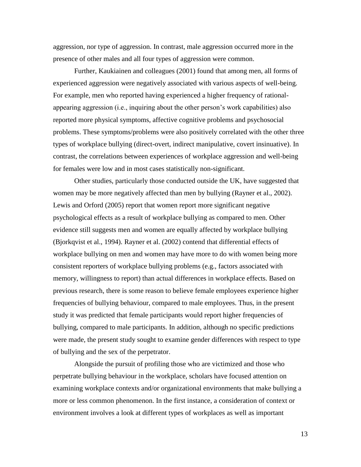aggression, nor type of aggression. In contrast, male aggression occurred more in the presence of other males and all four types of aggression were common.

Further, Kaukiainen and colleagues (2001) found that among men, all forms of experienced aggression were negatively associated with various aspects of well-being. For example, men who reported having experienced a higher frequency of rationalappearing aggression (i.e., inquiring about the other person"s work capabilities) also reported more physical symptoms, affective cognitive problems and psychosocial problems. These symptoms/problems were also positively correlated with the other three types of workplace bullying (direct-overt, indirect manipulative, covert insinuative). In contrast, the correlations between experiences of workplace aggression and well-being for females were low and in most cases statistically non-significant.

Other studies, particularly those conducted outside the UK, have suggested that women may be more negatively affected than men by bullying (Rayner et al., 2002). Lewis and Orford (2005) report that women report more significant negative psychological effects as a result of workplace bullying as compared to men. Other evidence still suggests men and women are equally affected by workplace bullying (Bjorkqvist et al., 1994). Rayner et al. (2002) contend that differential effects of workplace bullying on men and women may have more to do with women being more consistent reporters of workplace bullying problems (e.g., factors associated with memory, willingness to report) than actual differences in workplace effects. Based on previous research, there is some reason to believe female employees experience higher frequencies of bullying behaviour, compared to male employees. Thus, in the present study it was predicted that female participants would report higher frequencies of bullying, compared to male participants. In addition, although no specific predictions were made, the present study sought to examine gender differences with respect to type of bullying and the sex of the perpetrator.

Alongside the pursuit of profiling those who are victimized and those who perpetrate bullying behaviour in the workplace, scholars have focused attention on examining workplace contexts and/or organizational environments that make bullying a more or less common phenomenon. In the first instance, a consideration of context or environment involves a look at different types of workplaces as well as important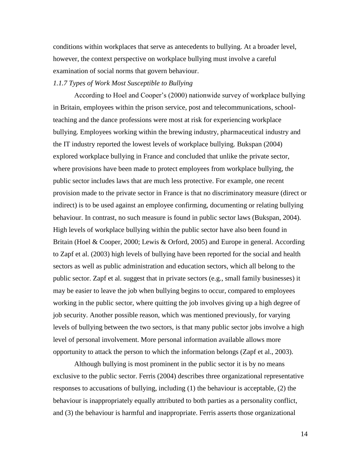conditions within workplaces that serve as antecedents to bullying. At a broader level, however, the context perspective on workplace bullying must involve a careful examination of social norms that govern behaviour.

#### *1.1.7 Types of Work Most Susceptible to Bullying*

According to Hoel and Cooper"s (2000) nationwide survey of workplace bullying in Britain, employees within the prison service, post and telecommunications, schoolteaching and the dance professions were most at risk for experiencing workplace bullying. Employees working within the brewing industry, pharmaceutical industry and the IT industry reported the lowest levels of workplace bullying. Bukspan (2004) explored workplace bullying in France and concluded that unlike the private sector, where provisions have been made to protect employees from workplace bullying, the public sector includes laws that are much less protective. For example, one recent provision made to the private sector in France is that no discriminatory measure (direct or indirect) is to be used against an employee confirming, documenting or relating bullying behaviour. In contrast, no such measure is found in public sector laws (Bukspan, 2004). High levels of workplace bullying within the public sector have also been found in Britain (Hoel & Cooper, 2000; Lewis & Orford, 2005) and Europe in general. According to Zapf et al. (2003) high levels of bullying have been reported for the social and health sectors as well as public administration and education sectors, which all belong to the public sector. Zapf et al. suggest that in private sectors (e.g., small family businesses) it may be easier to leave the job when bullying begins to occur, compared to employees working in the public sector, where quitting the job involves giving up a high degree of job security. Another possible reason, which was mentioned previously, for varying levels of bullying between the two sectors, is that many public sector jobs involve a high level of personal involvement. More personal information available allows more opportunity to attack the person to which the information belongs (Zapf et al., 2003).

Although bullying is most prominent in the public sector it is by no means exclusive to the public sector. Ferris (2004) describes three organizational representative responses to accusations of bullying, including (1) the behaviour is acceptable, (2) the behaviour is inappropriately equally attributed to both parties as a personality conflict, and (3) the behaviour is harmful and inappropriate. Ferris asserts those organizational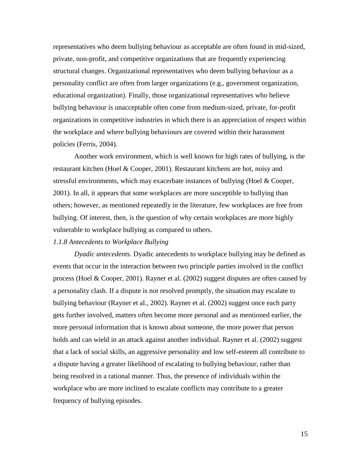representatives who deem bullying behaviour as acceptable are often found in mid-sized, private, non-profit, and competitive organizations that are frequently experiencing structural changes. Organizational representatives who deem bullying behaviour as a personality conflict are often from larger organizations (e.g., government organization, educational organization). Finally, those organizational representatives who believe bullying behaviour is unacceptable often come from medium-sized, private, for-profit organizations in competitive industries in which there is an appreciation of respect within the workplace and where bullying behaviours are covered within their harassment policies (Ferris, 2004).

Another work environment, which is well known for high rates of bullying, is the restaurant kitchen (Hoel & Cooper, 2001). Restaurant kitchens are hot, noisy and stressful environments, which may exacerbate instances of bullying (Hoel & Cooper, 2001). In all, it appears that some workplaces are more susceptible to bullying than others; however, as mentioned repeatedly in the literature, few workplaces are free from bullying. Of interest, then, is the question of why certain workplaces are more highly vulnerable to workplace bullying as compared to others.

#### *1.1.8 Antecedents to Workplace Bullying*

*Dyadic antecedents.* Dyadic antecedents to workplace bullying may be defined as events that occur in the interaction between two principle parties involved in the conflict process (Hoel & Cooper, 2001). Rayner et al. (2002) suggest disputes are often caused by a personality clash. If a dispute is not resolved promptly, the situation may escalate to bullying behaviour (Rayner et al., 2002). Rayner et al. (2002) suggest once each party gets further involved, matters often become more personal and as mentioned earlier, the more personal information that is known about someone, the more power that person holds and can wield in an attack against another individual. Rayner et al. (2002) suggest that a lack of social skills, an aggressive personality and low self-esteem all contribute to a dispute having a greater likelihood of escalating to bullying behaviour, rather than being resolved in a rational manner. Thus, the presence of individuals within the workplace who are more inclined to escalate conflicts may contribute to a greater frequency of bullying episodes.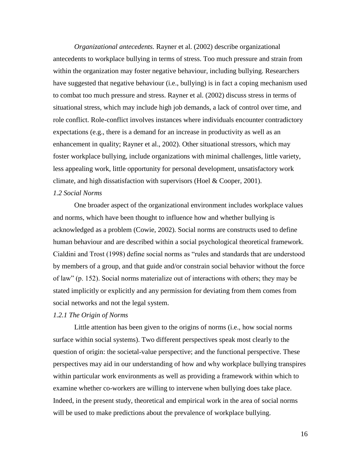*Organizational antecedents.* Rayner et al. (2002) describe organizational antecedents to workplace bullying in terms of stress. Too much pressure and strain from within the organization may foster negative behaviour, including bullying. Researchers have suggested that negative behaviour (i.e., bullying) is in fact a coping mechanism used to combat too much pressure and stress. Rayner et al. (2002) discuss stress in terms of situational stress, which may include high job demands, a lack of control over time, and role conflict. Role-conflict involves instances where individuals encounter contradictory expectations (e.g., there is a demand for an increase in productivity as well as an enhancement in quality; Rayner et al., 2002). Other situational stressors, which may foster workplace bullying, include organizations with minimal challenges, little variety, less appealing work, little opportunity for personal development, unsatisfactory work climate, and high dissatisfaction with supervisors (Hoel  $& Cooper, 2001$ ).

## *1.2 Social Norms*

One broader aspect of the organizational environment includes workplace values and norms, which have been thought to influence how and whether bullying is acknowledged as a problem (Cowie, 2002). Social norms are constructs used to define human behaviour and are described within a social psychological theoretical framework. Cialdini and Trost (1998) define social norms as "rules and standards that are understood by members of a group, and that guide and/or constrain social behavior without the force of law" (p. 152). Social norms materialize out of interactions with others; they may be stated implicitly or explicitly and any permission for deviating from them comes from social networks and not the legal system.

### *1.2.1 The Origin of Norms*

Little attention has been given to the origins of norms (i.e., how social norms surface within social systems). Two different perspectives speak most clearly to the question of origin: the societal-value perspective; and the functional perspective. These perspectives may aid in our understanding of how and why workplace bullying transpires within particular work environments as well as providing a framework within which to examine whether co-workers are willing to intervene when bullying does take place. Indeed, in the present study, theoretical and empirical work in the area of social norms will be used to make predictions about the prevalence of workplace bullying.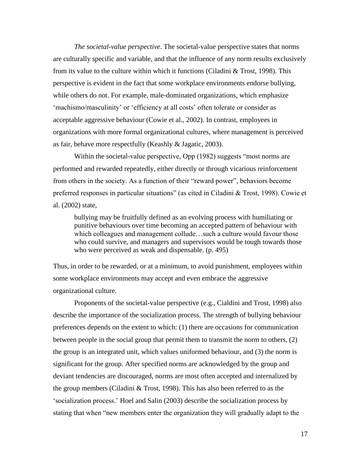*The societal-value perspective*. The societal-value perspective states that norms are culturally specific and variable, and that the influence of any norm results exclusively from its value to the culture within which it functions (Ciladini & Trost, 1998). This perspective is evident in the fact that some workplace environments endorse bullying, while others do not. For example, male-dominated organizations, which emphasize "machismo/masculinity" or "efficiency at all costs" often tolerate or consider as acceptable aggressive behaviour (Cowie et al., 2002). In contrast, employees in organizations with more formal organizational cultures, where management is perceived as fair, behave more respectfully (Keashly & Jagatic, 2003).

Within the societal-value perspective, Opp (1982) suggests "most norms are performed and rewarded repeatedly, either directly or through vicarious reinforcement from others in the society. As a function of their "reward power", behaviors become preferred responses in particular situations" (as cited in Ciladini & Trost, 1998). Cowie et al. (2002) state,

bullying may be fruitfully defined as an evolving process with humiliating or punitive behaviours over time becoming an accepted pattern of behaviour with which colleagues and management collude…such a culture would favour those who could survive, and managers and supervisors would be tough towards those who were perceived as weak and dispensable. (p. 495)

Thus, in order to be rewarded, or at a minimum, to avoid punishment, employees within some workplace environments may accept and even embrace the aggressive organizational culture.

Proponents of the societal-value perspective (e.g., Cialdini and Trost, 1998) also describe the importance of the socialization process. The strength of bullying behaviour preferences depends on the extent to which: (1) there are occasions for communication between people in the social group that permit them to transmit the norm to others, (2) the group is an integrated unit, which values uniformed behaviour, and (3) the norm is significant for the group. After specified norms are acknowledged by the group and deviant tendencies are discouraged, norms are most often accepted and internalized by the group members (Ciladini & Trost, 1998). This has also been referred to as the "socialization process." Hoel and Salin (2003) describe the socialization process by stating that when "new members enter the organization they will gradually adapt to the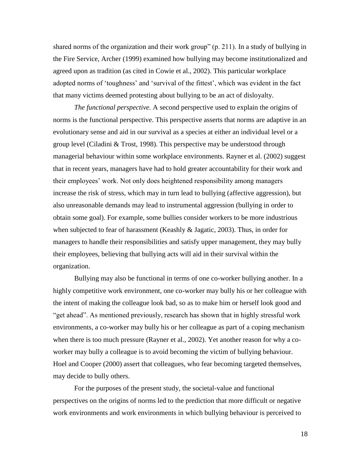shared norms of the organization and their work group" (p. 211). In a study of bullying in the Fire Service, Archer (1999) examined how bullying may become institutionalized and agreed upon as tradition (as cited in Cowie et al., 2002). This particular workplace adopted norms of 'toughness' and 'survival of the fittest', which was evident in the fact that many victims deemed protesting about bullying to be an act of disloyalty.

*The functional perspective.* A second perspective used to explain the origins of norms is the functional perspective. This perspective asserts that norms are adaptive in an evolutionary sense and aid in our survival as a species at either an individual level or a group level (Ciladini & Trost, 1998). This perspective may be understood through managerial behaviour within some workplace environments. Rayner et al. (2002) suggest that in recent years, managers have had to hold greater accountability for their work and their employees" work. Not only does heightened responsibility among managers increase the risk of stress, which may in turn lead to bullying (affective aggression), but also unreasonable demands may lead to instrumental aggression (bullying in order to obtain some goal). For example, some bullies consider workers to be more industrious when subjected to fear of harassment (Keashly & Jagatic, 2003). Thus, in order for managers to handle their responsibilities and satisfy upper management, they may bully their employees, believing that bullying acts will aid in their survival within the organization.

Bullying may also be functional in terms of one co-worker bullying another. In a highly competitive work environment, one co-worker may bully his or her colleague with the intent of making the colleague look bad, so as to make him or herself look good and "get ahead". As mentioned previously, research has shown that in highly stressful work environments, a co-worker may bully his or her colleague as part of a coping mechanism when there is too much pressure (Rayner et al., 2002). Yet another reason for why a coworker may bully a colleague is to avoid becoming the victim of bullying behaviour. Hoel and Cooper (2000) assert that colleagues, who fear becoming targeted themselves, may decide to bully others.

For the purposes of the present study, the societal-value and functional perspectives on the origins of norms led to the prediction that more difficult or negative work environments and work environments in which bullying behaviour is perceived to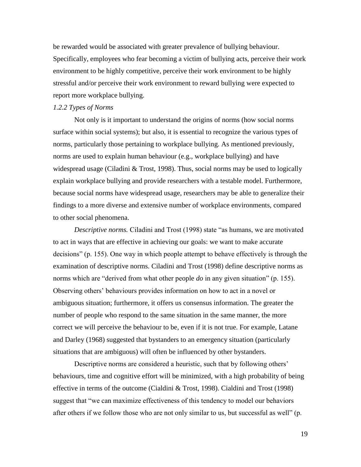be rewarded would be associated with greater prevalence of bullying behaviour. Specifically, employees who fear becoming a victim of bullying acts, perceive their work environment to be highly competitive, perceive their work environment to be highly stressful and/or perceive their work environment to reward bullying were expected to report more workplace bullying.

# *1.2.2 Types of Norms*

Not only is it important to understand the origins of norms (how social norms surface within social systems); but also, it is essential to recognize the various types of norms, particularly those pertaining to workplace bullying. As mentioned previously, norms are used to explain human behaviour (e.g., workplace bullying) and have widespread usage (Ciladini & Trost, 1998). Thus, social norms may be used to logically explain workplace bullying and provide researchers with a testable model. Furthermore, because social norms have widespread usage, researchers may be able to generalize their findings to a more diverse and extensive number of workplace environments, compared to other social phenomena.

*Descriptive norms.* Ciladini and Trost (1998) state "as humans, we are motivated to act in ways that are effective in achieving our goals: we want to make accurate decisions" (p. 155). One way in which people attempt to behave effectively is through the examination of descriptive norms. Ciladini and Trost (1998) define descriptive norms as norms which are "derived from what other people *do* in any given situation" (p. 155). Observing others" behaviours provides information on how to act in a novel or ambiguous situation; furthermore, it offers us consensus information. The greater the number of people who respond to the same situation in the same manner, the more correct we will perceive the behaviour to be, even if it is not true. For example, Latane and Darley (1968) suggested that bystanders to an emergency situation (particularly situations that are ambiguous) will often be influenced by other bystanders.

Descriptive norms are considered a heuristic, such that by following others' behaviours, time and cognitive effort will be minimized, with a high probability of being effective in terms of the outcome (Cialdini & Trost, 1998). Cialdini and Trost (1998) suggest that "we can maximize effectiveness of this tendency to model our behaviors after others if we follow those who are not only similar to us, but successful as well" (p.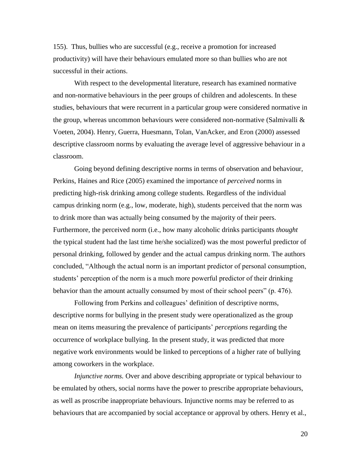155). Thus, bullies who are successful (e.g., receive a promotion for increased productivity) will have their behaviours emulated more so than bullies who are not successful in their actions.

With respect to the developmental literature, research has examined normative and non-normative behaviours in the peer groups of children and adolescents. In these studies, behaviours that were recurrent in a particular group were considered normative in the group, whereas uncommon behaviours were considered non-normative (Salmivalli & Voeten, 2004). Henry, Guerra, Huesmann, Tolan, VanAcker, and Eron (2000) assessed descriptive classroom norms by evaluating the average level of aggressive behaviour in a classroom.

Going beyond defining descriptive norms in terms of observation and behaviour, Perkins, Haines and Rice (2005) examined the importance of *perceived* norms in predicting high-risk drinking among college students. Regardless of the individual campus drinking norm (e.g., low, moderate, high), students perceived that the norm was to drink more than was actually being consumed by the majority of their peers. Furthermore, the perceived norm (i.e., how many alcoholic drinks participants *thought* the typical student had the last time he/she socialized) was the most powerful predictor of personal drinking, followed by gender and the actual campus drinking norm. The authors concluded, "Although the actual norm is an important predictor of personal consumption, students' perception of the norm is a much more powerful predictor of their drinking behavior than the amount actually consumed by most of their school peers" (p. 476).

Following from Perkins and colleagues' definition of descriptive norms, descriptive norms for bullying in the present study were operationalized as the group mean on items measuring the prevalence of participants' *perceptions* regarding the occurrence of workplace bullying. In the present study, it was predicted that more negative work environments would be linked to perceptions of a higher rate of bullying among coworkers in the workplace.

*Injunctive norms.* Over and above describing appropriate or typical behaviour to be emulated by others, social norms have the power to prescribe appropriate behaviours, as well as proscribe inappropriate behaviours. Injunctive norms may be referred to as behaviours that are accompanied by social acceptance or approval by others. Henry et al.,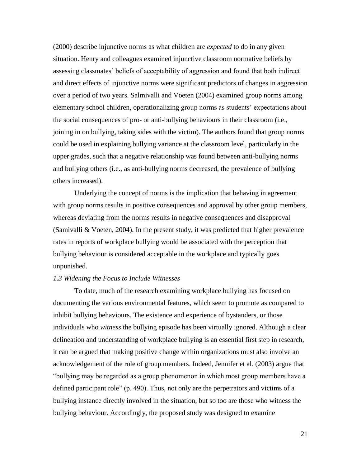(2000) describe injunctive norms as what children are *expected* to do in any given situation. Henry and colleagues examined injunctive classroom normative beliefs by assessing classmates" beliefs of acceptability of aggression and found that both indirect and direct effects of injunctive norms were significant predictors of changes in aggression over a period of two years. Salmivalli and Voeten (2004) examined group norms among elementary school children, operationalizing group norms as students" expectations about the social consequences of pro- or anti-bullying behaviours in their classroom (i.e., joining in on bullying, taking sides with the victim). The authors found that group norms could be used in explaining bullying variance at the classroom level, particularly in the upper grades, such that a negative relationship was found between anti-bullying norms and bullying others (i.e., as anti-bullying norms decreased, the prevalence of bullying others increased).

Underlying the concept of norms is the implication that behaving in agreement with group norms results in positive consequences and approval by other group members, whereas deviating from the norms results in negative consequences and disapproval (Samivalli & Voeten, 2004). In the present study, it was predicted that higher prevalence rates in reports of workplace bullying would be associated with the perception that bullying behaviour is considered acceptable in the workplace and typically goes unpunished.

# *1.3 Widening the Focus to Include Witnesses*

To date, much of the research examining workplace bullying has focused on documenting the various environmental features, which seem to promote as compared to inhibit bullying behaviours. The existence and experience of bystanders, or those individuals who *witness* the bullying episode has been virtually ignored. Although a clear delineation and understanding of workplace bullying is an essential first step in research, it can be argued that making positive change within organizations must also involve an acknowledgement of the role of group members. Indeed, Jennifer et al. (2003) argue that "bullying may be regarded as a group phenomenon in which most group members have a defined participant role" (p. 490). Thus, not only are the perpetrators and victims of a bullying instance directly involved in the situation, but so too are those who witness the bullying behaviour. Accordingly, the proposed study was designed to examine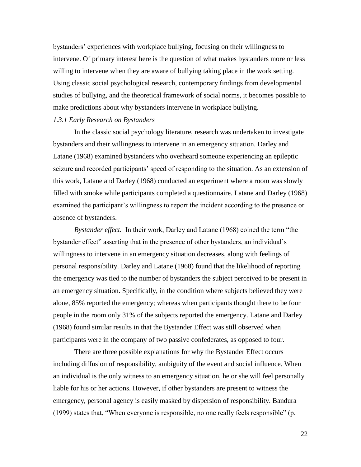bystanders" experiences with workplace bullying, focusing on their willingness to intervene. Of primary interest here is the question of what makes bystanders more or less willing to intervene when they are aware of bullying taking place in the work setting. Using classic social psychological research, contemporary findings from developmental studies of bullying, and the theoretical framework of social norms, it becomes possible to make predictions about why bystanders intervene in workplace bullying.

# *1.3.1 Early Research on Bystanders*

In the classic social psychology literature, research was undertaken to investigate bystanders and their willingness to intervene in an emergency situation. Darley and Latane (1968) examined bystanders who overheard someone experiencing an epileptic seizure and recorded participants' speed of responding to the situation. As an extension of this work, Latane and Darley (1968) conducted an experiment where a room was slowly filled with smoke while participants completed a questionnaire. Latane and Darley (1968) examined the participant's willingness to report the incident according to the presence or absence of bystanders.

*Bystander effect.* In their work, Darley and Latane (1968) coined the term "the bystander effect" asserting that in the presence of other bystanders, an individual"s willingness to intervene in an emergency situation decreases, along with feelings of personal responsibility. Darley and Latane (1968) found that the likelihood of reporting the emergency was tied to the number of bystanders the subject perceived to be present in an emergency situation. Specifically, in the condition where subjects believed they were alone, 85% reported the emergency; whereas when participants thought there to be four people in the room only 31% of the subjects reported the emergency. Latane and Darley (1968) found similar results in that the Bystander Effect was still observed when participants were in the company of two passive confederates, as opposed to four.

There are three possible explanations for why the Bystander Effect occurs including diffusion of responsibility, ambiguity of the event and social influence. When an individual is the only witness to an emergency situation, he or she will feel personally liable for his or her actions. However, if other bystanders are present to witness the emergency, personal agency is easily masked by dispersion of responsibility. Bandura (1999) states that, "When everyone is responsible, no one really feels responsible" (p.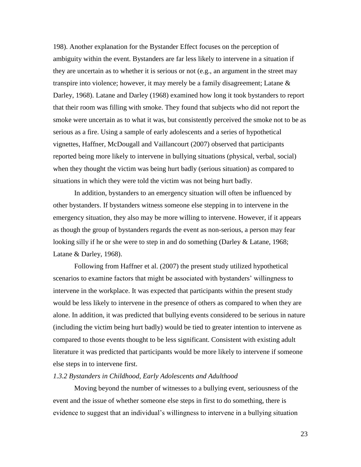198). Another explanation for the Bystander Effect focuses on the perception of ambiguity within the event. Bystanders are far less likely to intervene in a situation if they are uncertain as to whether it is serious or not (e.g., an argument in the street may transpire into violence; however, it may merely be a family disagreement; Latane  $\&$ Darley, 1968). Latane and Darley (1968) examined how long it took bystanders to report that their room was filling with smoke. They found that subjects who did not report the smoke were uncertain as to what it was, but consistently perceived the smoke not to be as serious as a fire. Using a sample of early adolescents and a series of hypothetical vignettes, Haffner, McDougall and Vaillancourt (2007) observed that participants reported being more likely to intervene in bullying situations (physical, verbal, social) when they thought the victim was being hurt badly (serious situation) as compared to situations in which they were told the victim was not being hurt badly.

In addition, bystanders to an emergency situation will often be influenced by other bystanders. If bystanders witness someone else stepping in to intervene in the emergency situation, they also may be more willing to intervene. However, if it appears as though the group of bystanders regards the event as non-serious, a person may fear looking silly if he or she were to step in and do something (Darley & Latane, 1968; Latane & Darley, 1968).

Following from Haffner et al. (2007) the present study utilized hypothetical scenarios to examine factors that might be associated with bystanders' willingness to intervene in the workplace. It was expected that participants within the present study would be less likely to intervene in the presence of others as compared to when they are alone. In addition, it was predicted that bullying events considered to be serious in nature (including the victim being hurt badly) would be tied to greater intention to intervene as compared to those events thought to be less significant. Consistent with existing adult literature it was predicted that participants would be more likely to intervene if someone else steps in to intervene first.

#### *1.3.2 Bystanders in Childhood, Early Adolescents and Adulthood*

Moving beyond the number of witnesses to a bullying event, seriousness of the event and the issue of whether someone else steps in first to do something, there is evidence to suggest that an individual"s willingness to intervene in a bullying situation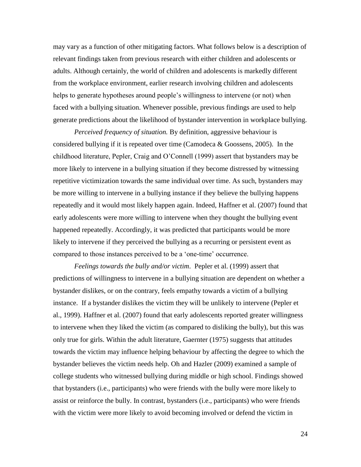may vary as a function of other mitigating factors. What follows below is a description of relevant findings taken from previous research with either children and adolescents or adults. Although certainly, the world of children and adolescents is markedly different from the workplace environment, earlier research involving children and adolescents helps to generate hypotheses around people"s willingness to intervene (or not) when faced with a bullying situation. Whenever possible, previous findings are used to help generate predictions about the likelihood of bystander intervention in workplace bullying.

*Perceived frequency of situation.* By definition, aggressive behaviour is considered bullying if it is repeated over time (Camodeca & Goossens, 2005). In the childhood literature, Pepler, Craig and O"Connell (1999) assert that bystanders may be more likely to intervene in a bullying situation if they become distressed by witnessing repetitive victimization towards the same individual over time. As such, bystanders may be more willing to intervene in a bullying instance if they believe the bullying happens repeatedly and it would most likely happen again. Indeed, Haffner et al. (2007) found that early adolescents were more willing to intervene when they thought the bullying event happened repeatedly. Accordingly, it was predicted that participants would be more likely to intervene if they perceived the bullying as a recurring or persistent event as compared to those instances perceived to be a "one-time" occurrence.

*Feelings towards the bully and/or victim*. Pepler et al. (1999) assert that predictions of willingness to intervene in a bullying situation are dependent on whether a bystander dislikes, or on the contrary, feels empathy towards a victim of a bullying instance. If a bystander dislikes the victim they will be unlikely to intervene (Pepler et al., 1999). Haffner et al. (2007) found that early adolescents reported greater willingness to intervene when they liked the victim (as compared to disliking the bully), but this was only true for girls. Within the adult literature, Gaernter (1975) suggests that attitudes towards the victim may influence helping behaviour by affecting the degree to which the bystander believes the victim needs help. Oh and Hazler (2009) examined a sample of college students who witnessed bullying during middle or high school. Findings showed that bystanders (i.e., participants) who were friends with the bully were more likely to assist or reinforce the bully. In contrast, bystanders (i.e., participants) who were friends with the victim were more likely to avoid becoming involved or defend the victim in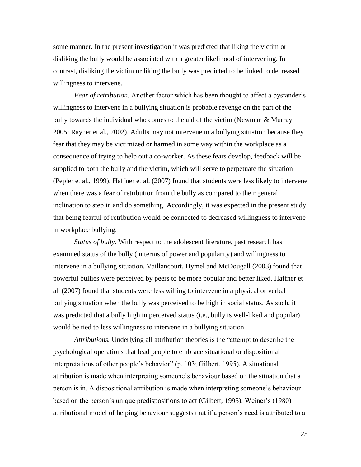some manner. In the present investigation it was predicted that liking the victim or disliking the bully would be associated with a greater likelihood of intervening. In contrast, disliking the victim or liking the bully was predicted to be linked to decreased willingness to intervene.

*Fear of retribution.* Another factor which has been thought to affect a bystander's willingness to intervene in a bullying situation is probable revenge on the part of the bully towards the individual who comes to the aid of the victim (Newman & Murray, 2005; Rayner et al., 2002). Adults may not intervene in a bullying situation because they fear that they may be victimized or harmed in some way within the workplace as a consequence of trying to help out a co-worker. As these fears develop, feedback will be supplied to both the bully and the victim, which will serve to perpetuate the situation (Pepler et al., 1999). Haffner et al. (2007) found that students were less likely to intervene when there was a fear of retribution from the bully as compared to their general inclination to step in and do something. Accordingly, it was expected in the present study that being fearful of retribution would be connected to decreased willingness to intervene in workplace bullying.

*Status of bully.* With respect to the adolescent literature, past research has examined status of the bully (in terms of power and popularity) and willingness to intervene in a bullying situation. Vaillancourt, Hymel and McDougall (2003) found that powerful bullies were perceived by peers to be more popular and better liked. Haffner et al. (2007) found that students were less willing to intervene in a physical or verbal bullying situation when the bully was perceived to be high in social status. As such, it was predicted that a bully high in perceived status (i.e., bully is well-liked and popular) would be tied to less willingness to intervene in a bullying situation.

*Attributions.* Underlying all attribution theories is the "attempt to describe the psychological operations that lead people to embrace situational or dispositional interpretations of other people"s behavior" (p. 103; Gilbert, 1995). A situational attribution is made when interpreting someone"s behaviour based on the situation that a person is in. A dispositional attribution is made when interpreting someone"s behaviour based on the person"s unique predispositions to act (Gilbert, 1995). Weiner"s (1980) attributional model of helping behaviour suggests that if a person"s need is attributed to a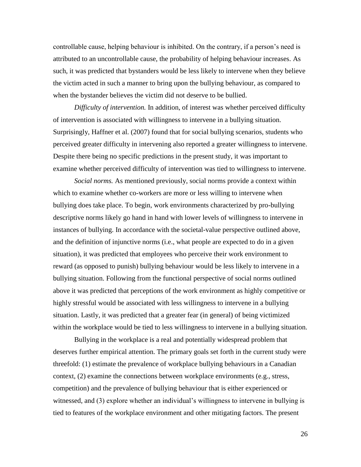controllable cause, helping behaviour is inhibited. On the contrary, if a person"s need is attributed to an uncontrollable cause, the probability of helping behaviour increases. As such, it was predicted that bystanders would be less likely to intervene when they believe the victim acted in such a manner to bring upon the bullying behaviour, as compared to when the bystander believes the victim did not deserve to be bullied.

*Difficulty of intervention.* In addition, of interest was whether perceived difficulty of intervention is associated with willingness to intervene in a bullying situation. Surprisingly, Haffner et al. (2007) found that for social bullying scenarios, students who perceived greater difficulty in intervening also reported a greater willingness to intervene. Despite there being no specific predictions in the present study, it was important to examine whether perceived difficulty of intervention was tied to willingness to intervene.

*Social norms.* As mentioned previously, social norms provide a context within which to examine whether co-workers are more or less willing to intervene when bullying does take place. To begin, work environments characterized by pro-bullying descriptive norms likely go hand in hand with lower levels of willingness to intervene in instances of bullying. In accordance with the societal-value perspective outlined above, and the definition of injunctive norms (i.e., what people are expected to do in a given situation), it was predicted that employees who perceive their work environment to reward (as opposed to punish) bullying behaviour would be less likely to intervene in a bullying situation. Following from the functional perspective of social norms outlined above it was predicted that perceptions of the work environment as highly competitive or highly stressful would be associated with less willingness to intervene in a bullying situation. Lastly, it was predicted that a greater fear (in general) of being victimized within the workplace would be tied to less willingness to intervene in a bullying situation.

Bullying in the workplace is a real and potentially widespread problem that deserves further empirical attention. The primary goals set forth in the current study were threefold: (1) estimate the prevalence of workplace bullying behaviours in a Canadian context, (2) examine the connections between workplace environments (e.g., stress, competition) and the prevalence of bullying behaviour that is either experienced or witnessed, and (3) explore whether an individual's willingness to intervene in bullying is tied to features of the workplace environment and other mitigating factors. The present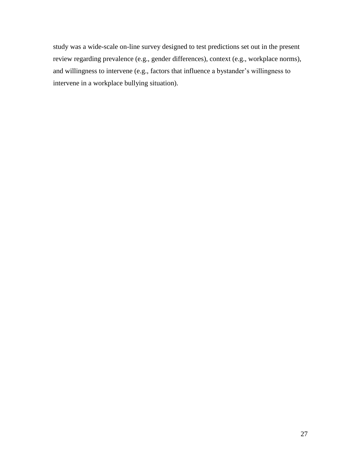study was a wide-scale on-line survey designed to test predictions set out in the present review regarding prevalence (e.g., gender differences), context (e.g., workplace norms), and willingness to intervene (e.g., factors that influence a bystander"s willingness to intervene in a workplace bullying situation).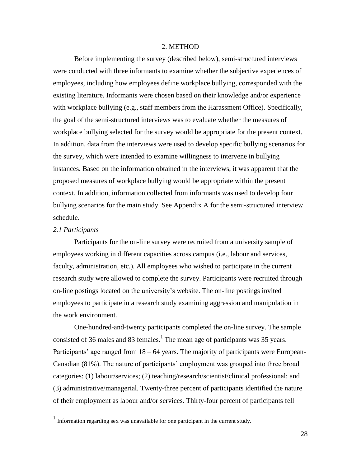## 2. METHOD

Before implementing the survey (described below), semi-structured interviews were conducted with three informants to examine whether the subjective experiences of employees, including how employees define workplace bullying, corresponded with the existing literature. Informants were chosen based on their knowledge and/or experience with workplace bullying (e.g., staff members from the Harassment Office). Specifically, the goal of the semi-structured interviews was to evaluate whether the measures of workplace bullying selected for the survey would be appropriate for the present context. In addition, data from the interviews were used to develop specific bullying scenarios for the survey, which were intended to examine willingness to intervene in bullying instances. Based on the information obtained in the interviews, it was apparent that the proposed measures of workplace bullying would be appropriate within the present context. In addition, information collected from informants was used to develop four bullying scenarios for the main study. See Appendix A for the semi-structured interview schedule.

## *2.1 Participants*

 $\overline{a}$ 

Participants for the on-line survey were recruited from a university sample of employees working in different capacities across campus (i.e., labour and services, faculty, administration, etc.). All employees who wished to participate in the current research study were allowed to complete the survey. Participants were recruited through on-line postings located on the university"s website. The on-line postings invited employees to participate in a research study examining aggression and manipulation in the work environment.

One-hundred-and-twenty participants completed the on-line survey. The sample consisted of 36 males and 83 females.<sup>1</sup> The mean age of participants was 35 years. Participants' age ranged from  $18 - 64$  years. The majority of participants were European-Canadian (81%). The nature of participants" employment was grouped into three broad categories: (1) labour/services; (2) teaching/research/scientist/clinical professional; and (3) administrative/managerial. Twenty-three percent of participants identified the nature of their employment as labour and/or services. Thirty-four percent of participants fell

 $<sup>1</sup>$  Information regarding sex was unavailable for one participant in the current study.</sup>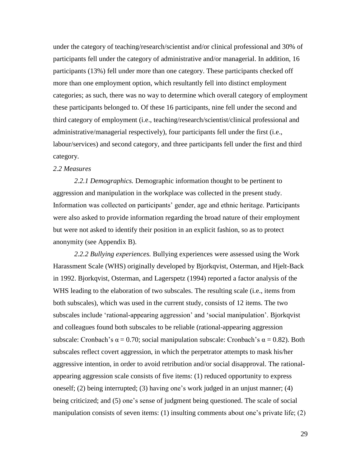under the category of teaching/research/scientist and/or clinical professional and 30% of participants fell under the category of administrative and/or managerial. In addition, 16 participants (13%) fell under more than one category. These participants checked off more than one employment option, which resultantly fell into distinct employment categories; as such, there was no way to determine which overall category of employment these participants belonged to. Of these 16 participants, nine fell under the second and third category of employment (i.e., teaching/research/scientist/clinical professional and administrative/managerial respectively), four participants fell under the first (i.e., labour/services) and second category, and three participants fell under the first and third category.

## *2.2 Measures*

*2.2.1 Demographics.* Demographic information thought to be pertinent to aggression and manipulation in the workplace was collected in the present study. Information was collected on participants" gender, age and ethnic heritage. Participants were also asked to provide information regarding the broad nature of their employment but were not asked to identify their position in an explicit fashion, so as to protect anonymity (see Appendix B).

*2.2.2 Bullying experiences.* Bullying experiences were assessed using the Work Harassment Scale (WHS) originally developed by Bjorkqvist, Osterman, and Hjelt-Back in 1992. Bjorkqvist, Osterman, and Lagerspetz (1994) reported a factor analysis of the WHS leading to the elaboration of two subscales. The resulting scale (i.e., items from both subscales), which was used in the current study, consists of 12 items. The two subscales include "rational-appearing aggression" and "social manipulation". Bjorkqvist and colleagues found both subscales to be reliable (rational-appearing aggression subscale: Cronbach's  $\alpha = 0.70$ ; social manipulation subscale: Cronbach's  $\alpha = 0.82$ ). Both subscales reflect covert aggression, in which the perpetrator attempts to mask his/her aggressive intention, in order to avoid retribution and/or social disapproval. The rationalappearing aggression scale consists of five items: (1) reduced opportunity to express oneself; (2) being interrupted; (3) having one"s work judged in an unjust manner; (4) being criticized; and (5) one's sense of judgment being questioned. The scale of social manipulation consists of seven items: (1) insulting comments about one's private life; (2)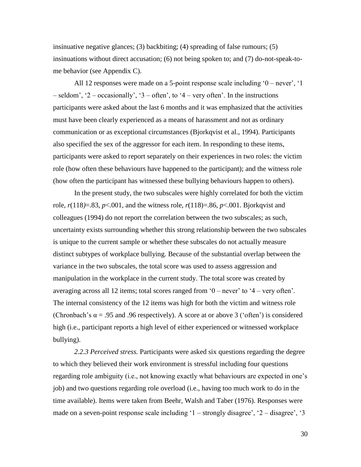insinuative negative glances; (3) backbiting; (4) spreading of false rumours; (5) insinuations without direct accusation; (6) not being spoken to; and (7) do-not-speak-tome behavior (see Appendix C).

All 12 responses were made on a 5-point response scale including  $0$  – never',  $1$  $-$  seldom', '2 – occasionally', '3 – often', to '4 – very often'. In the instructions participants were asked about the last 6 months and it was emphasized that the activities must have been clearly experienced as a means of harassment and not as ordinary communication or as exceptional circumstances (Bjorkqvist et al., 1994). Participants also specified the sex of the aggressor for each item. In responding to these items, participants were asked to report separately on their experiences in two roles: the victim role (how often these behaviours have happened to the participant); and the witness role (how often the participant has witnessed these bullying behaviours happen to others).

In the present study, the two subscales were highly correlated for both the victim role,  $r(118)=.83$ ,  $p<.001$ , and the witness role,  $r(118)=.86$ ,  $p<.001$ . Bjorkqvist and colleagues (1994) do not report the correlation between the two subscales; as such, uncertainty exists surrounding whether this strong relationship between the two subscales is unique to the current sample or whether these subscales do not actually measure distinct subtypes of workplace bullying. Because of the substantial overlap between the variance in the two subscales, the total score was used to assess aggression and manipulation in the workplace in the current study. The total score was created by averaging across all 12 items; total scores ranged from  $0$  – never' to  $4$  – very often'. The internal consistency of the 12 items was high for both the victim and witness role (Chronbach's  $\alpha$  = .95 and .96 respectively). A score at or above 3 ('often') is considered high (i.e., participant reports a high level of either experienced or witnessed workplace bullying).

*2.2.3 Perceived stress.* Participants were asked six questions regarding the degree to which they believed their work environment is stressful including four questions regarding role ambiguity (i.e., not knowing exactly what behaviours are expected in one's job) and two questions regarding role overload (i.e., having too much work to do in the time available). Items were taken from Beehr, Walsh and Taber (1976). Responses were made on a seven-point response scale including  $1$  – strongly disagree',  $2$  – disagree',  $3$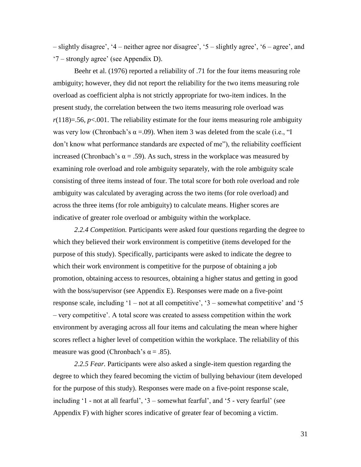– slightly disagree", "4 – neither agree nor disagree", "5 – slightly agree", "6 – agree", and  $\degree$ 7 – strongly agree' (see Appendix D).

Beehr et al. (1976) reported a reliability of .71 for the four items measuring role ambiguity; however, they did not report the reliability for the two items measuring role overload as coefficient alpha is not strictly appropriate for two-item indices. In the present study, the correlation between the two items measuring role overload was  $r(118)=56$ ,  $p<0.01$ . The reliability estimate for the four items measuring role ambiguity was very low (Chronbach's  $\alpha = .09$ ). When item 3 was deleted from the scale (i.e., "I don"t know what performance standards are expected of me"), the reliability coefficient increased (Chronbach's  $\alpha = .59$ ). As such, stress in the workplace was measured by examining role overload and role ambiguity separately, with the role ambiguity scale consisting of three items instead of four. The total score for both role overload and role ambiguity was calculated by averaging across the two items (for role overload) and across the three items (for role ambiguity) to calculate means. Higher scores are indicative of greater role overload or ambiguity within the workplace.

*2.2.4 Competition.* Participants were asked four questions regarding the degree to which they believed their work environment is competitive (items developed for the purpose of this study). Specifically, participants were asked to indicate the degree to which their work environment is competitive for the purpose of obtaining a job promotion, obtaining access to resources, obtaining a higher status and getting in good with the boss/supervisor (see Appendix E). Responses were made on a five-point response scale, including  $1 - not$  at all competitive',  $3 -$ somewhat competitive' and  $5$ – very competitive". A total score was created to assess competition within the work environment by averaging across all four items and calculating the mean where higher scores reflect a higher level of competition within the workplace. The reliability of this measure was good (Chronbach's  $\alpha$  = .85).

*2.2.5 Fear.* Participants were also asked a single-item question regarding the degree to which they feared becoming the victim of bullying behaviour (item developed for the purpose of this study). Responses were made on a five-point response scale, including  $1$  - not at all fearful',  $3$  – somewhat fearful', and  $5$  - very fearful' (see Appendix F) with higher scores indicative of greater fear of becoming a victim.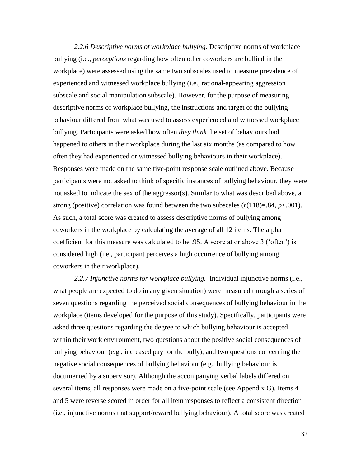*2.2.6 Descriptive norms of workplace bullying.* Descriptive norms of workplace bullying (i.e., *perceptions* regarding how often other coworkers are bullied in the workplace) were assessed using the same two subscales used to measure prevalence of experienced and witnessed workplace bullying (i.e., rational-appearing aggression subscale and social manipulation subscale). However, for the purpose of measuring descriptive norms of workplace bullying, the instructions and target of the bullying behaviour differed from what was used to assess experienced and witnessed workplace bullying. Participants were asked how often *they think* the set of behaviours had happened to others in their workplace during the last six months (as compared to how often they had experienced or witnessed bullying behaviours in their workplace). Responses were made on the same five-point response scale outlined above. Because participants were not asked to think of specific instances of bullying behaviour, they were not asked to indicate the sex of the aggressor(s). Similar to what was described above, a strong (positive) correlation was found between the two subscales  $(r(118)=.84, p<.001)$ . As such, a total score was created to assess descriptive norms of bullying among coworkers in the workplace by calculating the average of all 12 items. The alpha coefficient for this measure was calculated to be .95. A score at or above 3 ("often") is considered high (i.e., participant perceives a high occurrence of bullying among coworkers in their workplace).

*2.2.7 Injunctive norms for workplace bullying.* Individual injunctive norms (i.e., what people are expected to do in any given situation) were measured through a series of seven questions regarding the perceived social consequences of bullying behaviour in the workplace (items developed for the purpose of this study). Specifically, participants were asked three questions regarding the degree to which bullying behaviour is accepted within their work environment, two questions about the positive social consequences of bullying behaviour (e.g., increased pay for the bully), and two questions concerning the negative social consequences of bullying behaviour (e.g., bullying behaviour is documented by a supervisor). Although the accompanying verbal labels differed on several items, all responses were made on a five-point scale (see Appendix G). Items 4 and 5 were reverse scored in order for all item responses to reflect a consistent direction (i.e., injunctive norms that support/reward bullying behaviour). A total score was created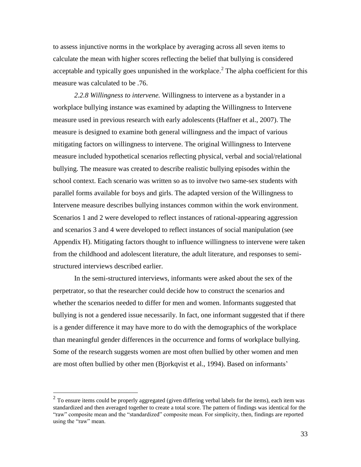to assess injunctive norms in the workplace by averaging across all seven items to calculate the mean with higher scores reflecting the belief that bullying is considered acceptable and typically goes unpunished in the workplace.<sup>2</sup> The alpha coefficient for this measure was calculated to be .76.

*2.2.8 Willingness to intervene.* Willingness to intervene as a bystander in a workplace bullying instance was examined by adapting the Willingness to Intervene measure used in previous research with early adolescents (Haffner et al., 2007). The measure is designed to examine both general willingness and the impact of various mitigating factors on willingness to intervene. The original Willingness to Intervene measure included hypothetical scenarios reflecting physical, verbal and social/relational bullying. The measure was created to describe realistic bullying episodes within the school context. Each scenario was written so as to involve two same-sex students with parallel forms available for boys and girls. The adapted version of the Willingness to Intervene measure describes bullying instances common within the work environment. Scenarios 1 and 2 were developed to reflect instances of rational-appearing aggression and scenarios 3 and 4 were developed to reflect instances of social manipulation (see Appendix H). Mitigating factors thought to influence willingness to intervene were taken from the childhood and adolescent literature, the adult literature, and responses to semistructured interviews described earlier.

In the semi-structured interviews, informants were asked about the sex of the perpetrator, so that the researcher could decide how to construct the scenarios and whether the scenarios needed to differ for men and women. Informants suggested that bullying is not a gendered issue necessarily. In fact, one informant suggested that if there is a gender difference it may have more to do with the demographics of the workplace than meaningful gender differences in the occurrence and forms of workplace bullying. Some of the research suggests women are most often bullied by other women and men are most often bullied by other men (Bjorkqvist et al., 1994). Based on informants"

 $\overline{a}$ 

 $2^{2}$  To ensure items could be properly aggregated (given differing verbal labels for the items), each item was standardized and then averaged together to create a total score. The pattern of findings was identical for the "raw" composite mean and the "standardized" composite mean. For simplicity, then, findings are reported using the "raw" mean.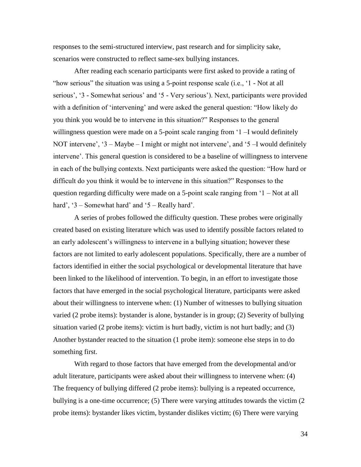responses to the semi-structured interview, past research and for simplicity sake, scenarios were constructed to reflect same-sex bullying instances.

After reading each scenario participants were first asked to provide a rating of "how serious" the situation was using a 5-point response scale (i.e., "1 - Not at all serious', '3 - Somewhat serious' and '5 - Very serious'). Next, participants were provided with a definition of 'intervening' and were asked the general question: "How likely do you think you would be to intervene in this situation?" Responses to the general willingness question were made on a 5-point scale ranging from '1 –I would definitely NOT intervene', '3 – Maybe – I might or might not intervene', and '5 –I would definitely intervene". This general question is considered to be a baseline of willingness to intervene in each of the bullying contexts. Next participants were asked the question: "How hard or difficult do you think it would be to intervene in this situation?" Responses to the question regarding difficulty were made on a 5-point scale ranging from "1 – Not at all hard', ' $3 -$ Somewhat hard' and ' $5 -$ Really hard'.

A series of probes followed the difficulty question. These probes were originally created based on existing literature which was used to identify possible factors related to an early adolescent"s willingness to intervene in a bullying situation; however these factors are not limited to early adolescent populations. Specifically, there are a number of factors identified in either the social psychological or developmental literature that have been linked to the likelihood of intervention. To begin, in an effort to investigate those factors that have emerged in the social psychological literature, participants were asked about their willingness to intervene when: (1) Number of witnesses to bullying situation varied (2 probe items): bystander is alone, bystander is in group; (2) Severity of bullying situation varied (2 probe items): victim is hurt badly, victim is not hurt badly; and (3) Another bystander reacted to the situation (1 probe item): someone else steps in to do something first.

With regard to those factors that have emerged from the developmental and/or adult literature, participants were asked about their willingness to intervene when: (4) The frequency of bullying differed (2 probe items): bullying is a repeated occurrence, bullying is a one-time occurrence; (5) There were varying attitudes towards the victim (2 probe items): bystander likes victim, bystander dislikes victim; (6) There were varying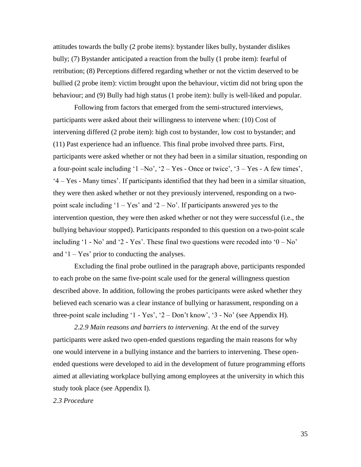attitudes towards the bully (2 probe items): bystander likes bully, bystander dislikes bully; (7) Bystander anticipated a reaction from the bully (1 probe item): fearful of retribution; (8) Perceptions differed regarding whether or not the victim deserved to be bullied (2 probe item): victim brought upon the behaviour, victim did not bring upon the behaviour; and (9) Bully had high status (1 probe item): bully is well-liked and popular.

Following from factors that emerged from the semi-structured interviews, participants were asked about their willingness to intervene when: (10) Cost of intervening differed (2 probe item): high cost to bystander, low cost to bystander; and (11) Past experience had an influence. This final probe involved three parts. First, participants were asked whether or not they had been in a similar situation, responding on a four-point scale including  $1 - No'$ ,  $2 - Yes$  - Once or twice',  $3 - Yes$  - A few times', "4 – Yes - Many times". If participants identified that they had been in a similar situation, they were then asked whether or not they previously intervened, responding on a twopoint scale including  $1 - Yes'$  and  $2 - No'$ . If participants answered yes to the intervention question, they were then asked whether or not they were successful (i.e., the bullying behaviour stopped). Participants responded to this question on a two-point scale including '1 - No' and '2 - Yes'. These final two questions were recoded into ' $0 - No$ ' and  $1 - Yes'$  prior to conducting the analyses.

Excluding the final probe outlined in the paragraph above, participants responded to each probe on the same five-point scale used for the general willingness question described above. In addition, following the probes participants were asked whether they believed each scenario was a clear instance of bullying or harassment, responding on a three-point scale including '1 - Yes', '2 – Don't know', '3 - No' (see Appendix H).

*2.2.9 Main reasons and barriers to intervening.* At the end of the survey participants were asked two open-ended questions regarding the main reasons for why one would intervene in a bullying instance and the barriers to intervening. These openended questions were developed to aid in the development of future programming efforts aimed at alleviating workplace bullying among employees at the university in which this study took place (see Appendix I).

## *2.3 Procedure*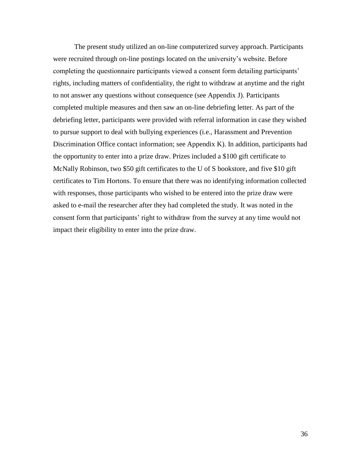The present study utilized an on-line computerized survey approach. Participants were recruited through on-line postings located on the university"s website. Before completing the questionnaire participants viewed a consent form detailing participants' rights, including matters of confidentiality, the right to withdraw at anytime and the right to not answer any questions without consequence (see Appendix J). Participants completed multiple measures and then saw an on-line debriefing letter. As part of the debriefing letter, participants were provided with referral information in case they wished to pursue support to deal with bullying experiences (i.e., Harassment and Prevention Discrimination Office contact information; see Appendix K). In addition, participants had the opportunity to enter into a prize draw. Prizes included a \$100 gift certificate to McNally Robinson, two \$50 gift certificates to the U of S bookstore, and five \$10 gift certificates to Tim Hortons. To ensure that there was no identifying information collected with responses, those participants who wished to be entered into the prize draw were asked to e-mail the researcher after they had completed the study. It was noted in the consent form that participants' right to withdraw from the survey at any time would not impact their eligibility to enter into the prize draw.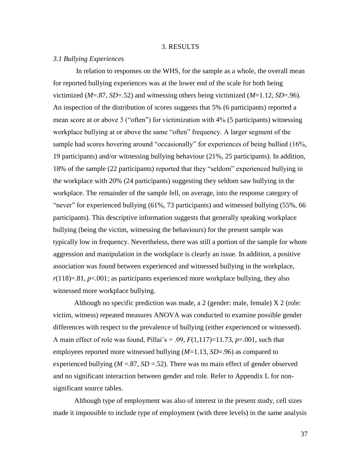### 3. RESULTS

## *3.1 Bullying Experiences*

In relation to responses on the WHS, for the sample as a whole, the overall mean for reported bullying experiences was at the lower end of the scale for both being victimized (*M*=.87, *SD*=.52) and witnessing others being victimized (*M*=1.12, *SD*=.96). An inspection of the distribution of scores suggests that 5% (6 participants) reported a mean score at or above 3 ("often") for victimization with 4% (5 participants) witnessing workplace bullying at or above the same "often" frequency. A larger segment of the sample had scores hovering around "occasionally" for experiences of being bullied (16%, 19 participants) and/or witnessing bullying behaviour (21%, 25 participants). In addition, 18% of the sample (22 participants) reported that they "seldom" experienced bullying in the workplace with 20% (24 participants) suggesting they seldom saw bullying in the workplace. The remainder of the sample fell, on average, into the response category of "never" for experienced bullying (61%, 73 participants) and witnessed bullying (55%, 66 participants). This descriptive information suggests that generally speaking workplace bullying (being the victim, witnessing the behaviours) for the present sample was typically low in frequency. Nevertheless, there was still a portion of the sample for whom aggression and manipulation in the workplace is clearly an issue. In addition, a positive association was found between experienced and witnessed bullying in the workplace,  $r(118)=81, p<.001$ ; as participants experienced more workplace bullying, they also witnessed more workplace bullying.

Although no specific prediction was made, a 2 (gender: male, female) X 2 (role: victim, witness) repeated measures ANOVA was conducted to examine possible gender differences with respect to the prevalence of bullying (either experienced or witnessed). A main effect of role was found, Pillai's = .09,  $F(1,117)=11.73$ ,  $p=.001$ , such that employees reported more witnessed bullying (*M*=1.13, *SD*=.96) as compared to experienced bullying ( $M = 0.87$ ,  $SD = 0.52$ ). There was no main effect of gender observed and no significant interaction between gender and role. Refer to Appendix L for nonsignificant source tables.

Although type of employment was also of interest in the present study, cell sizes made it impossible to include type of employment (with three levels) in the same analysis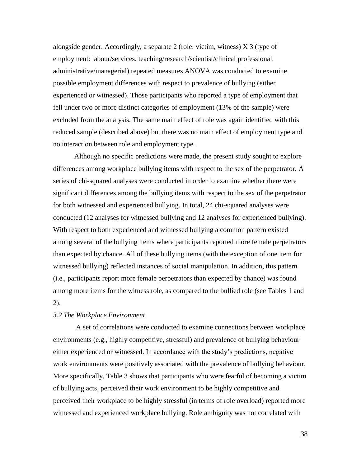alongside gender. Accordingly, a separate 2 (role: victim, witness)  $X_3$  (type of employment: labour/services, teaching/research/scientist/clinical professional, administrative/managerial) repeated measures ANOVA was conducted to examine possible employment differences with respect to prevalence of bullying (either experienced or witnessed). Those participants who reported a type of employment that fell under two or more distinct categories of employment (13% of the sample) were excluded from the analysis. The same main effect of role was again identified with this reduced sample (described above) but there was no main effect of employment type and no interaction between role and employment type.

Although no specific predictions were made, the present study sought to explore differences among workplace bullying items with respect to the sex of the perpetrator. A series of chi-squared analyses were conducted in order to examine whether there were significant differences among the bullying items with respect to the sex of the perpetrator for both witnessed and experienced bullying. In total, 24 chi-squared analyses were conducted (12 analyses for witnessed bullying and 12 analyses for experienced bullying). With respect to both experienced and witnessed bullying a common pattern existed among several of the bullying items where participants reported more female perpetrators than expected by chance. All of these bullying items (with the exception of one item for witnessed bullying) reflected instances of social manipulation. In addition, this pattern (i.e., participants report more female perpetrators than expected by chance) was found among more items for the witness role, as compared to the bullied role (see Tables 1 and 2).

## *3.2 The Workplace Environment*

A set of correlations were conducted to examine connections between workplace environments (e.g., highly competitive, stressful) and prevalence of bullying behaviour either experienced or witnessed. In accordance with the study"s predictions, negative work environments were positively associated with the prevalence of bullying behaviour. More specifically, Table 3 shows that participants who were fearful of becoming a victim of bullying acts, perceived their work environment to be highly competitive and perceived their workplace to be highly stressful (in terms of role overload) reported more witnessed and experienced workplace bullying. Role ambiguity was not correlated with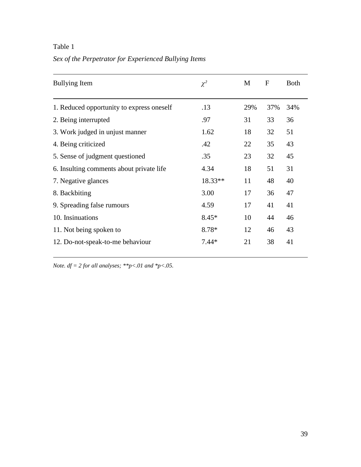*Sex of the Perpetrator for Experienced Bullying Items*

| <b>Bullying Item</b>                      | $\chi^2$  | M   | $\boldsymbol{F}$ | <b>Both</b> |
|-------------------------------------------|-----------|-----|------------------|-------------|
| 1. Reduced opportunity to express oneself | .13       | 29% | 37%              | 34%         |
| 2. Being interrupted                      | .97       | 31  | 33               | 36          |
| 3. Work judged in unjust manner           | 1.62      | 18  | 32               | 51          |
| 4. Being criticized                       | .42       | 22  | 35               | 43          |
| 5. Sense of judgment questioned           | .35       | 23  | 32               | 45          |
| 6. Insulting comments about private life  | 4.34      | 18  | 51               | 31          |
| 7. Negative glances                       | $18.33**$ | 11  | 48               | 40          |
| 8. Backbiting                             | 3.00      | 17  | 36               | 47          |
| 9. Spreading false rumours                | 4.59      | 17  | 41               | 41          |
| 10. Insinuations                          | $8.45*$   | 10  | 44               | 46          |
| 11. Not being spoken to                   | 8.78*     | 12  | 46               | 43          |
| 12. Do-not-speak-to-me behaviour          | $7.44*$   | 21  | 38               | 41          |
|                                           |           |     |                  |             |

*Note. df = 2 for all analyses; \*\*p<.01 and \*p<.05.*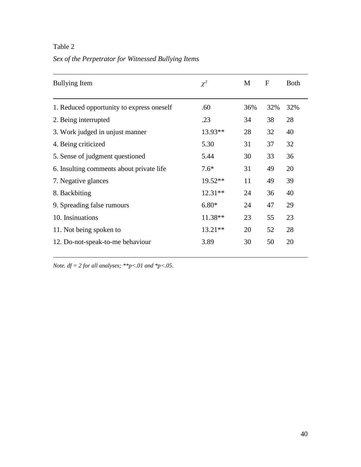# *Sex of the Perpetrator for Witnessed Bullying Items*

| <b>Bullying Item</b>                      | $\chi^2$  | M   | F   | <b>Both</b> |
|-------------------------------------------|-----------|-----|-----|-------------|
| 1. Reduced opportunity to express oneself | .60       | 36% | 32% | 32%         |
| 2. Being interrupted                      | .23       | 34  | 38  | 28          |
| 3. Work judged in unjust manner           | 13.93**   | 28  | 32  | 40          |
| 4. Being criticized                       | 5.30      | 31  | 37  | 32          |
| 5. Sense of judgment questioned           | 5.44      | 30  | 33  | 36          |
| 6. Insulting comments about private life  | $7.6*$    | 31  | 49  | 20          |
| 7. Negative glances                       | $19.52**$ | 11  | 49  | 39          |
| 8. Backbiting                             | $12.31**$ | 24  | 36  | 40          |
| 9. Spreading false rumours                | $6.80*$   | 24  | 47  | 29          |
| 10. Insinuations                          | 11.38**   | 23  | 55  | 23          |
| 11. Not being spoken to                   | $13.21**$ | 20  | 52  | 28          |
| 12. Do-not-speak-to-me behaviour          | 3.89      | 30  | 50  | 20          |
|                                           |           |     |     |             |

*Note. df = 2 for all analyses; \*\*p<.01 and \*p<.05.*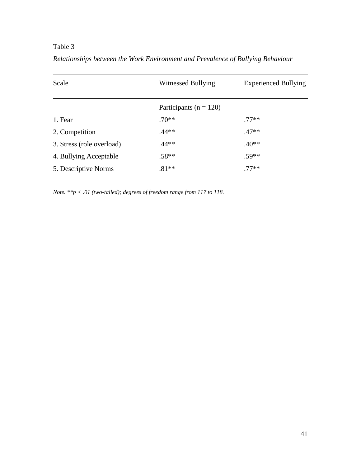| Scale                     | Witnessed Bullying         | <b>Experienced Bullying</b> |  |
|---------------------------|----------------------------|-----------------------------|--|
|                           | Participants ( $n = 120$ ) |                             |  |
| 1. Fear                   | $.70**$                    | $.77**$                     |  |
| 2. Competition            | $.44**$                    | $.47**$                     |  |
| 3. Stress (role overload) | $.44**$                    | $.40**$                     |  |
| 4. Bullying Acceptable    | $.58**$                    | $.59**$                     |  |
| 5. Descriptive Norms      | $.81**$                    | $.77**$                     |  |

*Relationships between the Work Environment and Prevalence of Bullying Behaviour*

*Note. \*\*p < .01 (two-tailed); degrees of freedom range from 117 to 118.*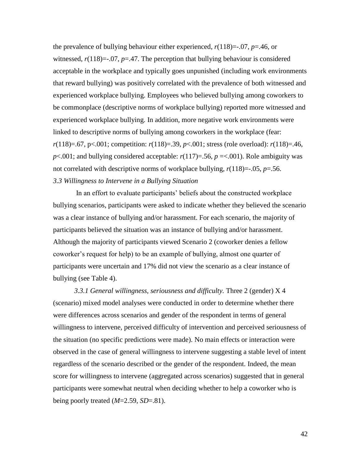the prevalence of bullying behaviour either experienced,  $r(118) = .07$ ,  $p = .46$ , or witnessed,  $r(118) = -0.07$ ,  $p = 0.47$ . The perception that bullying behaviour is considered acceptable in the workplace and typically goes unpunished (including work environments that reward bullying) was positively correlated with the prevalence of both witnessed and experienced workplace bullying. Employees who believed bullying among coworkers to be commonplace (descriptive norms of workplace bullying) reported more witnessed and experienced workplace bullying. In addition, more negative work environments were linked to descriptive norms of bullying among coworkers in the workplace (fear: *r*(118)=.67, p<.001; competition: *r*(118)=.39, *p*<.001; stress (role overload): *r*(118)=.46,  $p$ <.001; and bullying considered acceptable:  $r(117)=.56$ ,  $p = <.001$ ). Role ambiguity was not correlated with descriptive norms of workplace bullying,  $r(118) = -0.05$ ,  $p = 0.56$ . *3.3 Willingness to Intervene in a Bullying Situation*

In an effort to evaluate participants' beliefs about the constructed workplace bullying scenarios, participants were asked to indicate whether they believed the scenario was a clear instance of bullying and/or harassment. For each scenario, the majority of participants believed the situation was an instance of bullying and/or harassment. Although the majority of participants viewed Scenario 2 (coworker denies a fellow coworker"s request for help) to be an example of bullying, almost one quarter of participants were uncertain and 17% did not view the scenario as a clear instance of bullying (see Table 4).

*3.3.1 General willingness, seriousness and difficulty.* Three 2 (gender) X 4 (scenario) mixed model analyses were conducted in order to determine whether there were differences across scenarios and gender of the respondent in terms of general willingness to intervene, perceived difficulty of intervention and perceived seriousness of the situation (no specific predictions were made). No main effects or interaction were observed in the case of general willingness to intervene suggesting a stable level of intent regardless of the scenario described or the gender of the respondent. Indeed, the mean score for willingness to intervene (aggregated across scenarios) suggested that in general participants were somewhat neutral when deciding whether to help a coworker who is being poorly treated (*M*=2.59, *SD*=.81).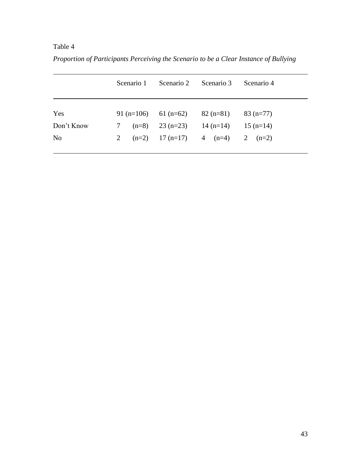*Proportion of Participants Perceiving the Scenario to be a Clear Instance of Bullying*

|                |   | Scenario 1 | Scenario 2                      | Scenario 3                              | Scenario 4 |
|----------------|---|------------|---------------------------------|-----------------------------------------|------------|
|                |   |            |                                 |                                         |            |
| Yes            |   |            |                                 | 91 (n=106) 61 (n=62) 82 (n=81)          | $83(n=77)$ |
| Don't Know     | 7 |            | $(n=8)$ 23 $(n=23)$ 14 $(n=14)$ |                                         | $15(n=14)$ |
| N <sub>o</sub> | 2 |            |                                 | $(n=2)$ 17 $(n=17)$ 4 $(n=4)$ 2 $(n=2)$ |            |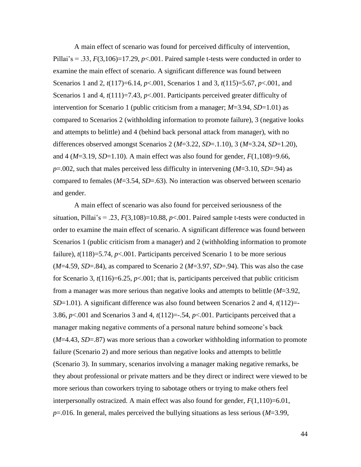A main effect of scenario was found for perceived difficulty of intervention, Pillai's  $= .33, F(3,106) = 17.29, p < .001$ . Paired sample t-tests were conducted in order to examine the main effect of scenario. A significant difference was found between Scenarios 1 and 2, *t*(117)=6.14, *p*<.001, Scenarios 1 and 3, *t*(115)=5.67, *p*<.001, and Scenarios 1 and 4,  $t(111)=7.43$ ,  $p<0.001$ . Participants perceived greater difficulty of intervention for Scenario 1 (public criticism from a manager; *M*=3.94, *SD*=1.01) as compared to Scenarios 2 (withholding information to promote failure), 3 (negative looks and attempts to belittle) and 4 (behind back personal attack from manager), with no differences observed amongst Scenarios 2 (*M*=3.22, *SD*=.1.10), 3 (*M*=3.24, *SD*=1.20), and 4 (*M*=3.19, *SD*=1.10). A main effect was also found for gender, *F*(1,108)=9.66, *p*=.002, such that males perceived less difficulty in intervening (*M*=3.10, *SD*=.94) as compared to females (*M*=3.54, *SD*=.63). No interaction was observed between scenario and gender.

A main effect of scenario was also found for perceived seriousness of the situation, Pillai's = .23,  $F(3,108)$ =10.88,  $p<0.001$ . Paired sample t-tests were conducted in order to examine the main effect of scenario. A significant difference was found between Scenarios 1 (public criticism from a manager) and 2 (withholding information to promote failure),  $t(118)=5.74$ ,  $p<.001$ . Participants perceived Scenario 1 to be more serious  $(M=4.59, SD=.84)$ , as compared to Scenario 2  $(M=3.97, SD=.94)$ . This was also the case for Scenario 3, *t*(116)=6.25, *p*<.001; that is, participants perceived that public criticism from a manager was more serious than negative looks and attempts to belittle (*M*=3.92, *SD*=1.01). A significant difference was also found between Scenarios 2 and 4, *t*(112)=- 3.86,  $p<.001$  and Scenarios 3 and 4,  $t(112)=-.54$ ,  $p<.001$ . Participants perceived that a manager making negative comments of a personal nature behind someone's back (*M*=4.43, *SD*=.87) was more serious than a coworker withholding information to promote failure (Scenario 2) and more serious than negative looks and attempts to belittle (Scenario 3). In summary, scenarios involving a manager making negative remarks, be they about professional or private matters and be they direct or indirect were viewed to be more serious than coworkers trying to sabotage others or trying to make others feel interpersonally ostracized. A main effect was also found for gender,  $F(1,110)=6.01$ , *p*=.016. In general, males perceived the bullying situations as less serious (*M*=3.99,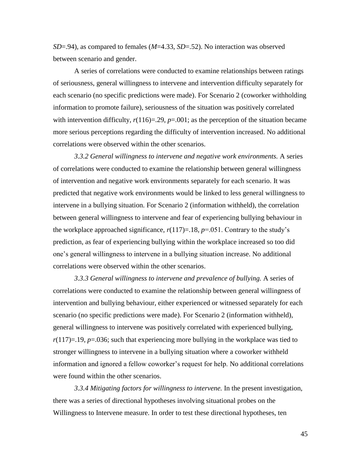*SD*=.94), as compared to females (*M*=4.33, *SD*=.52). No interaction was observed between scenario and gender.

A series of correlations were conducted to examine relationships between ratings of seriousness, general willingness to intervene and intervention difficulty separately for each scenario (no specific predictions were made). For Scenario 2 (coworker withholding information to promote failure), seriousness of the situation was positively correlated with intervention difficulty,  $r(116)=.29$ ,  $p=.001$ ; as the perception of the situation became more serious perceptions regarding the difficulty of intervention increased. No additional correlations were observed within the other scenarios.

*3.3.2 General willingness to intervene and negative work environments.* A series of correlations were conducted to examine the relationship between general willingness of intervention and negative work environments separately for each scenario. It was predicted that negative work environments would be linked to less general willingness to intervene in a bullying situation. For Scenario 2 (information withheld), the correlation between general willingness to intervene and fear of experiencing bullying behaviour in the workplace approached significance,  $r(117)=18$ ,  $p=.051$ . Contrary to the study's prediction, as fear of experiencing bullying within the workplace increased so too did one"s general willingness to intervene in a bullying situation increase. No additional correlations were observed within the other scenarios.

*3.3.3 General willingness to intervene and prevalence of bullying.* A series of correlations were conducted to examine the relationship between general willingness of intervention and bullying behaviour, either experienced or witnessed separately for each scenario (no specific predictions were made). For Scenario 2 (information withheld), general willingness to intervene was positively correlated with experienced bullying,  $r(117)=19$ ,  $p=.036$ ; such that experiencing more bullying in the workplace was tied to stronger willingness to intervene in a bullying situation where a coworker withheld information and ignored a fellow coworker"s request for help. No additional correlations were found within the other scenarios.

*3.3.4 Mitigating factors for willingness to intervene.* In the present investigation, there was a series of directional hypotheses involving situational probes on the Willingness to Intervene measure. In order to test these directional hypotheses, ten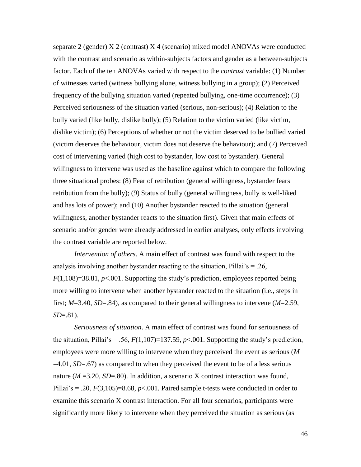separate 2 (gender) X 2 (contrast) X 4 (scenario) mixed model ANOVAs were conducted with the contrast and scenario as within-subjects factors and gender as a between-subjects factor. Each of the ten ANOVAs varied with respect to the *contrast* variable: (1) Number of witnesses varied (witness bullying alone, witness bullying in a group); (2) Perceived frequency of the bullying situation varied (repeated bullying, one-time occurrence); (3) Perceived seriousness of the situation varied (serious, non-serious); (4) Relation to the bully varied (like bully, dislike bully); (5) Relation to the victim varied (like victim, dislike victim); (6) Perceptions of whether or not the victim deserved to be bullied varied (victim deserves the behaviour, victim does not deserve the behaviour); and (7) Perceived cost of intervening varied (high cost to bystander, low cost to bystander). General willingness to intervene was used as the baseline against which to compare the following three situational probes: (8) Fear of retribution (general willingness, bystander fears retribution from the bully); (9) Status of bully (general willingness, bully is well-liked and has lots of power); and (10) Another bystander reacted to the situation (general willingness, another bystander reacts to the situation first). Given that main effects of scenario and/or gender were already addressed in earlier analyses, only effects involving the contrast variable are reported below.

*Intervention of others*. A main effect of contrast was found with respect to the analysis involving another bystander reacting to the situation, Pillai's  $= .26$ , *F*(1,108)=38.81, *p*<.001. Supporting the study's prediction, employees reported being more willing to intervene when another bystander reacted to the situation (i.e., steps in first; *M*=3.40, *SD*=.84), as compared to their general willingness to intervene (*M*=2.59, *SD*=.81).

*Seriousness of situation*. A main effect of contrast was found for seriousness of the situation, Pillai's = .56,  $F(1,107)$ =137.59,  $p<.001$ . Supporting the study's prediction, employees were more willing to intervene when they perceived the event as serious (*M*  $=4.01$ , *SD*=.67) as compared to when they perceived the event to be of a less serious nature ( $M = 3.20$ ,  $SD = .80$ ). In addition, a scenario X contrast interaction was found, Pillai's = .20,  $F(3,105)$ =8.68,  $p<0.001$ . Paired sample t-tests were conducted in order to examine this scenario X contrast interaction. For all four scenarios, participants were significantly more likely to intervene when they perceived the situation as serious (as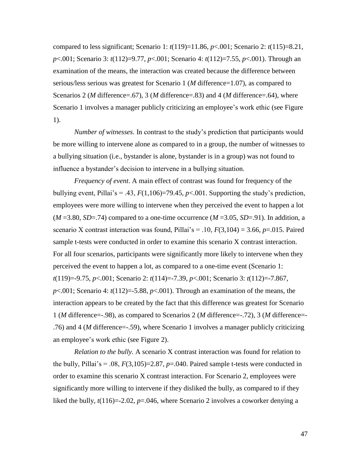compared to less significant; Scenario 1:  $t(119)=11.86$ ,  $p<0.001$ ; Scenario 2:  $t(115)=8.21$ , *p*<.001; Scenario 3: *t*(112)=9.77, *p*<.001; Scenario 4: *t*(112)=7.55, *p*<.001). Through an examination of the means, the interaction was created because the difference between serious/less serious was greatest for Scenario 1 (*M* difference=1.07), as compared to Scenarios 2 (*M* difference=.67), 3 (*M* difference=.83) and 4 (*M* difference=.64), where Scenario 1 involves a manager publicly criticizing an employee"s work ethic (see Figure 1).

*Number of witnesses.* In contrast to the study"s prediction that participants would be more willing to intervene alone as compared to in a group, the number of witnesses to a bullying situation (i.e., bystander is alone, bystander is in a group) was not found to influence a bystander"s decision to intervene in a bullying situation.

*Frequency of event*. A main effect of contrast was found for frequency of the bullying event, Pillai's = .43,  $F(1,106) = 79.45$ ,  $p < .001$ . Supporting the study's prediction, employees were more willing to intervene when they perceived the event to happen a lot  $(M = 3.80, SD = .74)$  compared to a one-time occurrence  $(M = 3.05, SD = .91)$ . In addition, a scenario X contrast interaction was found, Pillai's = .10,  $F(3,104) = 3.66$ ,  $p = .015$ . Paired sample t-tests were conducted in order to examine this scenario X contrast interaction. For all four scenarios, participants were significantly more likely to intervene when they perceived the event to happen a lot, as compared to a one-time event (Scenario 1: *t*(119)=-9.75, *p*<.001; Scenario 2: *t*(114)=-7.39, *p*<.001; Scenario 3: *t*(112)=-7.867,  $p<.001$ ; Scenario 4:  $t(112)=5.88$ ,  $p<.001$ ). Through an examination of the means, the interaction appears to be created by the fact that this difference was greatest for Scenario 1 (*M* difference=-.98), as compared to Scenarios 2 (*M* difference=-.72), 3 (*M* difference=- .76) and 4 (*M* difference=-.59), where Scenario 1 involves a manager publicly criticizing an employee"s work ethic (see Figure 2).

*Relation to the bully.* A scenario X contrast interaction was found for relation to the bully, Pillai's = .08,  $F(3,105)=2.87$ ,  $p=.040$ . Paired sample t-tests were conducted in order to examine this scenario X contrast interaction. For Scenario 2, employees were significantly more willing to intervene if they disliked the bully, as compared to if they liked the bully,  $t(116)=2.02$ ,  $p=.046$ , where Scenario 2 involves a coworker denying a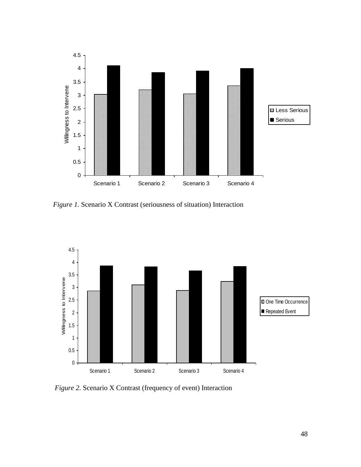

*Figure 1.* Scenario X Contrast (seriousness of situation) Interaction



*Figure 2.* Scenario X Contrast (frequency of event) Interaction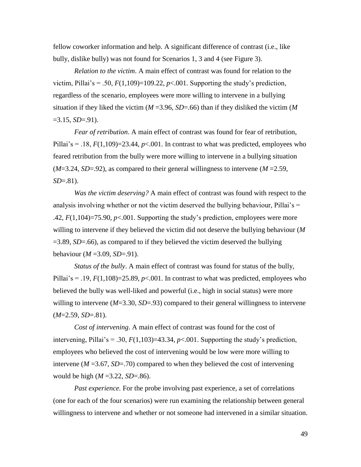fellow coworker information and help. A significant difference of contrast (i.e., like bully, dislike bully) was not found for Scenarios 1, 3 and 4 (see Figure 3).

*Relation to the victim*. A main effect of contrast was found for relation to the victim, Pillai's = .50,  $F(1,109)$ =109.22,  $p<0.001$ . Supporting the study's prediction, regardless of the scenario, employees were more willing to intervene in a bullying situation if they liked the victim (*M* =3.96, *SD*=.66) than if they disliked the victim (*M*  $=3.15, SD = .91$ ).

*Fear of retribution*. A main effect of contrast was found for fear of retribution, Pillai's = .18,  $F(1,109) = 23.44$ ,  $p < .001$ . In contrast to what was predicted, employees who feared retribution from the bully were more willing to intervene in a bullying situation  $(M=3.24, SD=92)$ , as compared to their general willingness to intervene  $(M=2.59, M=3.24)$ *SD*=.81).

*Was the victim deserving?* A main effect of contrast was found with respect to the analysis involving whether or not the victim deserved the bullying behaviour, Pillai's  $=$ .42,  $F(1,104)=75.90$ ,  $p<0.01$ . Supporting the study's prediction, employees were more willing to intervene if they believed the victim did not deserve the bullying behaviour (*M* =3.89, *SD*=.66), as compared to if they believed the victim deserved the bullying behaviour (*M* =3.09, *SD*=.91).

*Status of the bully*. A main effect of contrast was found for status of the bully, Pillai's = .19,  $F(1,108) = 25.89$ ,  $p < .001$ . In contrast to what was predicted, employees who believed the bully was well-liked and powerful (i.e., high in social status) were more willing to intervene (*M*=3.30, *SD*=.93) compared to their general willingness to intervene  $(M=2.59, SD=.81)$ .

*Cost of intervening*. A main effect of contrast was found for the cost of intervening, Pillai's = .30,  $F(1,103) = 43.34$ ,  $p < .001$ . Supporting the study's prediction, employees who believed the cost of intervening would be low were more willing to intervene  $(M = 3.67, SD = .70)$  compared to when they believed the cost of intervening would be high (*M* =3.22, *SD*=.86).

*Past experience.* For the probe involving past experience, a set of correlations (one for each of the four scenarios) were run examining the relationship between general willingness to intervene and whether or not someone had intervened in a similar situation.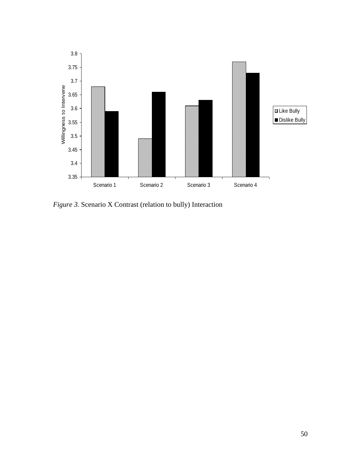

*Figure 3.* Scenario X Contrast (relation to bully) Interaction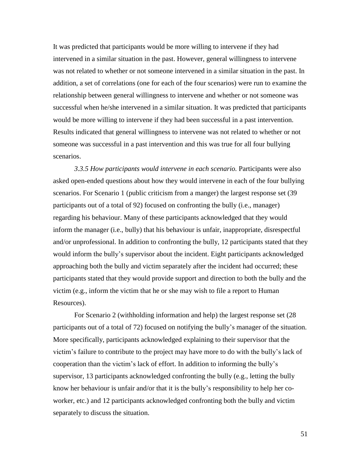It was predicted that participants would be more willing to intervene if they had intervened in a similar situation in the past. However, general willingness to intervene was not related to whether or not someone intervened in a similar situation in the past. In addition, a set of correlations (one for each of the four scenarios) were run to examine the relationship between general willingness to intervene and whether or not someone was successful when he/she intervened in a similar situation. It was predicted that participants would be more willing to intervene if they had been successful in a past intervention. Results indicated that general willingness to intervene was not related to whether or not someone was successful in a past intervention and this was true for all four bullying scenarios.

*3.3.5 How participants would intervene in each scenario.* Participants were also asked open-ended questions about how they would intervene in each of the four bullying scenarios. For Scenario 1 (public criticism from a manger) the largest response set (39 participants out of a total of 92) focused on confronting the bully (i.e., manager) regarding his behaviour. Many of these participants acknowledged that they would inform the manager (i.e., bully) that his behaviour is unfair, inappropriate, disrespectful and/or unprofessional. In addition to confronting the bully, 12 participants stated that they would inform the bully"s supervisor about the incident. Eight participants acknowledged approaching both the bully and victim separately after the incident had occurred; these participants stated that they would provide support and direction to both the bully and the victim (e.g., inform the victim that he or she may wish to file a report to Human Resources).

For Scenario 2 (withholding information and help) the largest response set (28 participants out of a total of 72) focused on notifying the bully"s manager of the situation. More specifically, participants acknowledged explaining to their supervisor that the victim"s failure to contribute to the project may have more to do with the bully"s lack of cooperation than the victim"s lack of effort. In addition to informing the bully"s supervisor, 13 participants acknowledged confronting the bully (e.g., letting the bully know her behaviour is unfair and/or that it is the bully"s responsibility to help her coworker, etc.) and 12 participants acknowledged confronting both the bully and victim separately to discuss the situation.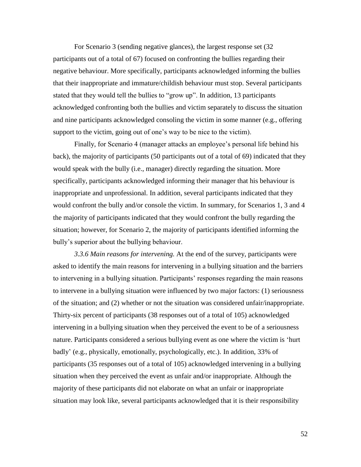For Scenario 3 (sending negative glances), the largest response set (32 participants out of a total of 67) focused on confronting the bullies regarding their negative behaviour. More specifically, participants acknowledged informing the bullies that their inappropriate and immature/childish behaviour must stop. Several participants stated that they would tell the bullies to "grow up". In addition, 13 participants acknowledged confronting both the bullies and victim separately to discuss the situation and nine participants acknowledged consoling the victim in some manner (e.g., offering support to the victim, going out of one's way to be nice to the victim).

Finally, for Scenario 4 (manager attacks an employee's personal life behind his back), the majority of participants (50 participants out of a total of 69) indicated that they would speak with the bully (i.e., manager) directly regarding the situation. More specifically, participants acknowledged informing their manager that his behaviour is inappropriate and unprofessional. In addition, several participants indicated that they would confront the bully and/or console the victim. In summary, for Scenarios 1, 3 and 4 the majority of participants indicated that they would confront the bully regarding the situation; however, for Scenario 2, the majority of participants identified informing the bully"s superior about the bullying behaviour.

*3.3.6 Main reasons for intervening.* At the end of the survey, participants were asked to identify the main reasons for intervening in a bullying situation and the barriers to intervening in a bullying situation. Participants' responses regarding the main reasons to intervene in a bullying situation were influenced by two major factors: (1) seriousness of the situation; and (2) whether or not the situation was considered unfair/inappropriate. Thirty-six percent of participants (38 responses out of a total of 105) acknowledged intervening in a bullying situation when they perceived the event to be of a seriousness nature. Participants considered a serious bullying event as one where the victim is "hurt badly" (e.g., physically, emotionally, psychologically, etc.). In addition, 33% of participants (35 responses out of a total of 105) acknowledged intervening in a bullying situation when they perceived the event as unfair and/or inappropriate. Although the majority of these participants did not elaborate on what an unfair or inappropriate situation may look like, several participants acknowledged that it is their responsibility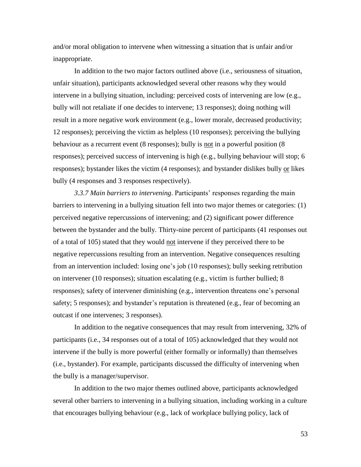and/or moral obligation to intervene when witnessing a situation that is unfair and/or inappropriate.

In addition to the two major factors outlined above (i.e., seriousness of situation, unfair situation), participants acknowledged several other reasons why they would intervene in a bullying situation, including: perceived costs of intervening are low (e.g., bully will not retaliate if one decides to intervene; 13 responses); doing nothing will result in a more negative work environment (e.g., lower morale, decreased productivity; 12 responses); perceiving the victim as helpless (10 responses); perceiving the bullying behaviour as a recurrent event (8 responses); bully is not in a powerful position (8 responses); perceived success of intervening is high (e.g., bullying behaviour will stop; 6 responses); bystander likes the victim (4 responses); and bystander dislikes bully or likes bully (4 responses and 3 responses respectively).

3.3.7 Main barriers to intervening. Participants' responses regarding the main barriers to intervening in a bullying situation fell into two major themes or categories: (1) perceived negative repercussions of intervening; and (2) significant power difference between the bystander and the bully. Thirty-nine percent of participants (41 responses out of a total of 105) stated that they would not intervene if they perceived there to be negative repercussions resulting from an intervention. Negative consequences resulting from an intervention included: losing one"s job (10 responses); bully seeking retribution on intervener (10 responses); situation escalating (e.g., victim is further bullied; 8 responses); safety of intervener diminishing (e.g., intervention threatens one"s personal safety; 5 responses); and bystander's reputation is threatened (e.g., fear of becoming an outcast if one intervenes; 3 responses).

In addition to the negative consequences that may result from intervening, 32% of participants (i.e., 34 responses out of a total of 105) acknowledged that they would not intervene if the bully is more powerful (either formally or informally) than themselves (i.e., bystander). For example, participants discussed the difficulty of intervening when the bully is a manager/supervisor.

In addition to the two major themes outlined above, participants acknowledged several other barriers to intervening in a bullying situation, including working in a culture that encourages bullying behaviour (e.g., lack of workplace bullying policy, lack of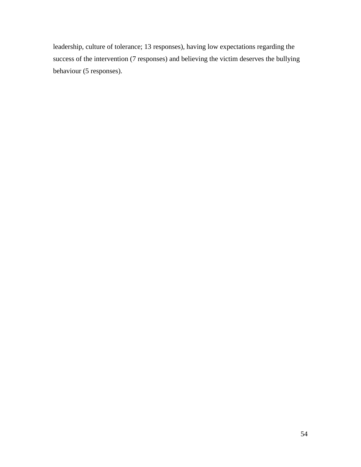leadership, culture of tolerance; 13 responses), having low expectations regarding the success of the intervention (7 responses) and believing the victim deserves the bullying behaviour (5 responses).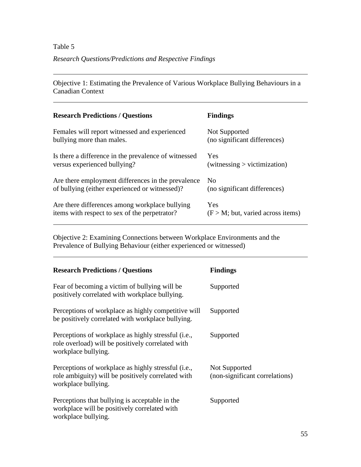# Table 5 *Research Questions/Predictions and Respective Findings*

Objective 1: Estimating the Prevalence of Various Workplace Bullying Behaviours in a Canadian Context

| <b>Research Predictions / Questions</b>              | <b>Findings</b>                     |
|------------------------------------------------------|-------------------------------------|
| Females will report witnessed and experienced        | Not Supported                       |
| bullying more than males.                            | (no significant differences)        |
| Is there a difference in the prevalence of witnessed | Yes                                 |
| versus experienced bullying?                         | witnessing > victimization)         |
| Are there employment differences in the prevalence   | N <sub>0</sub>                      |
| of bullying (either experienced or witnessed)?       | (no significant differences)        |
| Are there differences among workplace bullying       | Yes                                 |
| items with respect to sex of the perpetrator?        | $(F > M;$ but, varied across items) |

Objective 2: Examining Connections between Workplace Environments and the Prevalence of Bullying Behaviour (either experienced or witnessed)

| <b>Research Predictions / Questions</b>                                                                                          | <b>Findings</b>                                 |
|----------------------------------------------------------------------------------------------------------------------------------|-------------------------------------------------|
| Fear of becoming a victim of bullying will be<br>positively correlated with workplace bullying.                                  | Supported                                       |
| Perceptions of workplace as highly competitive will<br>be positively correlated with workplace bullying.                         | Supported                                       |
| Perceptions of workplace as highly stressful (i.e.,<br>role overload) will be positively correlated with<br>workplace bullying.  | Supported                                       |
| Perceptions of workplace as highly stressful (i.e.,<br>role ambiguity) will be positively correlated with<br>workplace bullying. | Not Supported<br>(non-significant correlations) |
| Perceptions that bullying is acceptable in the<br>workplace will be positively correlated with<br>workplace bullying.            | Supported                                       |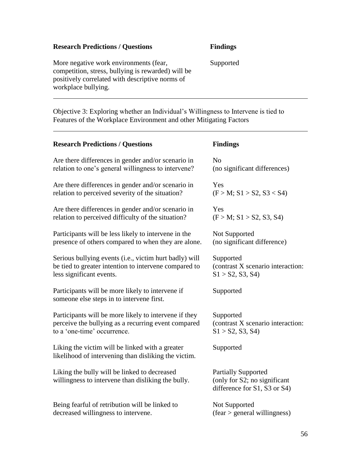## **Research Predictions / Questions Findings**

More negative work environments (fear, competition, stress, bullying is rewarded) will be positively correlated with descriptive norms of workplace bullying.

Supported

Objective 3: Exploring whether an Individual"s Willingness to Intervene is tied to Features of the Workplace Environment and other Mitigating Factors

| <b>Research Predictions / Questions</b>                                                                 | <b>Findings</b>                                                                            |
|---------------------------------------------------------------------------------------------------------|--------------------------------------------------------------------------------------------|
| Are there differences in gender and/or scenario in                                                      | N <sub>0</sub>                                                                             |
| relation to one's general willingness to intervene?                                                     | (no significant differences)                                                               |
| Are there differences in gender and/or scenario in                                                      | Yes                                                                                        |
| relation to perceived severity of the situation?                                                        | (F > M; S1 > S2, S3 < S4)                                                                  |
| Are there differences in gender and/or scenario in                                                      | Yes                                                                                        |
| relation to perceived difficulty of the situation?                                                      | (F > M; S1 > S2, S3, S4)                                                                   |
| Participants will be less likely to intervene in the                                                    | Not Supported                                                                              |
| presence of others compared to when they are alone.                                                     | (no significant difference)                                                                |
| Serious bullying events (i.e., victim hurt badly) will                                                  | Supported                                                                                  |
| be tied to greater intention to intervene compared to                                                   | (contrast X scenario interaction:                                                          |
| less significant events.                                                                                | S1 > S2, S3, S4                                                                            |
| Participants will be more likely to intervene if<br>someone else steps in to intervene first.           | Supported                                                                                  |
| Participants will be more likely to intervene if they                                                   | Supported                                                                                  |
| perceive the bullying as a recurring event compared                                                     | (contrast X scenario interaction:                                                          |
| to a 'one-time' occurrence.                                                                             | S1 > S2, S3, S4                                                                            |
| Liking the victim will be linked with a greater<br>likelihood of intervening than disliking the victim. | Supported                                                                                  |
| Liking the bully will be linked to decreased<br>willingness to intervene than disliking the bully.      | <b>Partially Supported</b><br>(only for S2; no significant<br>difference for S1, S3 or S4) |
| Being fearful of retribution will be linked to                                                          | Not Supported                                                                              |
| decreased willingness to intervene.                                                                     | $(fear > general$ willingness)                                                             |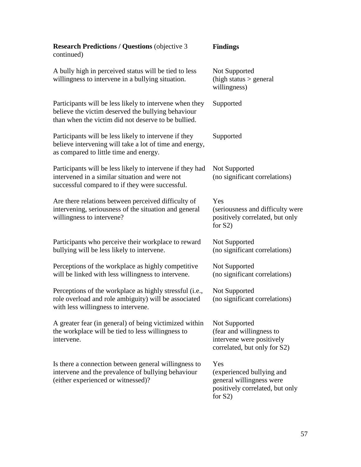| <b>Research Predictions / Questions (objective 3)</b><br>continued)                                                                                                  | <b>Findings</b>                                                                                               |
|----------------------------------------------------------------------------------------------------------------------------------------------------------------------|---------------------------------------------------------------------------------------------------------------|
| A bully high in perceived status will be tied to less<br>willingness to intervene in a bullying situation.                                                           | Not Supported<br>(high status $>$ general<br>willingness)                                                     |
| Participants will be less likely to intervene when they<br>believe the victim deserved the bullying behaviour<br>than when the victim did not deserve to be bullied. | Supported                                                                                                     |
| Participants will be less likely to intervene if they<br>believe intervening will take a lot of time and energy,<br>as compared to little time and energy.           | Supported                                                                                                     |
| Participants will be less likely to intervene if they had<br>intervened in a similar situation and were not<br>successful compared to if they were successful.       | Not Supported<br>(no significant correlations)                                                                |
| Are there relations between perceived difficulty of<br>intervening, seriousness of the situation and general<br>willingness to intervene?                            | Yes<br>(seriousness and difficulty were<br>positively correlated, but only<br>for $S2$ )                      |
| Participants who perceive their workplace to reward<br>bullying will be less likely to intervene.                                                                    | Not Supported<br>(no significant correlations)                                                                |
| Perceptions of the workplace as highly competitive<br>will be linked with less willingness to intervene.                                                             | Not Supported<br>(no significant correlations)                                                                |
| Perceptions of the workplace as highly stressful (i.e.,<br>role overload and role ambiguity) will be associated<br>with less willingness to intervene.               | Not Supported<br>(no significant correlations)                                                                |
| A greater fear (in general) of being victimized within<br>the workplace will be tied to less willingness to<br>intervene.                                            | Not Supported<br>(fear and willingness to<br>intervene were positively<br>correlated, but only for S2)        |
| Is there a connection between general willingness to<br>intervene and the prevalence of bullying behaviour<br>(either experienced or witnessed)?                     | Yes<br>(experienced bullying and<br>general willingness were<br>positively correlated, but only<br>for $S2$ ) |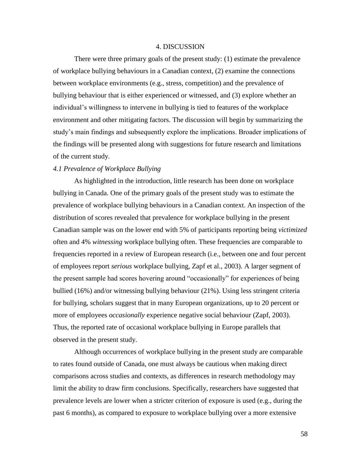#### 4. DISCUSSION

There were three primary goals of the present study: (1) estimate the prevalence of workplace bullying behaviours in a Canadian context, (2) examine the connections between workplace environments (e.g., stress, competition) and the prevalence of bullying behaviour that is either experienced or witnessed, and (3) explore whether an individual"s willingness to intervene in bullying is tied to features of the workplace environment and other mitigating factors. The discussion will begin by summarizing the study"s main findings and subsequently explore the implications. Broader implications of the findings will be presented along with suggestions for future research and limitations of the current study.

## *4.1 Prevalence of Workplace Bullying*

As highlighted in the introduction, little research has been done on workplace bullying in Canada. One of the primary goals of the present study was to estimate the prevalence of workplace bullying behaviours in a Canadian context. An inspection of the distribution of scores revealed that prevalence for workplace bullying in the present Canadian sample was on the lower end with 5% of participants reporting being *victimized* often and 4% *witnessing* workplace bullying often. These frequencies are comparable to frequencies reported in a review of European research (i.e., between one and four percent of employees report *serious* workplace bullying, Zapf et al., 2003). A larger segment of the present sample had scores hovering around "occasionally" for experiences of being bullied (16%) and/or witnessing bullying behaviour (21%). Using less stringent criteria for bullying, scholars suggest that in many European organizations, up to 20 percent or more of employees *occasionally* experience negative social behaviour (Zapf, 2003). Thus, the reported rate of occasional workplace bullying in Europe parallels that observed in the present study.

Although occurrences of workplace bullying in the present study are comparable to rates found outside of Canada, one must always be cautious when making direct comparisons across studies and contexts, as differences in research methodology may limit the ability to draw firm conclusions. Specifically, researchers have suggested that prevalence levels are lower when a stricter criterion of exposure is used (e.g., during the past 6 months), as compared to exposure to workplace bullying over a more extensive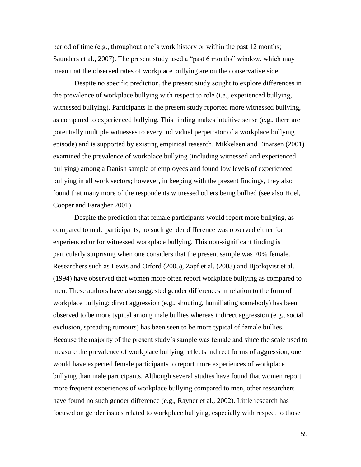period of time (e.g., throughout one"s work history or within the past 12 months; Saunders et al., 2007). The present study used a "past 6 months" window, which may mean that the observed rates of workplace bullying are on the conservative side.

Despite no specific prediction, the present study sought to explore differences in the prevalence of workplace bullying with respect to role (i.e., experienced bullying, witnessed bullying). Participants in the present study reported more witnessed bullying, as compared to experienced bullying. This finding makes intuitive sense (e.g., there are potentially multiple witnesses to every individual perpetrator of a workplace bullying episode) and is supported by existing empirical research. Mikkelsen and Einarsen (2001) examined the prevalence of workplace bullying (including witnessed and experienced bullying) among a Danish sample of employees and found low levels of experienced bullying in all work sectors; however, in keeping with the present findings, they also found that many more of the respondents witnessed others being bullied (see also Hoel, Cooper and Faragher 2001).

Despite the prediction that female participants would report more bullying, as compared to male participants, no such gender difference was observed either for experienced or for witnessed workplace bullying. This non-significant finding is particularly surprising when one considers that the present sample was 70% female. Researchers such as Lewis and Orford (2005), Zapf et al. (2003) and Bjorkqvist et al. (1994) have observed that women more often report workplace bullying as compared to men. These authors have also suggested gender differences in relation to the form of workplace bullying; direct aggression (e.g., shouting, humiliating somebody) has been observed to be more typical among male bullies whereas indirect aggression (e.g., social exclusion, spreading rumours) has been seen to be more typical of female bullies. Because the majority of the present study"s sample was female and since the scale used to measure the prevalence of workplace bullying reflects indirect forms of aggression, one would have expected female participants to report more experiences of workplace bullying than male participants. Although several studies have found that women report more frequent experiences of workplace bullying compared to men, other researchers have found no such gender difference (e.g., Rayner et al., 2002). Little research has focused on gender issues related to workplace bullying, especially with respect to those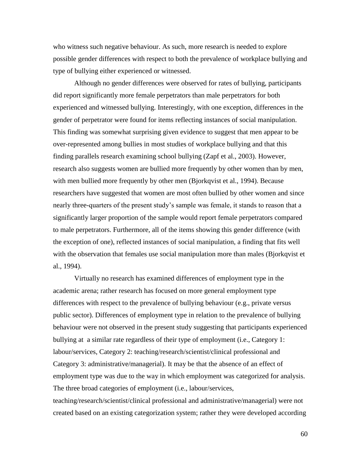who witness such negative behaviour. As such, more research is needed to explore possible gender differences with respect to both the prevalence of workplace bullying and type of bullying either experienced or witnessed.

Although no gender differences were observed for rates of bullying, participants did report significantly more female perpetrators than male perpetrators for both experienced and witnessed bullying. Interestingly, with one exception, differences in the gender of perpetrator were found for items reflecting instances of social manipulation. This finding was somewhat surprising given evidence to suggest that men appear to be over-represented among bullies in most studies of workplace bullying and that this finding parallels research examining school bullying (Zapf et al., 2003). However, research also suggests women are bullied more frequently by other women than by men, with men bullied more frequently by other men (Bjorkqvist et al., 1994). Because researchers have suggested that women are most often bullied by other women and since nearly three-quarters of the present study"s sample was female, it stands to reason that a significantly larger proportion of the sample would report female perpetrators compared to male perpetrators. Furthermore, all of the items showing this gender difference (with the exception of one), reflected instances of social manipulation, a finding that fits well with the observation that females use social manipulation more than males (Bjorkqvist et al., 1994).

Virtually no research has examined differences of employment type in the academic arena; rather research has focused on more general employment type differences with respect to the prevalence of bullying behaviour (e.g., private versus public sector). Differences of employment type in relation to the prevalence of bullying behaviour were not observed in the present study suggesting that participants experienced bullying at a similar rate regardless of their type of employment (i.e., Category 1: labour/services, Category 2: teaching/research/scientist/clinical professional and Category 3: administrative/managerial). It may be that the absence of an effect of employment type was due to the way in which employment was categorized for analysis. The three broad categories of employment (i.e., labour/services, teaching/research/scientist/clinical professional and administrative/managerial) were not created based on an existing categorization system; rather they were developed according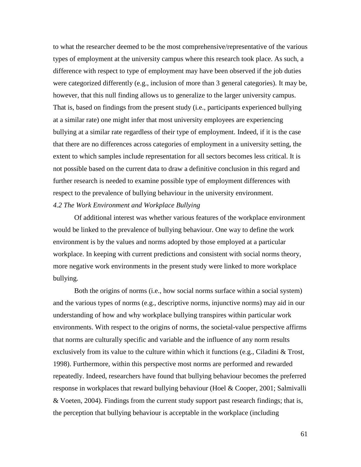to what the researcher deemed to be the most comprehensive/representative of the various types of employment at the university campus where this research took place. As such, a difference with respect to type of employment may have been observed if the job duties were categorized differently (e.g., inclusion of more than 3 general categories). It may be, however, that this null finding allows us to generalize to the larger university campus. That is, based on findings from the present study (i.e., participants experienced bullying at a similar rate) one might infer that most university employees are experiencing bullying at a similar rate regardless of their type of employment. Indeed, if it is the case that there are no differences across categories of employment in a university setting, the extent to which samples include representation for all sectors becomes less critical. It is not possible based on the current data to draw a definitive conclusion in this regard and further research is needed to examine possible type of employment differences with respect to the prevalence of bullying behaviour in the university environment. *4.2 The Work Environment and Workplace Bullying*

Of additional interest was whether various features of the workplace environment would be linked to the prevalence of bullying behaviour. One way to define the work environment is by the values and norms adopted by those employed at a particular workplace. In keeping with current predictions and consistent with social norms theory, more negative work environments in the present study were linked to more workplace bullying.

Both the origins of norms (i.e., how social norms surface within a social system) and the various types of norms (e.g., descriptive norms, injunctive norms) may aid in our understanding of how and why workplace bullying transpires within particular work environments. With respect to the origins of norms, the societal-value perspective affirms that norms are culturally specific and variable and the influence of any norm results exclusively from its value to the culture within which it functions (e.g., Ciladini  $\&$  Trost, 1998). Furthermore, within this perspective most norms are performed and rewarded repeatedly. Indeed, researchers have found that bullying behaviour becomes the preferred response in workplaces that reward bullying behaviour (Hoel & Cooper, 2001; Salmivalli & Voeten, 2004). Findings from the current study support past research findings; that is, the perception that bullying behaviour is acceptable in the workplace (including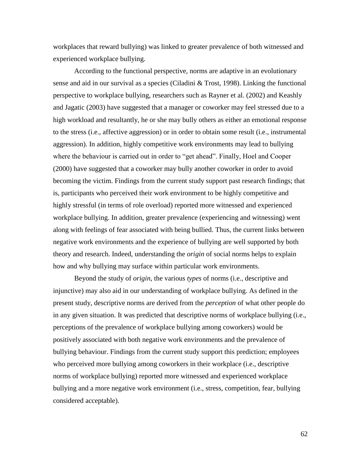workplaces that reward bullying) was linked to greater prevalence of both witnessed and experienced workplace bullying.

According to the functional perspective, norms are adaptive in an evolutionary sense and aid in our survival as a species (Ciladini & Trost, 1998). Linking the functional perspective to workplace bullying, researchers such as Rayner et al. (2002) and Keashly and Jagatic (2003) have suggested that a manager or coworker may feel stressed due to a high workload and resultantly, he or she may bully others as either an emotional response to the stress (i.e., affective aggression) or in order to obtain some result (i.e., instrumental aggression). In addition, highly competitive work environments may lead to bullying where the behaviour is carried out in order to "get ahead". Finally, Hoel and Cooper (2000) have suggested that a coworker may bully another coworker in order to avoid becoming the victim. Findings from the current study support past research findings; that is, participants who perceived their work environment to be highly competitive and highly stressful (in terms of role overload) reported more witnessed and experienced workplace bullying. In addition, greater prevalence (experiencing and witnessing) went along with feelings of fear associated with being bullied. Thus, the current links between negative work environments and the experience of bullying are well supported by both theory and research. Indeed, understanding the *origin* of social norms helps to explain how and why bullying may surface within particular work environments.

Beyond the study of *origin*, the various *types* of norms (i.e., descriptive and injunctive) may also aid in our understanding of workplace bullying. As defined in the present study, descriptive norms are derived from the *perception* of what other people do in any given situation. It was predicted that descriptive norms of workplace bullying (i.e., perceptions of the prevalence of workplace bullying among coworkers) would be positively associated with both negative work environments and the prevalence of bullying behaviour. Findings from the current study support this prediction; employees who perceived more bullying among coworkers in their workplace (i.e., descriptive norms of workplace bullying) reported more witnessed and experienced workplace bullying and a more negative work environment (i.e., stress, competition, fear, bullying considered acceptable).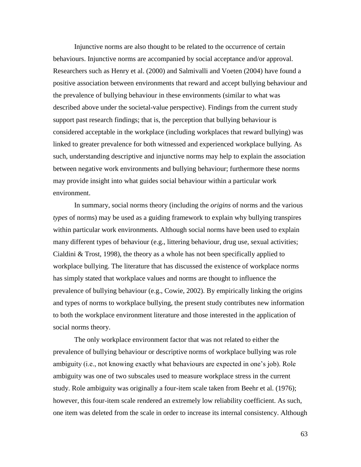Injunctive norms are also thought to be related to the occurrence of certain behaviours. Injunctive norms are accompanied by social acceptance and/or approval. Researchers such as Henry et al. (2000) and Salmivalli and Voeten (2004) have found a positive association between environments that reward and accept bullying behaviour and the prevalence of bullying behaviour in these environments (similar to what was described above under the societal-value perspective). Findings from the current study support past research findings; that is, the perception that bullying behaviour is considered acceptable in the workplace (including workplaces that reward bullying) was linked to greater prevalence for both witnessed and experienced workplace bullying. As such, understanding descriptive and injunctive norms may help to explain the association between negative work environments and bullying behaviour; furthermore these norms may provide insight into what guides social behaviour within a particular work environment.

In summary, social norms theory (including the *origins* of norms and the various *types* of norms) may be used as a guiding framework to explain why bullying transpires within particular work environments. Although social norms have been used to explain many different types of behaviour (e.g., littering behaviour, drug use, sexual activities; Cialdini & Trost, 1998), the theory as a whole has not been specifically applied to workplace bullying. The literature that has discussed the existence of workplace norms has simply stated that workplace values and norms are thought to influence the prevalence of bullying behaviour (e.g., Cowie, 2002). By empirically linking the origins and types of norms to workplace bullying, the present study contributes new information to both the workplace environment literature and those interested in the application of social norms theory.

The only workplace environment factor that was not related to either the prevalence of bullying behaviour or descriptive norms of workplace bullying was role ambiguity (i.e., not knowing exactly what behaviours are expected in one"s job). Role ambiguity was one of two subscales used to measure workplace stress in the current study. Role ambiguity was originally a four-item scale taken from Beehr et al. (1976); however, this four-item scale rendered an extremely low reliability coefficient. As such, one item was deleted from the scale in order to increase its internal consistency. Although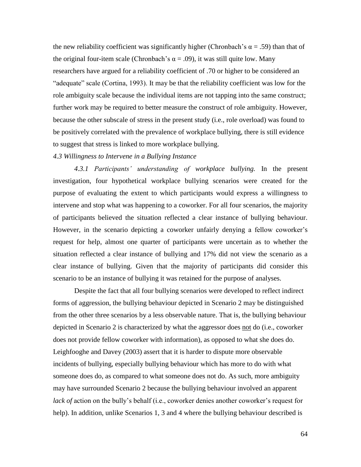the new reliability coefficient was significantly higher (Chronbach's  $\alpha = .59$ ) than that of the original four-item scale (Chronbach's  $\alpha = .09$ ), it was still quite low. Many researchers have argued for a reliability coefficient of .70 or higher to be considered an "adequate" scale (Cortina, 1993). It may be that the reliability coefficient was low for the role ambiguity scale because the individual items are not tapping into the same construct; further work may be required to better measure the construct of role ambiguity. However, because the other subscale of stress in the present study (i.e., role overload) was found to be positively correlated with the prevalence of workplace bullying, there is still evidence to suggest that stress is linked to more workplace bullying.

#### *4.3 Willingness to Intervene in a Bullying Instance*

*4.3.1 Participants' understanding of workplace bullying.* In the present investigation, four hypothetical workplace bullying scenarios were created for the purpose of evaluating the extent to which participants would express a willingness to intervene and stop what was happening to a coworker. For all four scenarios, the majority of participants believed the situation reflected a clear instance of bullying behaviour. However, in the scenario depicting a coworker unfairly denying a fellow coworker's request for help, almost one quarter of participants were uncertain as to whether the situation reflected a clear instance of bullying and 17% did not view the scenario as a clear instance of bullying. Given that the majority of participants did consider this scenario to be an instance of bullying it was retained for the purpose of analyses.

Despite the fact that all four bullying scenarios were developed to reflect indirect forms of aggression, the bullying behaviour depicted in Scenario 2 may be distinguished from the other three scenarios by a less observable nature. That is, the bullying behaviour depicted in Scenario 2 is characterized by what the aggressor does not do (i.e., coworker does not provide fellow coworker with information), as opposed to what she does do. Leighfooghe and Davey (2003) assert that it is harder to dispute more observable incidents of bullying, especially bullying behaviour which has more to do with what someone does do, as compared to what someone does not do. As such, more ambiguity may have surrounded Scenario 2 because the bullying behaviour involved an apparent *lack of* action on the bully's behalf (i.e., coworker denies another coworker's request for help). In addition, unlike Scenarios 1, 3 and 4 where the bullying behaviour described is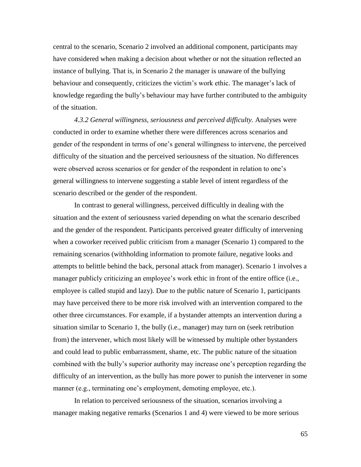central to the scenario, Scenario 2 involved an additional component, participants may have considered when making a decision about whether or not the situation reflected an instance of bullying. That is, in Scenario 2 the manager is unaware of the bullying behaviour and consequently, criticizes the victim's work ethic. The manager's lack of knowledge regarding the bully"s behaviour may have further contributed to the ambiguity of the situation.

*4.3.2 General willingness, seriousness and perceived difficulty.* Analyses were conducted in order to examine whether there were differences across scenarios and gender of the respondent in terms of one"s general willingness to intervene, the perceived difficulty of the situation and the perceived seriousness of the situation. No differences were observed across scenarios or for gender of the respondent in relation to one's general willingness to intervene suggesting a stable level of intent regardless of the scenario described or the gender of the respondent.

In contrast to general willingness, perceived difficultly in dealing with the situation and the extent of seriousness varied depending on what the scenario described and the gender of the respondent. Participants perceived greater difficulty of intervening when a coworker received public criticism from a manager (Scenario 1) compared to the remaining scenarios (withholding information to promote failure, negative looks and attempts to belittle behind the back, personal attack from manager). Scenario 1 involves a manager publicly criticizing an employee's work ethic in front of the entire office (i.e., employee is called stupid and lazy). Due to the public nature of Scenario 1, participants may have perceived there to be more risk involved with an intervention compared to the other three circumstances. For example, if a bystander attempts an intervention during a situation similar to Scenario 1, the bully (i.e., manager) may turn on (seek retribution from) the intervener, which most likely will be witnessed by multiple other bystanders and could lead to public embarrassment, shame, etc. The public nature of the situation combined with the bully"s superior authority may increase one"s perception regarding the difficulty of an intervention, as the bully has more power to punish the intervener in some manner (e.g., terminating one's employment, demoting employee, etc.).

In relation to perceived seriousness of the situation, scenarios involving a manager making negative remarks (Scenarios 1 and 4) were viewed to be more serious

65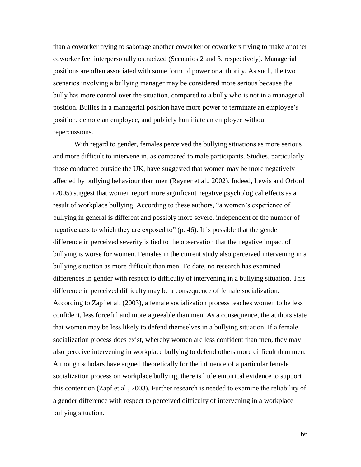than a coworker trying to sabotage another coworker or coworkers trying to make another coworker feel interpersonally ostracized (Scenarios 2 and 3, respectively). Managerial positions are often associated with some form of power or authority. As such, the two scenarios involving a bullying manager may be considered more serious because the bully has more control over the situation, compared to a bully who is not in a managerial position. Bullies in a managerial position have more power to terminate an employee"s position, demote an employee, and publicly humiliate an employee without repercussions.

With regard to gender, females perceived the bullying situations as more serious and more difficult to intervene in, as compared to male participants. Studies, particularly those conducted outside the UK, have suggested that women may be more negatively affected by bullying behaviour than men (Rayner et al., 2002). Indeed, Lewis and Orford (2005) suggest that women report more significant negative psychological effects as a result of workplace bullying. According to these authors, "a women's experience of bullying in general is different and possibly more severe, independent of the number of negative acts to which they are exposed to" (p. 46). It is possible that the gender difference in perceived severity is tied to the observation that the negative impact of bullying is worse for women. Females in the current study also perceived intervening in a bullying situation as more difficult than men. To date, no research has examined differences in gender with respect to difficulty of intervening in a bullying situation. This difference in perceived difficulty may be a consequence of female socialization. According to Zapf et al. (2003), a female socialization process teaches women to be less confident, less forceful and more agreeable than men. As a consequence, the authors state that women may be less likely to defend themselves in a bullying situation. If a female socialization process does exist, whereby women are less confident than men, they may also perceive intervening in workplace bullying to defend others more difficult than men. Although scholars have argued theoretically for the influence of a particular female socialization process on workplace bullying, there is little empirical evidence to support this contention (Zapf et al., 2003). Further research is needed to examine the reliability of a gender difference with respect to perceived difficulty of intervening in a workplace bullying situation.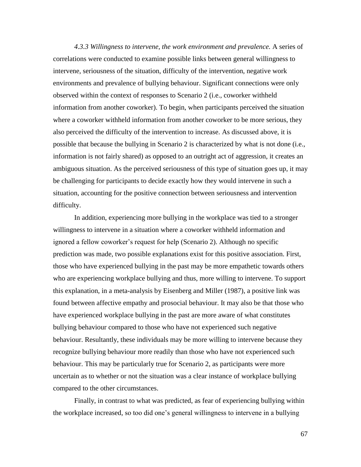*4.3.3 Willingness to intervene, the work environment and prevalence.* A series of correlations were conducted to examine possible links between general willingness to intervene, seriousness of the situation, difficulty of the intervention, negative work environments and prevalence of bullying behaviour. Significant connections were only observed within the context of responses to Scenario 2 (i.e., coworker withheld information from another coworker). To begin, when participants perceived the situation where a coworker withheld information from another coworker to be more serious, they also perceived the difficulty of the intervention to increase. As discussed above, it is possible that because the bullying in Scenario 2 is characterized by what is not done (i.e., information is not fairly shared) as opposed to an outright act of aggression, it creates an ambiguous situation. As the perceived seriousness of this type of situation goes up, it may be challenging for participants to decide exactly how they would intervene in such a situation, accounting for the positive connection between seriousness and intervention difficulty.

In addition, experiencing more bullying in the workplace was tied to a stronger willingness to intervene in a situation where a coworker withheld information and ignored a fellow coworker"s request for help (Scenario 2). Although no specific prediction was made, two possible explanations exist for this positive association. First, those who have experienced bullying in the past may be more empathetic towards others who are experiencing workplace bullying and thus, more willing to intervene. To support this explanation, in a meta-analysis by Eisenberg and Miller (1987), a positive link was found between affective empathy and prosocial behaviour. It may also be that those who have experienced workplace bullying in the past are more aware of what constitutes bullying behaviour compared to those who have not experienced such negative behaviour. Resultantly, these individuals may be more willing to intervene because they recognize bullying behaviour more readily than those who have not experienced such behaviour. This may be particularly true for Scenario 2, as participants were more uncertain as to whether or not the situation was a clear instance of workplace bullying compared to the other circumstances.

Finally, in contrast to what was predicted, as fear of experiencing bullying within the workplace increased, so too did one"s general willingness to intervene in a bullying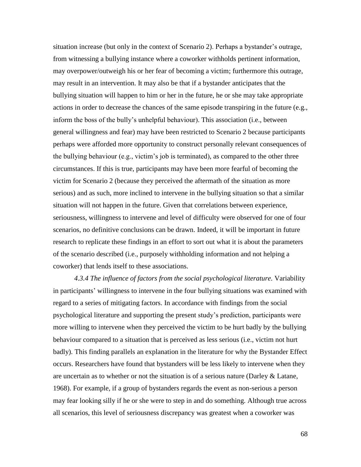situation increase (but only in the context of Scenario 2). Perhaps a bystander"s outrage, from witnessing a bullying instance where a coworker withholds pertinent information, may overpower/outweigh his or her fear of becoming a victim; furthermore this outrage, may result in an intervention. It may also be that if a bystander anticipates that the bullying situation will happen to him or her in the future, he or she may take appropriate actions in order to decrease the chances of the same episode transpiring in the future (e.g., inform the boss of the bully"s unhelpful behaviour). This association (i.e., between general willingness and fear) may have been restricted to Scenario 2 because participants perhaps were afforded more opportunity to construct personally relevant consequences of the bullying behaviour (e.g., victim"s job is terminated), as compared to the other three circumstances. If this is true, participants may have been more fearful of becoming the victim for Scenario 2 (because they perceived the aftermath of the situation as more serious) and as such, more inclined to intervene in the bullying situation so that a similar situation will not happen in the future. Given that correlations between experience, seriousness, willingness to intervene and level of difficulty were observed for one of four scenarios, no definitive conclusions can be drawn. Indeed, it will be important in future research to replicate these findings in an effort to sort out what it is about the parameters of the scenario described (i.e., purposely withholding information and not helping a coworker) that lends itself to these associations.

*4.3.4 The influence of factors from the social psychological literature.* Variability in participants' willingness to intervene in the four bullying situations was examined with regard to a series of mitigating factors. In accordance with findings from the social psychological literature and supporting the present study"s prediction, participants were more willing to intervene when they perceived the victim to be hurt badly by the bullying behaviour compared to a situation that is perceived as less serious (i.e., victim not hurt badly). This finding parallels an explanation in the literature for why the Bystander Effect occurs. Researchers have found that bystanders will be less likely to intervene when they are uncertain as to whether or not the situation is of a serious nature (Darley & Latane, 1968). For example, if a group of bystanders regards the event as non-serious a person may fear looking silly if he or she were to step in and do something. Although true across all scenarios, this level of seriousness discrepancy was greatest when a coworker was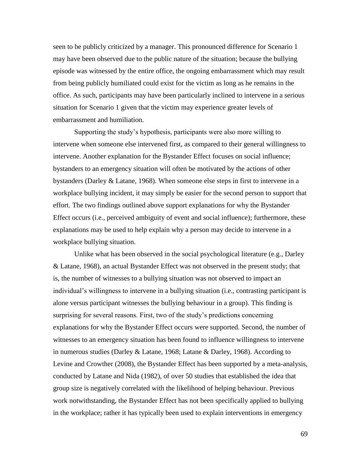seen to be publicly criticized by a manager. This pronounced difference for Scenario 1 may have been observed due to the public nature of the situation; because the bullying episode was witnessed by the entire office, the ongoing embarrassment which may result from being publicly humiliated could exist for the victim as long as he remains in the office. As such, participants may have been particularly inclined to intervene in a serious situation for Scenario 1 given that the victim may experience greater levels of embarrassment and humiliation.

Supporting the study"s hypothesis, participants were also more willing to intervene when someone else intervened first, as compared to their general willingness to intervene. Another explanation for the Bystander Effect focuses on social influence; bystanders to an emergency situation will often be motivated by the actions of other bystanders (Darley & Latane, 1968). When someone else steps in first to intervene in a workplace bullying incident, it may simply be easier for the second person to support that effort. The two findings outlined above support explanations for why the Bystander Effect occurs (i.e., perceived ambiguity of event and social influence); furthermore, these explanations may be used to help explain why a person may decide to intervene in a workplace bullying situation.

Unlike what has been observed in the social psychological literature (e.g., Darley & Latane, 1968), an actual Bystander Effect was not observed in the present study; that is, the number of witnesses to a bullying situation was not observed to impact an individual"s willingness to intervene in a bullying situation (i.e., contrasting participant is alone versus participant witnesses the bullying behaviour in a group). This finding is surprising for several reasons. First, two of the study"s predictions concerning explanations for why the Bystander Effect occurs were supported. Second, the number of witnesses to an emergency situation has been found to influence willingness to intervene in numerous studies (Darley & Latane, 1968; Latane & Darley, 1968). According to Levine and Crowther (2008), the Bystander Effect has been supported by a meta-analysis, conducted by Latane and Nida (1982), of over 50 studies that established the idea that group size is negatively correlated with the likelihood of helping behaviour. Previous work notwithstanding, the Bystander Effect has not been specifically applied to bullying in the workplace; rather it has typically been used to explain interventions in emergency

69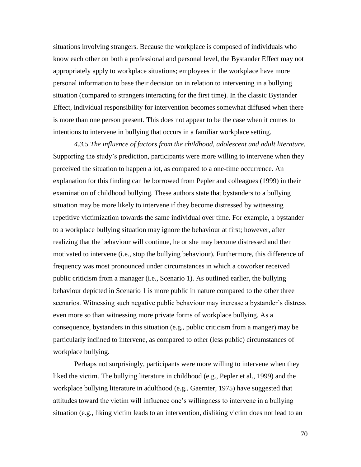situations involving strangers. Because the workplace is composed of individuals who know each other on both a professional and personal level, the Bystander Effect may not appropriately apply to workplace situations; employees in the workplace have more personal information to base their decision on in relation to intervening in a bullying situation (compared to strangers interacting for the first time). In the classic Bystander Effect, individual responsibility for intervention becomes somewhat diffused when there is more than one person present. This does not appear to be the case when it comes to intentions to intervene in bullying that occurs in a familiar workplace setting.

*4.3.5 The influence of factors from the childhood, adolescent and adult literature.*  Supporting the study"s prediction, participants were more willing to intervene when they perceived the situation to happen a lot, as compared to a one-time occurrence. An explanation for this finding can be borrowed from Pepler and colleagues (1999) in their examination of childhood bullying. These authors state that bystanders to a bullying situation may be more likely to intervene if they become distressed by witnessing repetitive victimization towards the same individual over time. For example, a bystander to a workplace bullying situation may ignore the behaviour at first; however, after realizing that the behaviour will continue, he or she may become distressed and then motivated to intervene (i.e., stop the bullying behaviour). Furthermore, this difference of frequency was most pronounced under circumstances in which a coworker received public criticism from a manager (i.e., Scenario 1). As outlined earlier, the bullying behaviour depicted in Scenario 1 is more public in nature compared to the other three scenarios. Witnessing such negative public behaviour may increase a bystander's distress even more so than witnessing more private forms of workplace bullying. As a consequence, bystanders in this situation (e.g., public criticism from a manger) may be particularly inclined to intervene, as compared to other (less public) circumstances of workplace bullying.

Perhaps not surprisingly, participants were more willing to intervene when they liked the victim. The bullying literature in childhood (e.g., Pepler et al., 1999) and the workplace bullying literature in adulthood (e.g., Gaernter, 1975) have suggested that attitudes toward the victim will influence one"s willingness to intervene in a bullying situation (e.g., liking victim leads to an intervention, disliking victim does not lead to an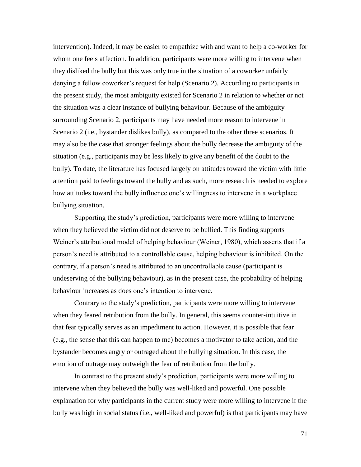intervention). Indeed, it may be easier to empathize with and want to help a co-worker for whom one feels affection. In addition, participants were more willing to intervene when they disliked the bully but this was only true in the situation of a coworker unfairly denying a fellow coworker"s request for help (Scenario 2). According to participants in the present study, the most ambiguity existed for Scenario 2 in relation to whether or not the situation was a clear instance of bullying behaviour. Because of the ambiguity surrounding Scenario 2, participants may have needed more reason to intervene in Scenario 2 (i.e., bystander dislikes bully), as compared to the other three scenarios. It may also be the case that stronger feelings about the bully decrease the ambiguity of the situation (e.g., participants may be less likely to give any benefit of the doubt to the bully). To date, the literature has focused largely on attitudes toward the victim with little attention paid to feelings toward the bully and as such, more research is needed to explore how attitudes toward the bully influence one"s willingness to intervene in a workplace bullying situation.

Supporting the study"s prediction, participants were more willing to intervene when they believed the victim did not deserve to be bullied. This finding supports Weiner's attributional model of helping behaviour (Weiner, 1980), which asserts that if a person"s need is attributed to a controllable cause, helping behaviour is inhibited. On the contrary, if a person"s need is attributed to an uncontrollable cause (participant is undeserving of the bullying behaviour), as in the present case, the probability of helping behaviour increases as does one"s intention to intervene.

Contrary to the study"s prediction, participants were more willing to intervene when they feared retribution from the bully. In general, this seems counter-intuitive in that fear typically serves as an impediment to action. However, it is possible that fear (e.g., the sense that this can happen to me) becomes a motivator to take action, and the bystander becomes angry or outraged about the bullying situation. In this case, the emotion of outrage may outweigh the fear of retribution from the bully.

In contrast to the present study"s prediction, participants were more willing to intervene when they believed the bully was well-liked and powerful. One possible explanation for why participants in the current study were more willing to intervene if the bully was high in social status (i.e., well-liked and powerful) is that participants may have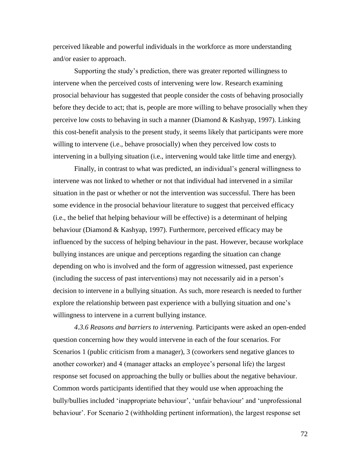perceived likeable and powerful individuals in the workforce as more understanding and/or easier to approach.

Supporting the study"s prediction, there was greater reported willingness to intervene when the perceived costs of intervening were low. Research examining prosocial behaviour has suggested that people consider the costs of behaving prosocially before they decide to act; that is, people are more willing to behave prosocially when they perceive low costs to behaving in such a manner (Diamond & Kashyap, 1997). Linking this cost-benefit analysis to the present study, it seems likely that participants were more willing to intervene (i.e., behave prosocially) when they perceived low costs to intervening in a bullying situation (i.e., intervening would take little time and energy).

Finally, in contrast to what was predicted, an individual's general willingness to intervene was not linked to whether or not that individual had intervened in a similar situation in the past or whether or not the intervention was successful. There has been some evidence in the prosocial behaviour literature to suggest that perceived efficacy (i.e., the belief that helping behaviour will be effective) is a determinant of helping behaviour (Diamond & Kashyap, 1997). Furthermore, perceived efficacy may be influenced by the success of helping behaviour in the past. However, because workplace bullying instances are unique and perceptions regarding the situation can change depending on who is involved and the form of aggression witnessed, past experience (including the success of past interventions) may not necessarily aid in a person"s decision to intervene in a bullying situation. As such, more research is needed to further explore the relationship between past experience with a bullying situation and one's willingness to intervene in a current bullying instance.

*4.3.6 Reasons and barriers to intervening.* Participants were asked an open-ended question concerning how they would intervene in each of the four scenarios. For Scenarios 1 (public criticism from a manager), 3 (coworkers send negative glances to another coworker) and 4 (manager attacks an employee"s personal life) the largest response set focused on approaching the bully or bullies about the negative behaviour. Common words participants identified that they would use when approaching the bully/bullies included 'inappropriate behaviour', 'unfair behaviour' and 'unprofessional behaviour". For Scenario 2 (withholding pertinent information), the largest response set

72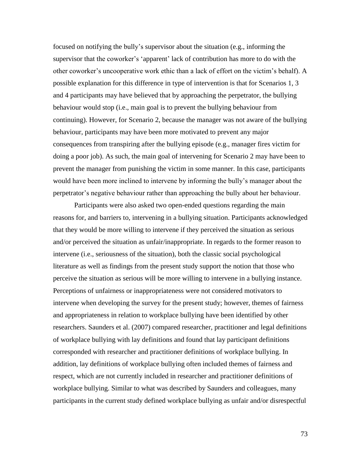focused on notifying the bully"s supervisor about the situation (e.g., informing the supervisor that the coworker"s "apparent" lack of contribution has more to do with the other coworker"s uncooperative work ethic than a lack of effort on the victim"s behalf). A possible explanation for this difference in type of intervention is that for Scenarios 1, 3 and 4 participants may have believed that by approaching the perpetrator, the bullying behaviour would stop (i.e., main goal is to prevent the bullying behaviour from continuing). However, for Scenario 2, because the manager was not aware of the bullying behaviour, participants may have been more motivated to prevent any major consequences from transpiring after the bullying episode (e.g., manager fires victim for doing a poor job). As such, the main goal of intervening for Scenario 2 may have been to prevent the manager from punishing the victim in some manner. In this case, participants would have been more inclined to intervene by informing the bully"s manager about the perpetrator"s negative behaviour rather than approaching the bully about her behaviour.

Participants were also asked two open-ended questions regarding the main reasons for, and barriers to, intervening in a bullying situation. Participants acknowledged that they would be more willing to intervene if they perceived the situation as serious and/or perceived the situation as unfair/inappropriate. In regards to the former reason to intervene (i.e., seriousness of the situation), both the classic social psychological literature as well as findings from the present study support the notion that those who perceive the situation as serious will be more willing to intervene in a bullying instance. Perceptions of unfairness or inappropriateness were not considered motivators to intervene when developing the survey for the present study; however, themes of fairness and appropriateness in relation to workplace bullying have been identified by other researchers. Saunders et al. (2007) compared researcher, practitioner and legal definitions of workplace bullying with lay definitions and found that lay participant definitions corresponded with researcher and practitioner definitions of workplace bullying. In addition, lay definitions of workplace bullying often included themes of fairness and respect, which are not currently included in researcher and practitioner definitions of workplace bullying. Similar to what was described by Saunders and colleagues, many participants in the current study defined workplace bullying as unfair and/or disrespectful

73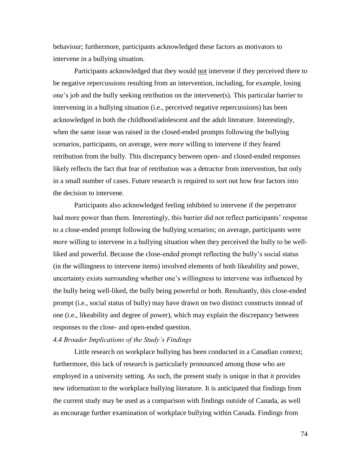behaviour; furthermore, participants acknowledged these factors as motivators to intervene in a bullying situation.

Participants acknowledged that they would not intervene if they perceived there to be negative repercussions resulting from an intervention, including, for example, losing one"s job and the bully seeking retribution on the intervener(s). This particular barrier to intervening in a bullying situation (i.e., perceived negative repercussions) has been acknowledged in both the childhood/adolescent and the adult literature. Interestingly, when the same issue was raised in the closed-ended prompts following the bullying scenarios, participants, on average, were *more* willing to intervene if they feared retribution from the bully. This discrepancy between open- and closed-ended responses likely reflects the fact that fear of retribution was a detractor from intervention, but only in a small number of cases. Future research is required to sort out how fear factors into the decision to intervene.

Participants also acknowledged feeling inhibited to intervene if the perpetrator had more power than them. Interestingly, this barrier did not reflect participants' response to a close-ended prompt following the bullying scenarios; on average, participants were *more* willing to intervene in a bullying situation when they perceived the bully to be wellliked and powerful. Because the close-ended prompt reflecting the bully"s social status (in the willingness to intervene items) involved elements of both likeability and power, uncertainty exists surrounding whether one"s willingness to intervene was influenced by the bully being well-liked, the bully being powerful or both. Resultantly, this close-ended prompt (i.e., social status of bully) may have drawn on two distinct constructs instead of one (i.e., likeability and degree of power), which may explain the discrepancy between responses to the close- and open-ended question.

#### *4.4 Broader Implications of the Study's Findings*

Little research on workplace bullying has been conducted in a Canadian context; furthermore, this lack of research is particularly pronounced among those who are employed in a university setting. As such, the present study is unique in that it provides new information to the workplace bullying literature. It is anticipated that findings from the current study may be used as a comparison with findings outside of Canada, as well as encourage further examination of workplace bullying within Canada. Findings from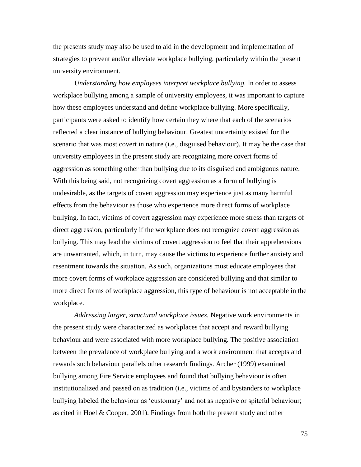the presents study may also be used to aid in the development and implementation of strategies to prevent and/or alleviate workplace bullying, particularly within the present university environment.

*Understanding how employees interpret workplace bullying.* In order to assess workplace bullying among a sample of university employees, it was important to capture how these employees understand and define workplace bullying. More specifically, participants were asked to identify how certain they where that each of the scenarios reflected a clear instance of bullying behaviour. Greatest uncertainty existed for the scenario that was most covert in nature (i.e., disguised behaviour). It may be the case that university employees in the present study are recognizing more covert forms of aggression as something other than bullying due to its disguised and ambiguous nature. With this being said, not recognizing covert aggression as a form of bullying is undesirable, as the targets of covert aggression may experience just as many harmful effects from the behaviour as those who experience more direct forms of workplace bullying. In fact, victims of covert aggression may experience more stress than targets of direct aggression, particularly if the workplace does not recognize covert aggression as bullying. This may lead the victims of covert aggression to feel that their apprehensions are unwarranted, which, in turn, may cause the victims to experience further anxiety and resentment towards the situation. As such, organizations must educate employees that more covert forms of workplace aggression are considered bullying and that similar to more direct forms of workplace aggression, this type of behaviour is not acceptable in the workplace.

*Addressing larger, structural workplace issues.* Negative work environments in the present study were characterized as workplaces that accept and reward bullying behaviour and were associated with more workplace bullying. The positive association between the prevalence of workplace bullying and a work environment that accepts and rewards such behaviour parallels other research findings. Archer (1999) examined bullying among Fire Service employees and found that bullying behaviour is often institutionalized and passed on as tradition (i.e., victims of and bystanders to workplace bullying labeled the behaviour as 'customary' and not as negative or spiteful behaviour; as cited in Hoel & Cooper, 2001). Findings from both the present study and other

75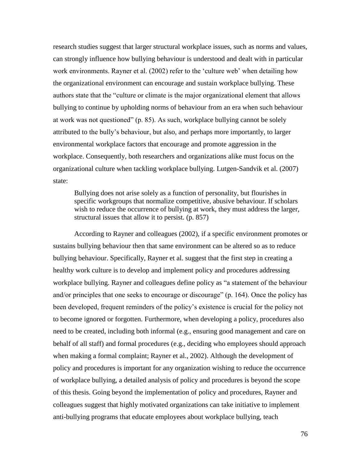research studies suggest that larger structural workplace issues, such as norms and values, can strongly influence how bullying behaviour is understood and dealt with in particular work environments. Rayner et al. (2002) refer to the 'culture web' when detailing how the organizational environment can encourage and sustain workplace bullying. These authors state that the "culture or climate is the major organizational element that allows bullying to continue by upholding norms of behaviour from an era when such behaviour at work was not questioned" (p. 85). As such, workplace bullying cannot be solely attributed to the bully"s behaviour, but also, and perhaps more importantly, to larger environmental workplace factors that encourage and promote aggression in the workplace. Consequently, both researchers and organizations alike must focus on the organizational culture when tackling workplace bullying. Lutgen-Sandvik et al. (2007) state:

Bullying does not arise solely as a function of personality, but flourishes in specific workgroups that normalize competitive, abusive behaviour. If scholars wish to reduce the occurrence of bullying at work, they must address the larger, structural issues that allow it to persist. (p. 857)

According to Rayner and colleagues (2002), if a specific environment promotes or sustains bullying behaviour then that same environment can be altered so as to reduce bullying behaviour. Specifically, Rayner et al. suggest that the first step in creating a healthy work culture is to develop and implement policy and procedures addressing workplace bullying. Rayner and colleagues define policy as "a statement of the behaviour and/or principles that one seeks to encourage or discourage" (p. 164). Once the policy has been developed, frequent reminders of the policy"s existence is crucial for the policy not to become ignored or forgotten. Furthermore, when developing a policy, procedures also need to be created, including both informal (e.g., ensuring good management and care on behalf of all staff) and formal procedures (e.g., deciding who employees should approach when making a formal complaint; Rayner et al., 2002). Although the development of policy and procedures is important for any organization wishing to reduce the occurrence of workplace bullying, a detailed analysis of policy and procedures is beyond the scope of this thesis. Going beyond the implementation of policy and procedures, Rayner and colleagues suggest that highly motivated organizations can take initiative to implement anti-bullying programs that educate employees about workplace bullying, teach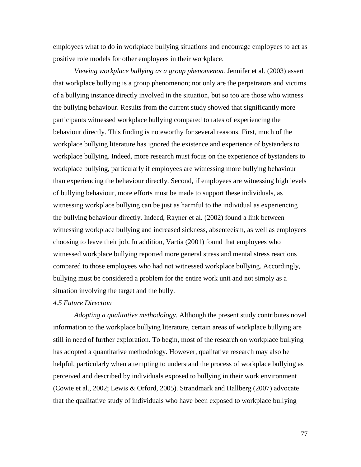employees what to do in workplace bullying situations and encourage employees to act as positive role models for other employees in their workplace.

*Viewing workplace bullying as a group phenomenon.* Jennifer et al. (2003) assert that workplace bullying is a group phenomenon; not only are the perpetrators and victims of a bullying instance directly involved in the situation, but so too are those who witness the bullying behaviour. Results from the current study showed that significantly more participants witnessed workplace bullying compared to rates of experiencing the behaviour directly. This finding is noteworthy for several reasons. First, much of the workplace bullying literature has ignored the existence and experience of bystanders to workplace bullying. Indeed, more research must focus on the experience of bystanders to workplace bullying, particularly if employees are witnessing more bullying behaviour than experiencing the behaviour directly. Second, if employees are witnessing high levels of bullying behaviour, more efforts must be made to support these individuals, as witnessing workplace bullying can be just as harmful to the individual as experiencing the bullying behaviour directly. Indeed, Rayner et al. (2002) found a link between witnessing workplace bullying and increased sickness, absenteeism, as well as employees choosing to leave their job. In addition, Vartia (2001) found that employees who witnessed workplace bullying reported more general stress and mental stress reactions compared to those employees who had not witnessed workplace bullying. Accordingly, bullying must be considered a problem for the entire work unit and not simply as a situation involving the target and the bully.

#### *4.5 Future Direction*

*Adopting a qualitative methodology.* Although the present study contributes novel information to the workplace bullying literature, certain areas of workplace bullying are still in need of further exploration. To begin, most of the research on workplace bullying has adopted a quantitative methodology. However, qualitative research may also be helpful, particularly when attempting to understand the process of workplace bullying as perceived and described by individuals exposed to bullying in their work environment (Cowie et al., 2002; Lewis & Orford, 2005). Strandmark and Hallberg (2007) advocate that the qualitative study of individuals who have been exposed to workplace bullying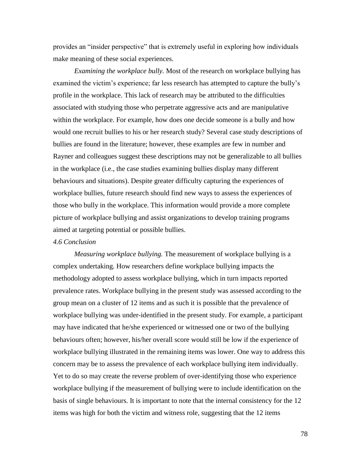provides an "insider perspective" that is extremely useful in exploring how individuals make meaning of these social experiences.

*Examining the workplace bully.* Most of the research on workplace bullying has examined the victim's experience; far less research has attempted to capture the bully's profile in the workplace. This lack of research may be attributed to the difficulties associated with studying those who perpetrate aggressive acts and are manipulative within the workplace. For example, how does one decide someone is a bully and how would one recruit bullies to his or her research study? Several case study descriptions of bullies are found in the literature; however, these examples are few in number and Rayner and colleagues suggest these descriptions may not be generalizable to all bullies in the workplace (i.e., the case studies examining bullies display many different behaviours and situations). Despite greater difficulty capturing the experiences of workplace bullies, future research should find new ways to assess the experiences of those who bully in the workplace. This information would provide a more complete picture of workplace bullying and assist organizations to develop training programs aimed at targeting potential or possible bullies.

#### *4.6 Conclusion*

*Measuring workplace bullying.* The measurement of workplace bullying is a complex undertaking. How researchers define workplace bullying impacts the methodology adopted to assess workplace bullying, which in turn impacts reported prevalence rates. Workplace bullying in the present study was assessed according to the group mean on a cluster of 12 items and as such it is possible that the prevalence of workplace bullying was under-identified in the present study. For example, a participant may have indicated that he/she experienced or witnessed one or two of the bullying behaviours often; however, his/her overall score would still be low if the experience of workplace bullying illustrated in the remaining items was lower. One way to address this concern may be to assess the prevalence of each workplace bullying item individually. Yet to do so may create the reverse problem of over-identifying those who experience workplace bullying if the measurement of bullying were to include identification on the basis of single behaviours. It is important to note that the internal consistency for the 12 items was high for both the victim and witness role, suggesting that the 12 items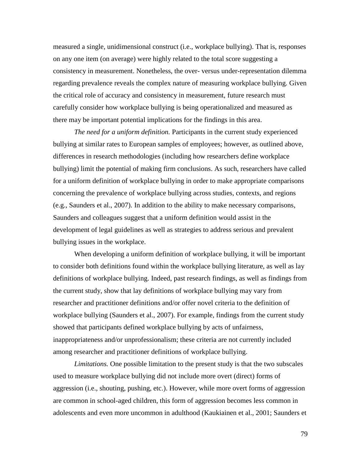measured a single, unidimensional construct (i.e., workplace bullying). That is, responses on any one item (on average) were highly related to the total score suggesting a consistency in measurement. Nonetheless, the over- versus under-representation dilemma regarding prevalence reveals the complex nature of measuring workplace bullying. Given the critical role of accuracy and consistency in measurement, future research must carefully consider how workplace bullying is being operationalized and measured as there may be important potential implications for the findings in this area.

*The need for a uniform definition.* Participants in the current study experienced bullying at similar rates to European samples of employees; however, as outlined above, differences in research methodologies (including how researchers define workplace bullying) limit the potential of making firm conclusions. As such, researchers have called for a uniform definition of workplace bullying in order to make appropriate comparisons concerning the prevalence of workplace bullying across studies, contexts, and regions (e.g., Saunders et al., 2007). In addition to the ability to make necessary comparisons, Saunders and colleagues suggest that a uniform definition would assist in the development of legal guidelines as well as strategies to address serious and prevalent bullying issues in the workplace.

When developing a uniform definition of workplace bullying, it will be important to consider both definitions found within the workplace bullying literature, as well as lay definitions of workplace bullying. Indeed, past research findings, as well as findings from the current study, show that lay definitions of workplace bullying may vary from researcher and practitioner definitions and/or offer novel criteria to the definition of workplace bullying (Saunders et al., 2007). For example, findings from the current study showed that participants defined workplace bullying by acts of unfairness, inappropriateness and/or unprofessionalism; these criteria are not currently included among researcher and practitioner definitions of workplace bullying.

*Limitations.* One possible limitation to the present study is that the two subscales used to measure workplace bullying did not include more overt (direct) forms of aggression (i.e., shouting, pushing, etc.). However, while more overt forms of aggression are common in school-aged children, this form of aggression becomes less common in adolescents and even more uncommon in adulthood (Kaukiainen et al., 2001; Saunders et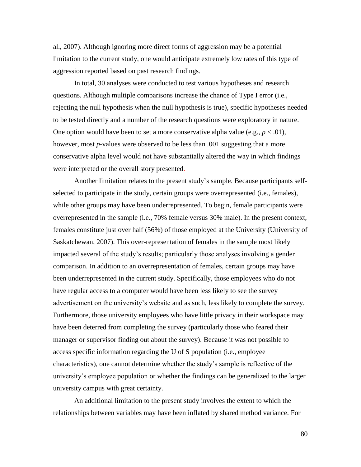al., 2007). Although ignoring more direct forms of aggression may be a potential limitation to the current study, one would anticipate extremely low rates of this type of aggression reported based on past research findings.

In total, 30 analyses were conducted to test various hypotheses and research questions. Although multiple comparisons increase the chance of Type I error (i.e., rejecting the null hypothesis when the null hypothesis is true), specific hypotheses needed to be tested directly and a number of the research questions were exploratory in nature. One option would have been to set a more conservative alpha value (e.g.,  $p < .01$ ), however, most *p*-values were observed to be less than .001 suggesting that a more conservative alpha level would not have substantially altered the way in which findings were interpreted or the overall story presented.

Another limitation relates to the present study"s sample. Because participants selfselected to participate in the study, certain groups were overrepresented (i.e., females), while other groups may have been underrepresented. To begin, female participants were overrepresented in the sample (i.e., 70% female versus 30% male). In the present context, females constitute just over half (56%) of those employed at the University (University of Saskatchewan, 2007). This over-representation of females in the sample most likely impacted several of the study"s results; particularly those analyses involving a gender comparison. In addition to an overrepresentation of females, certain groups may have been underrepresented in the current study. Specifically, those employees who do not have regular access to a computer would have been less likely to see the survey advertisement on the university"s website and as such, less likely to complete the survey. Furthermore, those university employees who have little privacy in their workspace may have been deterred from completing the survey (particularly those who feared their manager or supervisor finding out about the survey). Because it was not possible to access specific information regarding the U of S population (i.e., employee characteristics), one cannot determine whether the study"s sample is reflective of the university's employee population or whether the findings can be generalized to the larger university campus with great certainty.

An additional limitation to the present study involves the extent to which the relationships between variables may have been inflated by shared method variance. For

80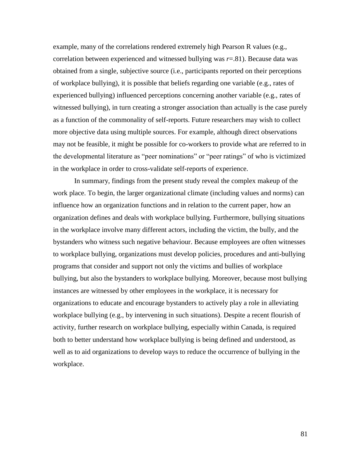example, many of the correlations rendered extremely high Pearson R values (e.g., correlation between experienced and witnessed bullying was  $r=81$ ). Because data was obtained from a single, subjective source (i.e., participants reported on their perceptions of workplace bullying), it is possible that beliefs regarding one variable (e.g., rates of experienced bullying) influenced perceptions concerning another variable (e.g., rates of witnessed bullying), in turn creating a stronger association than actually is the case purely as a function of the commonality of self-reports. Future researchers may wish to collect more objective data using multiple sources. For example, although direct observations may not be feasible, it might be possible for co-workers to provide what are referred to in the developmental literature as "peer nominations" or "peer ratings" of who is victimized in the workplace in order to cross-validate self-reports of experience.

In summary, findings from the present study reveal the complex makeup of the work place. To begin, the larger organizational climate (including values and norms) can influence how an organization functions and in relation to the current paper, how an organization defines and deals with workplace bullying. Furthermore, bullying situations in the workplace involve many different actors, including the victim, the bully, and the bystanders who witness such negative behaviour. Because employees are often witnesses to workplace bullying, organizations must develop policies, procedures and anti-bullying programs that consider and support not only the victims and bullies of workplace bullying, but also the bystanders to workplace bullying. Moreover, because most bullying instances are witnessed by other employees in the workplace, it is necessary for organizations to educate and encourage bystanders to actively play a role in alleviating workplace bullying (e.g., by intervening in such situations). Despite a recent flourish of activity, further research on workplace bullying, especially within Canada, is required both to better understand how workplace bullying is being defined and understood, as well as to aid organizations to develop ways to reduce the occurrence of bullying in the workplace.

81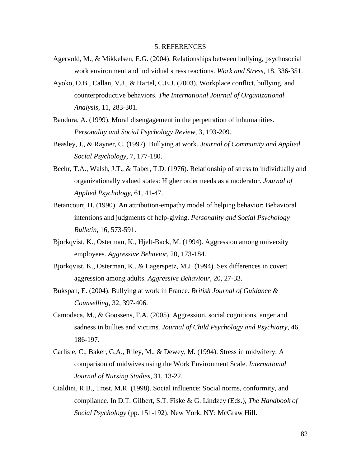#### 5. REFERENCES

- Agervold, M., & Mikkelsen, E.G. (2004). Relationships between bullying, psychosocial work environment and individual stress reactions. *Work and Stress*, 18, 336-351.
- Ayoko, O.B., Callan, V.J., & Hartel, C.E.J. (2003). Workplace conflict, bullying, and counterproductive behaviors. *The International Journal of Organizational Analysis*, 11, 283-301.
- Bandura, A. (1999). Moral disengagement in the perpetration of inhumanities. *Personality and Social Psychology Review*, 3, 193-209.
- Beasley, J., & Rayner, C. (1997). Bullying at work. *Journal of Community and Applied Social Psychology*, 7, 177-180.
- Beehr, T.A., Walsh, J.T., & Taber, T.D. (1976). Relationship of stress to individually and organizationally valued states: Higher order needs as a moderator. *Journal of Applied Psychology*, 61, 41-47.
- Betancourt, H. (1990). An attribution-empathy model of helping behavior: Behavioral intentions and judgments of help-giving. *Personality and Social Psychology Bulletin*, 16, 573-591.
- Bjorkqvist, K., Osterman, K., Hjelt-Back, M. (1994). Aggression among university employees. *Aggressive Behavior*, 20, 173-184.
- Bjorkqvist, K., Osterman, K., & Lagerspetz, M.J. (1994). Sex differences in covert aggression among adults. *Aggressive Behaviour*, 20, 27-33.
- Bukspan, E. (2004). Bullying at work in France. *British Journal of Guidance & Counselling*, 32, 397-406.
- Camodeca, M., & Goossens, F.A. (2005). Aggression, social cognitions, anger and sadness in bullies and victims. *Journal of Child Psychology and Psychiatry*, 46, 186-197.
- Carlisle, C., Baker, G.A., Riley, M., & Dewey, M. (1994). Stress in midwifery: A comparison of midwives using the Work Environment Scale. *International Journal of Nursing Studies*, 31, 13-22.
- Cialdini, R.B., Trost, M.R. (1998). Social influence: Social norms, conformity, and compliance. In D.T. Gilbert, S.T. Fiske & G. Lindzey (Eds.), *The Handbook of Social Psychology* (pp. 151-192). New York, NY: McGraw Hill.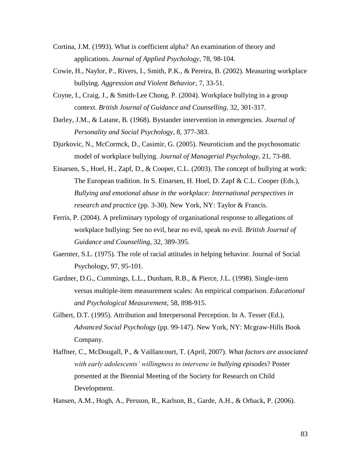- Cortina, J.M. (1993). What is coefficient alpha? An examination of theory and applications. *Journal of Applied Psychology*, 78, 98-104.
- Cowie, H., Naylor, P., Rivers, I., Smith, P.K., & Pereira, B. (2002). Measuring workplace bullying. *Aggression and Violent Behavior*, 7, 33-51.
- Coyne, I., Craig, J., & Smith-Lee Chong, P. (2004). Workplace bullying in a group context. *British Journal of Guidance and Counselling*, 32, 301-317.
- Darley, J.M., & Latane, B. (1968). Bystander intervention in emergencies. *Journal of Personality and Social Psychology*, 8, 377-383.
- Djurkovic, N., McCormck, D., Casimir, G. (2005). Neuroticism and the psychosomatic model of workplace bullying. *Journal of Managerial Psychology*, 21, 73-88.
- Einarsen, S., Hoel, H., Zapf, D., & Cooper, C.L. (2003). The concept of bullying at work: The European tradition. In S. Einarsen, H. Hoel, D. Zapf & C.L. Cooper (Eds.), *Bullying and emotional abuse in the workplace: International perspectives in research and practice* (pp. 3-30). New York, NY: Taylor & Francis.
- Ferris, P. (2004). A preliminary typology of organisational response to allegations of workplace bullying: See no evil, hear no evil, speak no evil. *British Journal of Guidance and Counselling*, 32, 389-395.
- Gaernter, S.L. (1975). The role of racial attitudes in helping behavior. Journal of Social Psychology, 97, 95-101.
- Gardner, D.G., Cummings, L.L., Dunham, R.B., & Pierce, J.L. (1998). Single-item versus multiple-item measurement scales: An empirical comparison. *Educational and Psychological Measurement*, 58, 898-915.
- Gilbert, D.T. (1995). Attribution and Interpersonal Perception. In A. Tesser (Ed.), *Advanced Social Psychology* (pp. 99-147). New York, NY: Mcgraw-Hills Book Company.
- Haffner, C., McDougall, P., & Vaillancourt, T. (April, 2007). *What factors are associated with early adolescents' willingness to intervene in bullying episodes*? Poster presented at the Biennial Meeting of the Society for Research on Child Development.

Hansen, A.M., Hogh, A., Persson, R., Karlson, B., Garde, A.H., & Orback, P. (2006).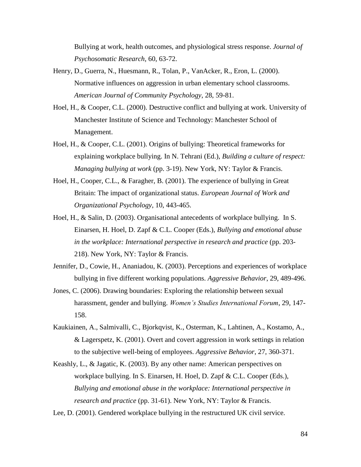Bullying at work, health outcomes, and physiological stress response. *Journal of Psychosomatic Research*, 60, 63-72.

- Henry, D., Guerra, N., Huesmann, R., Tolan, P., VanAcker, R., Eron, L. (2000). Normative influences on aggression in urban elementary school classrooms. *American Journal of Community Psychology*, 28, 59-81.
- Hoel, H., & Cooper, C.L. (2000). Destructive conflict and bullying at work. University of Manchester Institute of Science and Technology: Manchester School of Management.
- Hoel, H., & Cooper, C.L. (2001). Origins of bullying: Theoretical frameworks for explaining workplace bullying. In N. Tehrani (Ed.), *Building a culture of respect: Managing bullying at work* (pp. 3-19). New York, NY: Taylor & Francis.
- Hoel, H., Cooper, C.L., & Faragher, B. (2001). The experience of bullying in Great Britain: The impact of organizational status. *European Journal of Work and Organizational Psychology*, 10, 443-465.
- Hoel, H., & Salin, D. (2003). Organisational antecedents of workplace bullying. In S. Einarsen, H. Hoel, D. Zapf & C.L. Cooper (Eds.), *Bullying and emotional abuse in the workplace: International perspective in research and practice* (pp. 203- 218). New York, NY: Taylor & Francis.
- Jennifer, D., Cowie, H., Ananiadou, K. (2003). Perceptions and experiences of workplace bullying in five different working populations. *Aggressive Behavior*, 29, 489-496.
- Jones, C. (2006). Drawing boundaries: Exploring the relationship between sexual harassment, gender and bullying. *Women's Studies International Forum*, 29, 147- 158.
- Kaukiainen, A., Salmivalli, C., Bjorkqvist, K., Osterman, K., Lahtinen, A., Kostamo, A., & Lagerspetz, K. (2001). Overt and covert aggression in work settings in relation to the subjective well-being of employees. *Aggressive Behavior*, 27, 360-371.
- Keashly, L., & Jagatic, K. (2003). By any other name: American perspectives on workplace bullying. In S. Einarsen, H. Hoel, D. Zapf & C.L. Cooper (Eds.), *Bullying and emotional abuse in the workplace: International perspective in research and practice* (pp. 31-61). New York, NY: Taylor & Francis.

Lee, D. (2001). Gendered workplace bullying in the restructured UK civil service.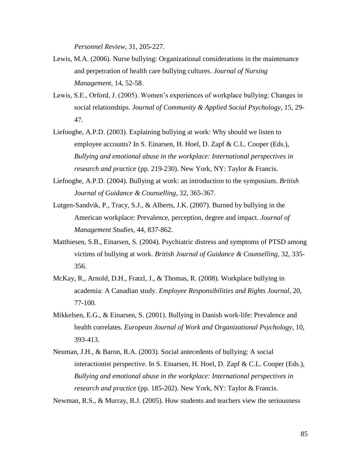*Personnel Review*, 31, 205-227.

- Lewis, M.A. (2006). Nurse bullying: Organizational considerations in the maintenance and perpetration of health care bullying cultures. *Journal of Nursing Management*, 14, 52-58.
- Lewis, S.E., Orford, J. (2005). Women"s experiences of workplace bullying: Changes in social relationships. *Journal of Community & Applied Social Psychology*, 15, 29- 47.
- Liefooghe, A.P.D. (2003). Explaining bullying at work: Why should we listen to employee accounts? In S. Einarsen, H. Hoel, D. Zapf & C.L. Cooper (Eds.), *Bullying and emotional abuse in the workplace: International perspectives in research and practice* (pp. 219-230). New York, NY: Taylor & Francis.
- Liefooghe, A.P.D. (2004). Bullying at work: an introduction to the symposium. *British Journal of Guidance & Counselling*, 32, 365-367.
- Lutgen-Sandvik, P., Tracy, S.J., & Alberts, J.K. (2007). Burned by bullying in the American workplace: Prevalence, perception, degree and impact. *Journal of Management Studies*, 44, 837-862.
- Matthiesen, S.B., Einarsen, S. (2004). Psychiatric distress and symptoms of PTSD among victims of bullying at work. *British Journal of Guidance & Counselling*, 32, 335- 356.
- McKay, R., Arnold, D.H., Fratzl, J., & Thomas, R. (2008). Workplace bullying in academia: A Canadian study. *Employee Responsibilities and Rights Journal*, 20, 77-100.
- Mikkelsen, E.G., & Einarsen, S. (2001). Bullying in Danish work-life: Prevalence and health correlates. *European Journal of Work and Organizational Psychology*, 10, 393-413.
- Neuman, J.H., & Baron, R.A. (2003). Social antecedents of bullying: A social interactionist perspective. In S. Einarsen, H. Hoel, D. Zapf & C.L. Cooper (Eds.), *Bullying and emotional abuse in the workplace: International perspectives in research and practice* (pp. 185-202). New York, NY: Taylor & Francis.

Newman, R.S., & Murray, B.J. (2005). How students and teachers view the seriousness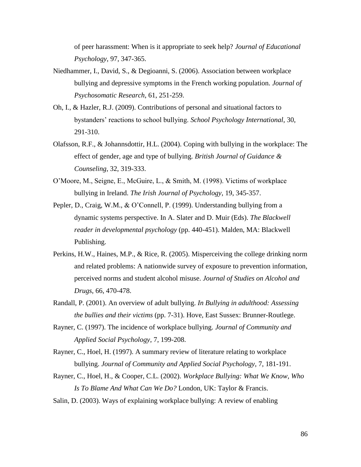of peer harassment: When is it appropriate to seek help? *Journal of Educational Psychology*, 97, 347-365.

- Niedhammer, I., David, S., & Degioanni, S. (2006). Association between workplace bullying and depressive symptoms in the French working population. *Journal of Psychosomatic Research*, 61, 251-259.
- Oh, I., & Hazler, R.J. (2009). Contributions of personal and situational factors to bystanders" reactions to school bullying. *School Psychology International*, 30, 291-310.
- Olafsson, R.F., & Johannsdottir, H.L. (2004). Coping with bullying in the workplace: The effect of gender, age and type of bullying. *British Journal of Guidance & Counseling*, 32, 319-333.
- O"Moore, M., Seigne, E., McGuire, L., & Smith, M. (1998). Victims of workplace bullying in Ireland. *The Irish Journal of Psychology*, 19, 345-357.
- Pepler, D., Craig, W.M., & O"Connell, P. (1999). Understanding bullying from a dynamic systems perspective. In A. Slater and D. Muir (Eds). *The Blackwell reader in developmental psychology* (pp. 440-451). Malden, MA: Blackwell Publishing.
- Perkins, H.W., Haines, M.P., & Rice, R. (2005). Misperceiving the college drinking norm and related problems: A nationwide survey of exposure to prevention information, perceived norms and student alcohol misuse. *Journal of Studies on Alcohol and Drugs*, 66, 470-478.
- Randall, P. (2001). An overview of adult bullying. *In Bullying in adulthood: Assessing the bullies and their victims* (pp. 7-31). Hove, East Sussex: Brunner-Routlege.
- Rayner, C. (1997). The incidence of workplace bullying. *Journal of Community and Applied Social Psychology*, 7, 199-208.
- Rayner, C., Hoel, H. (1997). A summary review of literature relating to workplace bullying. *Journal of Community and Applied Social Psychology*, 7, 181-191.
- Rayner, C., Hoel, H., & Cooper, C.L. (2002). *Workplace Bullying: What We Know, Who Is To Blame And What Can We Do?* London, UK: Taylor & Francis.
- Salin, D. (2003). Ways of explaining workplace bullying: A review of enabling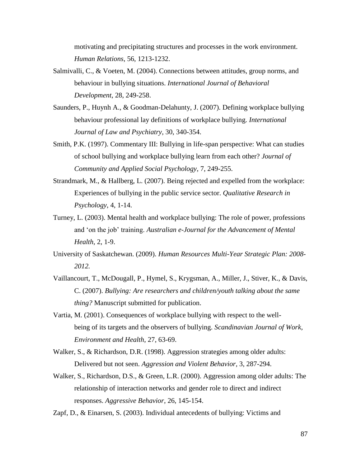motivating and precipitating structures and processes in the work environment. *Human Relations*, 56, 1213-1232.

- Salmivalli, C., & Voeten, M. (2004). Connections between attitudes, group norms, and behaviour in bullying situations. *International Journal of Behavioral Development*, 28, 249-258.
- Saunders, P., Huynh A., & Goodman-Delahunty, J. (2007). Defining workplace bullying behaviour professional lay definitions of workplace bullying. *International Journal of Law and Psychiatry*, 30, 340-354.
- Smith, P.K. (1997). Commentary III: Bullying in life-span perspective: What can studies of school bullying and workplace bullying learn from each other? *Journal of Community and Applied Social Psychology*, 7, 249-255.
- Strandmark, M., & Hallberg, L. (2007). Being rejected and expelled from the workplace: Experiences of bullying in the public service sector. *Qualitative Research in Psychology*, 4, 1-14.
- Turney, L. (2003). Mental health and workplace bullying: The role of power, professions and 'on the job' training. Australian e-Journal for the Advancement of Mental *Health*, 2, 1-9.
- University of Saskatchewan. (2009). *Human Resources Multi-Year Strategic Plan: 2008- 2012.*
- Vaillancourt, T., McDougall, P., Hymel, S., Krygsman, A., Miller, J., Stiver, K., & Davis, C. (2007). *Bullying: Are researchers and children/youth talking about the same thing?* Manuscript submitted for publication.
- Vartia, M. (2001). Consequences of workplace bullying with respect to the wellbeing of its targets and the observers of bullying. *Scandinavian Journal of Work, Environment and Health*, 27, 63-69.
- Walker, S., & Richardson, D.R. (1998). Aggression strategies among older adults: Delivered but not seen. *Aggression and Violent Behavior*, 3, 287-294.
- Walker, S., Richardson, D.S., & Green, L.R. (2000). Aggression among older adults: The relationship of interaction networks and gender role to direct and indirect responses. *Aggressive Behavior*, 26, 145-154.

Zapf, D., & Einarsen, S. (2003). Individual antecedents of bullying: Victims and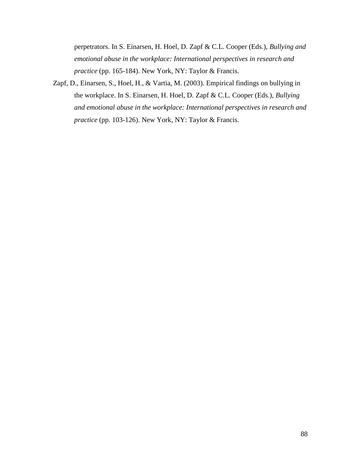perpetrators. In S. Einarsen, H. Hoel, D. Zapf & C.L. Cooper (Eds.), *Bullying and emotional abuse in the workplace: International perspectives in research and practice* (pp. 165-184). New York, NY: Taylor & Francis.

Zapf, D., Einarsen, S., Hoel, H., & Vartia, M. (2003). Empirical findings on bullying in the workplace. In S. Einarsen, H. Hoel, D. Zapf & C.L. Cooper (Eds.), *Bullying and emotional abuse in the workplace: International perspectives in research and practice* (pp. 103-126). New York, NY: Taylor & Francis.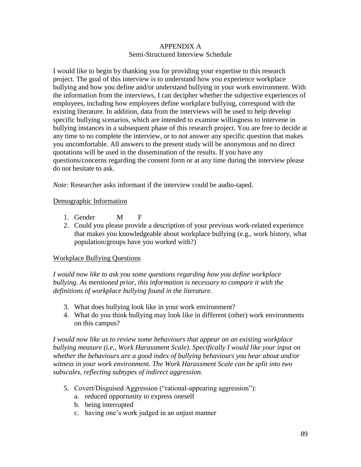## APPENDIX A Semi-Structured Interview Schedule

I would like to begin by thanking you for providing your expertise to this research project. The goal of this interview is to understand how you experience workplace bullying and how you define and/or understand bullying in your work environment. With the information from the interviews, I can decipher whether the subjective experiences of employees, including how employees define workplace bullying, correspond with the existing literature. In addition, data from the interviews will be used to help develop specific bullying scenarios, which are intended to examine willingness to intervene in bullying instances in a subsequent phase of this research project. You are free to decide at any time to no complete the interview, or to not answer any specific question that makes you uncomfortable. All answers to the present study will be anonymous and no direct quotations will be used in the dissemination of the results. If you have any questions/concerns regarding the consent form or at any time during the interview please do not hesitate to ask.

*Note:* Researcher asks informant if the interview could be audio-taped.

### Demographic Information

- 1. Gender M F
- 2. Could you please provide a description of your previous work-related experience that makes you knowledgeable about workplace bullying (e.g., work history, what population/groups have you worked with?)

# Workplace Bullying Questions

*I would now like to ask you some questions regarding how you define workplace bullying. As mentioned prior, this information is necessary to compare it with the definitions of workplace bullying found in the literature.* 

- 3. What does bullying look like in your work environment?
- 4. What do you think bullying may look like in different (other) work environments on this campus?

*I would now like us to review some behaviours that appear on an existing workplace bullying measure (i.e., Work Harassment Scale). Specifically I would like your input on whether the behaviours are a good index of bullying behaviours you hear about and/or witness in your work environment. The Work Harassment Scale can be split into two subscales, reflecting subtypes of indirect aggression.*

- 5. Covert/Disguised Aggression ("rational-appearing aggression"):
	- a. reduced opportunity to express oneself
	- b. being interrupted
	- c. having one"s work judged in an unjust manner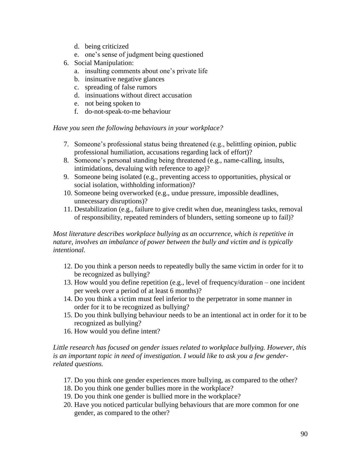- d. being criticized
- e. one"s sense of judgment being questioned
- 6. Social Manipulation:
	- a. insulting comments about one"s private life
	- b. insinuative negative glances
	- c. spreading of false rumors
	- d. insinuations without direct accusation
	- e. not being spoken to
	- f. do-not-speak-to-me behaviour

*Have you seen the following behaviours in your workplace?*

- 7. Someone"s professional status being threatened (e.g., belittling opinion, public professional humiliation, accusations regarding lack of effort)?
- 8. Someone"s personal standing being threatened (e.g., name-calling, insults, intimidations, devaluing with reference to age)?
- 9. Someone being isolated (e.g., preventing access to opportunities, physical or social isolation, withholding information)?
- 10. Someone being overworked (e.g., undue pressure, impossible deadlines, unnecessary disruptions)?
- 11. Destabilization (e.g., failure to give credit when due, meaningless tasks, removal of responsibility, repeated reminders of blunders, setting someone up to fail)?

# *Most literature describes workplace bullying as an occurrence, which is repetitive in nature, involves an imbalance of power between the bully and victim and is typically intentional.*

- 12. Do you think a person needs to repeatedly bully the same victim in order for it to be recognized as bullying?
- 13. How would you define repetition (e.g., level of frequency/duration one incident per week over a period of at least 6 months)?
- 14. Do you think a victim must feel inferior to the perpetrator in some manner in order for it to be recognized as bullying?
- 15. Do you think bullying behaviour needs to be an intentional act in order for it to be recognized as bullying?
- 16. How would you define intent?

*Little research has focused on gender issues related to workplace bullying. However, this is an important topic in need of investigation. I would like to ask you a few genderrelated questions.*

- 17. Do you think one gender experiences more bullying, as compared to the other?
- 18. Do you think one gender bullies more in the workplace?
- 19. Do you think one gender is bullied more in the workplace?
- 20. Have you noticed particular bullying behaviours that are more common for one gender, as compared to the other?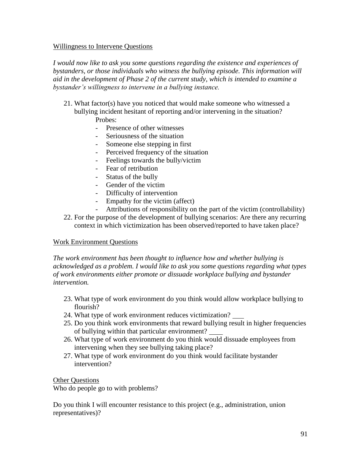### Willingness to Intervene Questions

*I would now like to ask you some questions regarding the existence and experiences of bystanders, or those individuals who witness the bullying episode. This information will aid in the development of Phase 2 of the current study, which is intended to examine a bystander's willingness to intervene in a bullying instance.*

- 21. What factor(s) have you noticed that would make someone who witnessed a bullying incident hesitant of reporting and/or intervening in the situation? Probes:
	- Presence of other witnesses
	- Seriousness of the situation
	- Someone else stepping in first
	- Perceived frequency of the situation
	- Feelings towards the bully/victim
	- Fear of retribution
	- Status of the bully
	- Gender of the victim
	- Difficulty of intervention
	- Empathy for the victim (affect)
	- Attributions of responsibility on the part of the victim (controllability)
- 22. For the purpose of the development of bullying scenarios: Are there any recurring context in which victimization has been observed/reported to have taken place?

# Work Environment Questions

*The work environment has been thought to influence how and whether bullying is acknowledged as a problem. I would like to ask you some questions regarding what types of work environments either promote or dissuade workplace bullying and bystander intervention.* 

- 23. What type of work environment do you think would allow workplace bullying to flourish?
- 24. What type of work environment reduces victimization?
- 25. Do you think work environments that reward bullying result in higher frequencies of bullying within that particular environment?
- 26. What type of work environment do you think would dissuade employees from intervening when they see bullying taking place?
- 27. What type of work environment do you think would facilitate bystander intervention?

# Other Questions

Who do people go to with problems?

Do you think I will encounter resistance to this project (e.g., administration, union representatives)?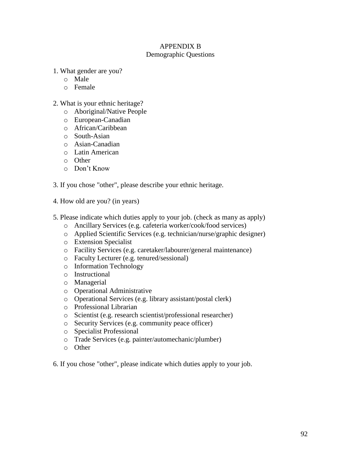# APPENDIX B

# Demographic Questions

1. What gender are you?

- o Male
- o Female
- 2. What is your ethnic heritage?
	- o Aboriginal/Native People
	- o European-Canadian
	- o African/Caribbean
	- o South-Asian
	- o Asian-Canadian
	- o Latin American
	- o Other
	- o Don"t Know
- 3. If you chose "other", please describe your ethnic heritage.
- 4. How old are you? (in years)
- 5. Please indicate which duties apply to your job. (check as many as apply)
	- o Ancillary Services (e.g. cafeteria worker/cook/food services)
	- o Applied Scientific Services (e.g. technician/nurse/graphic designer)
	- o Extension Specialist
	- o Facility Services (e.g. caretaker/labourer/general maintenance)
	- o Faculty Lecturer (e.g. tenured/sessional)
	- o Information Technology
	- o Instructional
	- o Managerial
	- o Operational Administrative
	- o Operational Services (e.g. library assistant/postal clerk)
	- o Professional Librarian
	- o Scientist (e.g. research scientist/professional researcher)
	- o Security Services (e.g. community peace officer)
	- o Specialist Professional
	- o Trade Services (e.g. painter/automechanic/plumber)
	- o Other

6. If you chose "other", please indicate which duties apply to your job.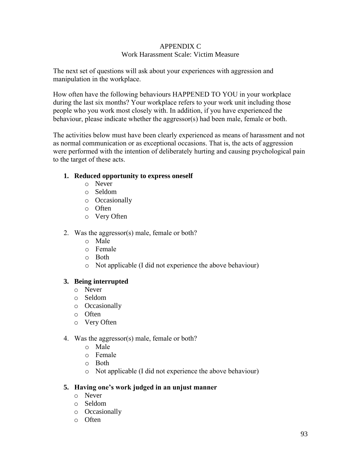## APPENDIX C Work Harassment Scale: Victim Measure

The next set of questions will ask about your experiences with aggression and manipulation in the workplace.

How often have the following behaviours HAPPENED TO YOU in your workplace during the last six months? Your workplace refers to your work unit including those people who you work most closely with. In addition, if you have experienced the behaviour, please indicate whether the aggressor(s) had been male, female or both.

The activities below must have been clearly experienced as means of harassment and not as normal communication or as exceptional occasions. That is, the acts of aggression were performed with the intention of deliberately hurting and causing psychological pain to the target of these acts.

### **1. Reduced opportunity to express oneself**

- o Never
- o Seldom
- o Occasionally
- o Often
- o Very Often
- 2. Was the aggressor(s) male, female or both?
	- o Male
	- o Female
	- o Both
	- o Not applicable (I did not experience the above behaviour)

# **3. Being interrupted**

- o Never
- o Seldom
- o Occasionally
- o Often
- o Very Often
- 4. Was the aggressor(s) male, female or both?
	- o Male
	- o Female
	- o Both
	- o Not applicable (I did not experience the above behaviour)

# **5. Having one's work judged in an unjust manner**

- o Never
- o Seldom
- o Occasionally
- o Often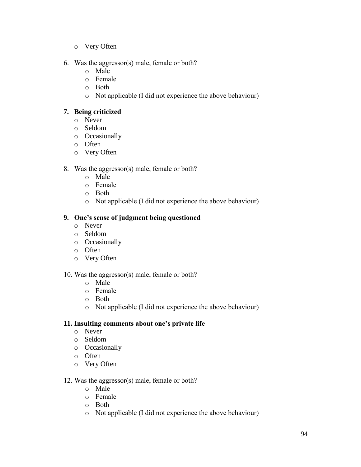- o Very Often
- 6. Was the aggressor(s) male, female or both?
	- o Male
	- o Female
	- o Both
	- o Not applicable (I did not experience the above behaviour)

# **7. Being criticized**

- o Never
- o Seldom
- o Occasionally
- o Often
- o Very Often

# 8. Was the aggressor(s) male, female or both?

- o Male
- o Female
- o Both
- o Not applicable (I did not experience the above behaviour)

# **9. One's sense of judgment being questioned**

- o Never
- o Seldom
- o Occasionally
- o Often
- o Very Often

# 10. Was the aggressor(s) male, female or both?

- o Male
- o Female
- o Both
- o Not applicable (I did not experience the above behaviour)

# **11. Insulting comments about one's private life**

- o Never
- o Seldom
- o Occasionally
- o Often
- o Very Often

# 12. Was the aggressor(s) male, female or both?

- o Male
- o Female
- o Both
- o Not applicable (I did not experience the above behaviour)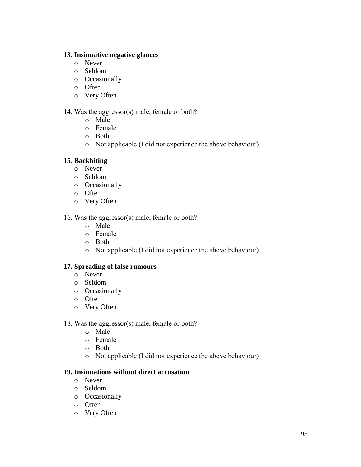### **13. Insinuative negative glances**

- o Never
- o Seldom
- o Occasionally
- o Often
- o Very Often

## 14. Was the aggressor(s) male, female or both?

- o Male
- o Female
- o Both
- o Not applicable (I did not experience the above behaviour)

# **15. Backbiting**

- o Never
- o Seldom
- o Occasionally
- o Often
- o Very Often

16. Was the aggressor(s) male, female or both?

- o Male
- o Female
- o Both
- o Not applicable (I did not experience the above behaviour)

### **17. Spreading of false rumours**

- o Never
- o Seldom
- o Occasionally
- o Often
- o Very Often
- 18. Was the aggressor(s) male, female or both?
	- o Male
	- o Female
	- o Both
	- o Not applicable (I did not experience the above behaviour)

### **19. Insinuations without direct accusation**

- o Never
- o Seldom
- o Occasionally
- o Often
- o Very Often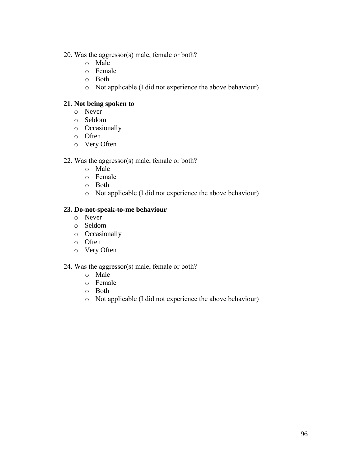- 20. Was the aggressor(s) male, female or both?
	- o Male
	- o Female
	- o Both
	- o Not applicable (I did not experience the above behaviour)

## **21. Not being spoken to**

- o Never
- o Seldom
- o Occasionally
- o Often
- o Very Often

# 22. Was the aggressor(s) male, female or both?

- o Male
- o Female
- o Both
- o Not applicable (I did not experience the above behaviour)

### **23. Do-not-speak-to-me behaviour**

- o Never
- o Seldom
- o Occasionally
- o Often
- o Very Often

### 24. Was the aggressor(s) male, female or both?

- o Male
- o Female
- o Both
- o Not applicable (I did not experience the above behaviour)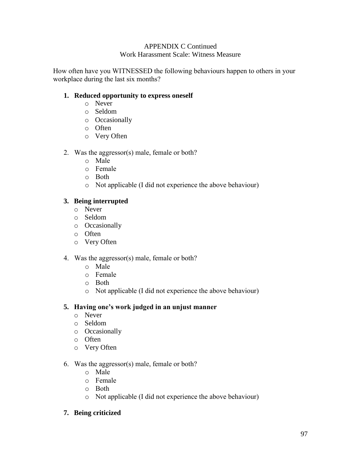#### APPENDIX C Continued Work Harassment Scale: Witness Measure

How often have you WITNESSED the following behaviours happen to others in your workplace during the last six months?

# **1. Reduced opportunity to express oneself**

- o Never
- o Seldom
- o Occasionally
- o Often
- o Very Often
- 2. Was the aggressor(s) male, female or both?
	- o Male
	- o Female
	- o Both
	- o Not applicable (I did not experience the above behaviour)

# **3. Being interrupted**

- o Never
- o Seldom
- o Occasionally
- o Often
- o Very Often
- 4. Was the aggressor(s) male, female or both?
	- o Male
	- o Female
	- o Both
	- o Not applicable (I did not experience the above behaviour)

# **5. Having one's work judged in an unjust manner**

- o Never
- o Seldom
- o Occasionally
- o Often
- o Very Often
- 6. Was the aggressor(s) male, female or both?
	- o Male
	- o Female
	- o Both
	- o Not applicable (I did not experience the above behaviour)

# **7. Being criticized**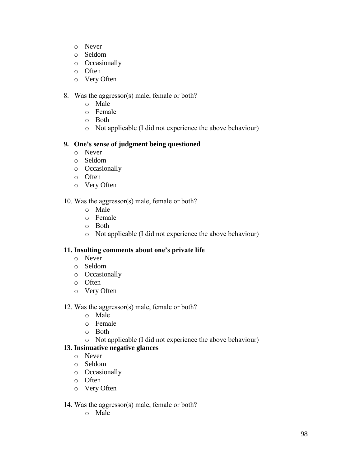- o Never
- o Seldom
- o Occasionally
- o Often
- o Very Often

# 8. Was the aggressor(s) male, female or both?

- o Male
- o Female
- o Both
- o Not applicable (I did not experience the above behaviour)

# **9. One's sense of judgment being questioned**

- o Never
- o Seldom
- o Occasionally
- o Often
- o Very Often

# 10. Was the aggressor(s) male, female or both?

- o Male
- o Female
- o Both
- o Not applicable (I did not experience the above behaviour)

# **11. Insulting comments about one's private life**

- o Never
- o Seldom
- o Occasionally
- o Often
- o Very Often

# 12. Was the aggressor(s) male, female or both?

- o Male
- o Female
- o Both
- o Not applicable (I did not experience the above behaviour)

# **13. Insinuative negative glances**

- o Never
- o Seldom
- o Occasionally
- o Often
- o Very Often

# 14. Was the aggressor(s) male, female or both?

o Male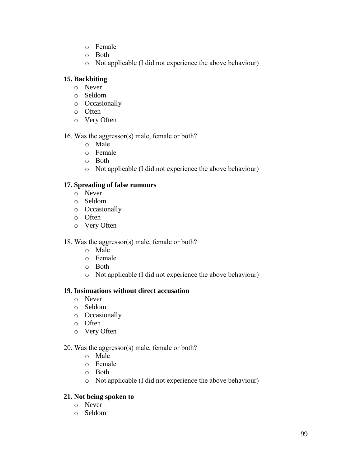- o Female
- o Both
- o Not applicable (I did not experience the above behaviour)

# **15. Backbiting**

- o Never
- o Seldom
- o Occasionally
- o Often
- o Very Often

# 16. Was the aggressor(s) male, female or both?

- o Male
- o Female
- o Both
- o Not applicable (I did not experience the above behaviour)

# **17. Spreading of false rumours**

- o Never
- o Seldom
- o Occasionally
- o Often
- o Very Often

# 18. Was the aggressor(s) male, female or both?

- o Male
- o Female
- o Both
- o Not applicable (I did not experience the above behaviour)

# **19. Insinuations without direct accusation**

- o Never
- o Seldom
- o Occasionally
- o Often
- o Very Often

# 20. Was the aggressor(s) male, female or both?

- o Male
- o Female
- o Both
- o Not applicable (I did not experience the above behaviour)

# **21. Not being spoken to**

- o Never
- o Seldom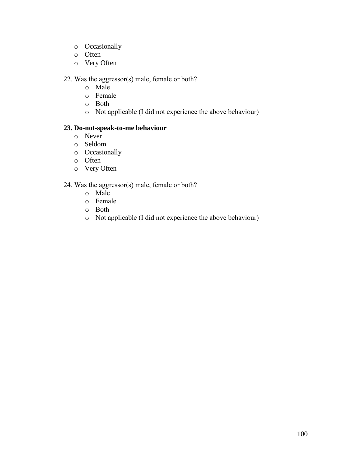- o Occasionally
- o Often
- o Very Often

### 22. Was the aggressor(s) male, female or both?

- o Male
- o Female
- o Both
- o Not applicable (I did not experience the above behaviour)

### **23. Do-not-speak-to-me behaviour**

- o Never
- o Seldom
- o Occasionally
- o Often
- o Very Often

### 24. Was the aggressor(s) male, female or both?

- o Male
- o Female
- o Both
- o Not applicable (I did not experience the above behaviour)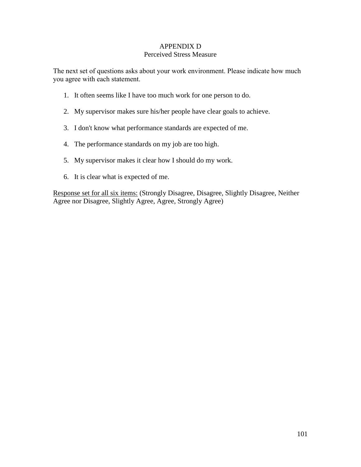#### APPENDIX D Perceived Stress Measure

The next set of questions asks about your work environment. Please indicate how much you agree with each statement.

- 1. It often seems like I have too much work for one person to do.
- 2. My supervisor makes sure his/her people have clear goals to achieve.
- 3. I don't know what performance standards are expected of me.
- 4. The performance standards on my job are too high.
- 5. My supervisor makes it clear how I should do my work.
- 6. It is clear what is expected of me.

Response set for all six items: (Strongly Disagree, Disagree, Slightly Disagree, Neither Agree nor Disagree, Slightly Agree, Agree, Strongly Agree)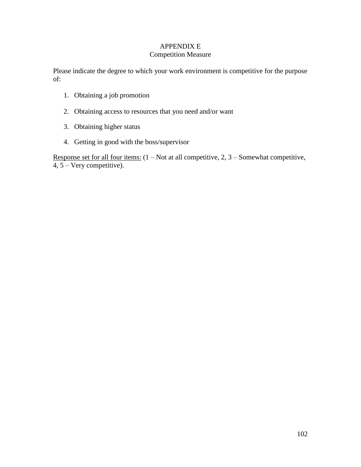# APPENDIX E

### Competition Measure

Please indicate the degree to which your work environment is competitive for the purpose of:

- 1. Obtaining a job promotion
- 2. Obtaining access to resources that you need and/or want
- 3. Obtaining higher status
- 4. Getting in good with the boss/supervisor

Response set for all four items:  $(1 - Not at all competitive, 2, 3 - Somewhat competitive,$ 4, 5 – Very competitive).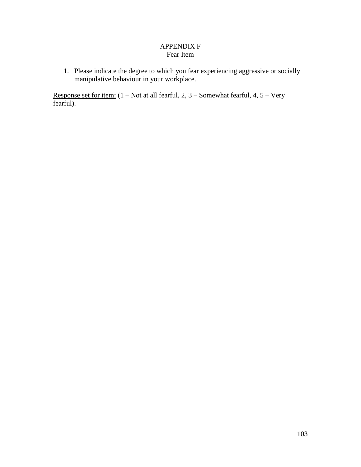### APPENDIX F Fear Item

1. Please indicate the degree to which you fear experiencing aggressive or socially manipulative behaviour in your workplace.

Response set for item: (1 – Not at all fearful, 2, 3 – Somewhat fearful, 4, 5 – Very fearful).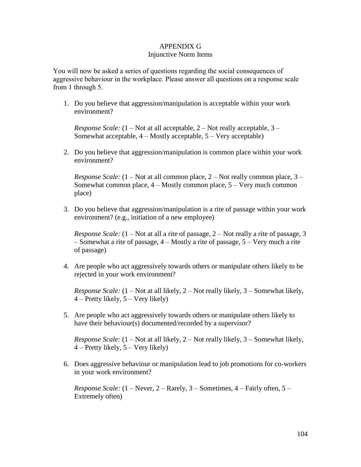### APPENDIX G

#### Injunctive Norm Items

You will now be asked a series of questions regarding the social consequences of aggressive behaviour in the workplace. Please answer all questions on a response scale from 1 through 5.

1. Do you believe that aggression/manipulation is acceptable within your work environment?

*Response Scale:* (1 – Not at all acceptable, 2 – Not really acceptable, 3 – Somewhat acceptable, 4 – Mostly acceptable, 5 – Very acceptable)

2. Do you believe that aggression/manipulation is common place within your work environment?

*Response Scale:* (1 – Not at all common place, 2 – Not really common place, 3 – Somewhat common place,  $4 -$ Mostly common place,  $5 -$ Very much common place)

3. Do you believe that aggression/manipulation is a rite of passage within your work environment? (e.g., initiation of a new employee)

*Response Scale:* (1 – Not at all a rite of passage, 2 – Not really a rite of passage, 3 – Somewhat a rite of passage, 4 – Mostly a rite of passage, 5 – Very much a rite of passage)

4. Are people who act aggressively towards others or manipulate others likely to be rejected in your work environment?

*Response Scale:* (1 – Not at all likely, 2 – Not really likely, 3 – Somewhat likely,  $4$  – Pretty likely,  $5$  – Very likely)

5. Are people who act aggressively towards others or manipulate others likely to have their behaviour(s) documented/recorded by a supervisor?

*Response Scale:* (1 – Not at all likely, 2 – Not really likely, 3 – Somewhat likely,  $4$  – Pretty likely,  $5$  – Very likely)

6. Does aggressive behaviour or manipulation lead to job promotions for co-workers in your work environment?

*Response Scale:* (1 – Never, 2 – Rarely, 3 – Sometimes, 4 – Fairly often, 5 – Extremely often)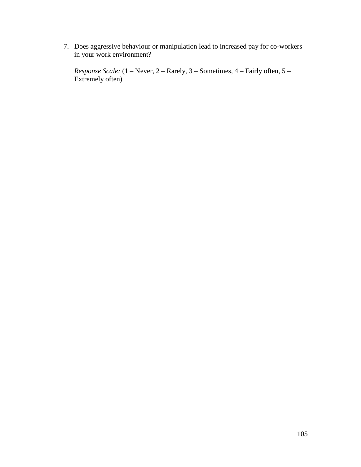7. Does aggressive behaviour or manipulation lead to increased pay for co-workers in your work environment?

*Response Scale:* (1 – Never, 2 – Rarely, 3 – Sometimes, 4 – Fairly often, 5 – Extremely often)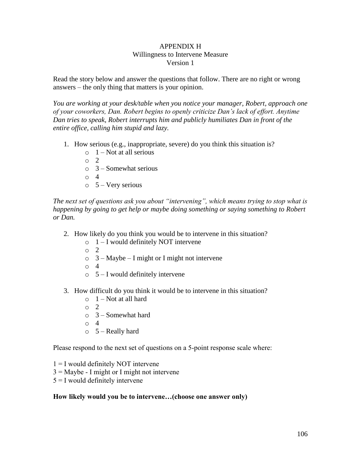#### APPENDIX H Willingness to Intervene Measure Version 1

Read the story below and answer the questions that follow. There are no right or wrong answers – the only thing that matters is your opinion.

*You are working at your desk/table when you notice your manager, Robert, approach one of your coworkers, Dan. Robert begins to openly criticize Dan's lack of effort. Anytime Dan tries to speak, Robert interrupts him and publicly humiliates Dan in front of the entire office, calling him stupid and lazy.*

- 1. How serious (e.g., inappropriate, severe) do you think this situation is?
	- $\circ$  1 Not at all serious
	- $\sim$  2
	- $\circ$  3 Somewhat serious
	- o 4
	- $\circ$  5 Very serious

*The next set of questions ask you about "intervening", which means trying to stop what is happening by going to get help or maybe doing something or saying something to Robert or Dan.*

- 2. How likely do you think you would be to intervene in this situation?
	- $\circ$  1 I would definitely NOT intervene
	- o 2
	- $\circ$  3 Maybe I might or I might not intervene
	- o 4
	- $\circ$  5 I would definitely intervene
- 3. How difficult do you think it would be to intervene in this situation?
	- $\circ$  1 Not at all hard
	- $\circ$  2
	- $\circ$  3 Somewhat hard
	- o 4
	- $\circ$  5 Really hard

Please respond to the next set of questions on a 5-point response scale where:

- $1 = I$  would definitely NOT intervene
- $3 =$  Maybe I might or I might not intervene
- $5 = I$  would definitely intervene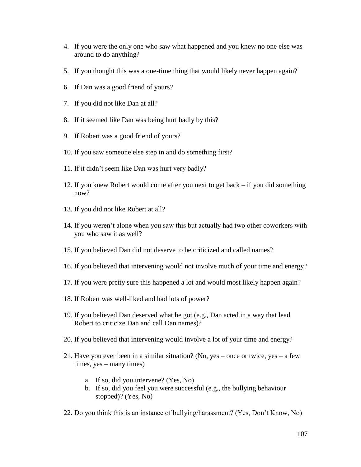- 4. If you were the only one who saw what happened and you knew no one else was around to do anything?
- 5. If you thought this was a one-time thing that would likely never happen again?
- 6. If Dan was a good friend of yours?
- 7. If you did not like Dan at all?
- 8. If it seemed like Dan was being hurt badly by this?
- 9. If Robert was a good friend of yours?
- 10. If you saw someone else step in and do something first?
- 11. If it didn"t seem like Dan was hurt very badly?
- 12. If you knew Robert would come after you next to get back if you did something now?
- 13. If you did not like Robert at all?
- 14. If you weren"t alone when you saw this but actually had two other coworkers with you who saw it as well?
- 15. If you believed Dan did not deserve to be criticized and called names?
- 16. If you believed that intervening would not involve much of your time and energy?
- 17. If you were pretty sure this happened a lot and would most likely happen again?
- 18. If Robert was well-liked and had lots of power?
- 19. If you believed Dan deserved what he got (e.g., Dan acted in a way that lead Robert to criticize Dan and call Dan names)?
- 20. If you believed that intervening would involve a lot of your time and energy?
- 21. Have you ever been in a similar situation? (No, yes once or twice, yes a few times, yes – many times)
	- a. If so, did you intervene? (Yes, No)
	- b. If so, did you feel you were successful (e.g., the bullying behaviour stopped)? (Yes, No)
- 22. Do you think this is an instance of bullying/harassment? (Yes, Don"t Know, No)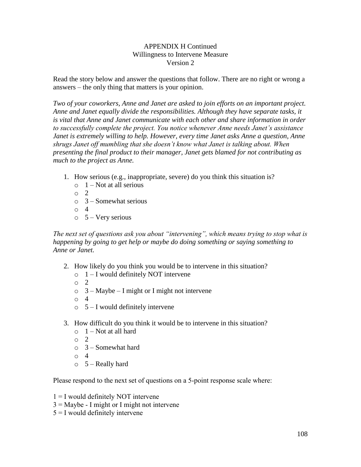#### APPENDIX H Continued Willingness to Intervene Measure Version 2

Read the story below and answer the questions that follow. There are no right or wrong a answers – the only thing that matters is your opinion.

*Two of your coworkers, Anne and Janet are asked to join efforts on an important project. Anne and Janet equally divide the responsibilities. Although they have separate tasks, it is vital that Anne and Janet communicate with each other and share information in order to successfully complete the project. You notice whenever Anne needs Janet's assistance Janet is extremely willing to help. However, every time Janet asks Anne a question, Anne shrugs Janet off mumbling that she doesn't know what Janet is talking about. When presenting the final product to their manager, Janet gets blamed for not contributing as much to the project as Anne.*

- 1. How serious (e.g., inappropriate, severe) do you think this situation is?
	- $\circ$  1 Not at all serious
	- o 2
	- $\circ$  3 Somewhat serious
	- o 4
	- $\circ$  5 Very serious

*The next set of questions ask you about "intervening", which means trying to stop what is happening by going to get help or maybe do doing something or saying something to Anne or Janet.*

- 2. How likely do you think you would be to intervene in this situation?
	- $\circ$  1 I would definitely NOT intervene
	- o 2
	- $\circ$  3 Maybe I might or I might not intervene
	- o 4
	- $\circ$  5 I would definitely intervene
- 3. How difficult do you think it would be to intervene in this situation?
	- $\circ$  1 Not at all hard
	- o 2
	- $\circ$  3 Somewhat hard
	- o 4
	- $\circ$  5 Really hard

Please respond to the next set of questions on a 5-point response scale where:

- $1 = I$  would definitely NOT intervene
- $3 =$ Maybe I might or I might not intervene
- $5 = I$  would definitely intervene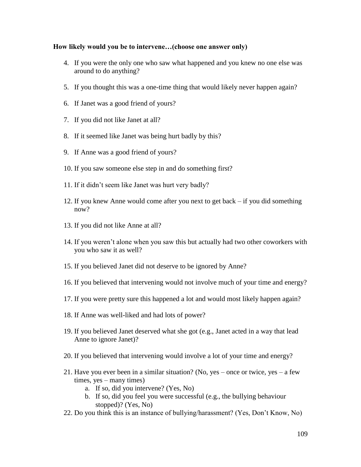- 4. If you were the only one who saw what happened and you knew no one else was around to do anything?
- 5. If you thought this was a one-time thing that would likely never happen again?
- 6. If Janet was a good friend of yours?
- 7. If you did not like Janet at all?
- 8. If it seemed like Janet was being hurt badly by this?
- 9. If Anne was a good friend of yours?
- 10. If you saw someone else step in and do something first?
- 11. If it didn"t seem like Janet was hurt very badly?
- 12. If you knew Anne would come after you next to get back if you did something now?
- 13. If you did not like Anne at all?
- 14. If you weren"t alone when you saw this but actually had two other coworkers with you who saw it as well?
- 15. If you believed Janet did not deserve to be ignored by Anne?
- 16. If you believed that intervening would not involve much of your time and energy?
- 17. If you were pretty sure this happened a lot and would most likely happen again?
- 18. If Anne was well-liked and had lots of power?
- 19. If you believed Janet deserved what she got (e.g., Janet acted in a way that lead Anne to ignore Janet)?
- 20. If you believed that intervening would involve a lot of your time and energy?
- 21. Have you ever been in a similar situation? (No, yes once or twice, yes a few times, yes – many times)
	- a. If so, did you intervene? (Yes, No)
	- b. If so, did you feel you were successful (e.g., the bullying behaviour stopped)? (Yes, No)
- 22. Do you think this is an instance of bullying/harassment? (Yes, Don"t Know, No)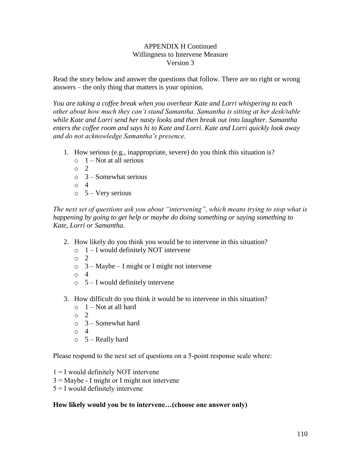#### APPENDIX H Continued Willingness to Intervene Measure Version 3

Read the story below and answer the questions that follow. There are no right or wrong answers – the only thing that matters is your opinion.

*You are taking a coffee break when you overhear Kate and Lorri whispering to each other about how much they can't stand Samantha. Samantha is sitting at her desk/table while Kate and Lorri send her nasty looks and then break out into laughter. Samantha enters the coffee room and says hi to Kate and Lorri. Kate and Lorri quickly look away and do not acknowledge Samantha's presence.* 

- 1. How serious (e.g., inappropriate, severe) do you think this situation is?
	- $\circ$  1 Not at all serious
	- $\circ$  2
	- $\circ$  3 Somewhat serious
	- o 4
	- $\circ$  5 Very serious

*The next set of questions ask you about "intervening", which means trying to stop what is happening by going to get help or maybe do doing something or saying something to Kate, Lorri or Samantha.*

- 2. How likely do you think you would be to intervene in this situation?
	- $\circ$  1 I would definitely NOT intervene
	- o 2
	- $\circ$  3 Maybe I might or I might not intervene
	- o 4
	- $\circ$  5 I would definitely intervene
- 3. How difficult do you think it would be to intervene in this situation?
	- $\circ$  1 Not at all hard
	- o 2
	- $\circ$  3 Somewhat hard
	- o 4
	- $\circ$  5 Really hard

Please respond to the next set of questions on a 5-point response scale where:

- $1 = I$  would definitely NOT intervene
- 3 = Maybe I might or I might not intervene
- $5 = I$  would definitely intervene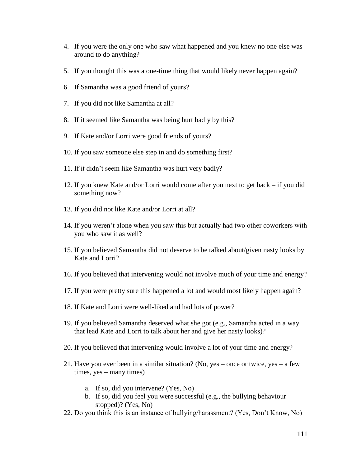- 4. If you were the only one who saw what happened and you knew no one else was around to do anything?
- 5. If you thought this was a one-time thing that would likely never happen again?
- 6. If Samantha was a good friend of yours?
- 7. If you did not like Samantha at all?
- 8. If it seemed like Samantha was being hurt badly by this?
- 9. If Kate and/or Lorri were good friends of yours?
- 10. If you saw someone else step in and do something first?
- 11. If it didn"t seem like Samantha was hurt very badly?
- 12. If you knew Kate and/or Lorri would come after you next to get back if you did something now?
- 13. If you did not like Kate and/or Lorri at all?
- 14. If you weren"t alone when you saw this but actually had two other coworkers with you who saw it as well?
- 15. If you believed Samantha did not deserve to be talked about/given nasty looks by Kate and Lorri?
- 16. If you believed that intervening would not involve much of your time and energy?
- 17. If you were pretty sure this happened a lot and would most likely happen again?
- 18. If Kate and Lorri were well-liked and had lots of power?
- 19. If you believed Samantha deserved what she got (e.g., Samantha acted in a way that lead Kate and Lorri to talk about her and give her nasty looks)?
- 20. If you believed that intervening would involve a lot of your time and energy?
- 21. Have you ever been in a similar situation? (No, yes once or twice, yes a few times, yes – many times)
	- a. If so, did you intervene? (Yes, No)
	- b. If so, did you feel you were successful (e.g., the bullying behaviour stopped)? (Yes, No)
- 22. Do you think this is an instance of bullying/harassment? (Yes, Don"t Know, No)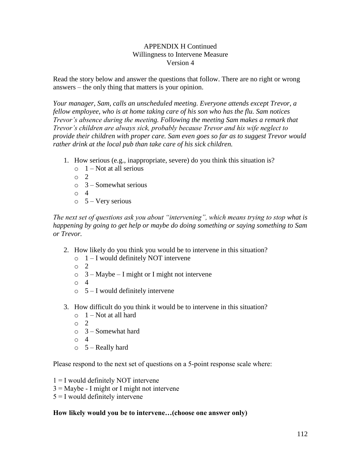#### APPENDIX H Continued Willingness to Intervene Measure Version 4

Read the story below and answer the questions that follow. There are no right or wrong answers – the only thing that matters is your opinion.

*Your manager, Sam, calls an unscheduled meeting. Everyone attends except Trevor, a fellow employee, who is at home taking care of his son who has the flu. Sam notices Trevor's absence during the meeting. Following the meeting Sam makes a remark that Trevor's children are always sick, probably because Trevor and his wife neglect to provide their children with proper care. Sam even goes so far as to suggest Trevor would rather drink at the local pub than take care of his sick children.*

- 1. How serious (e.g., inappropriate, severe) do you think this situation is?
	- $\circ$  1 Not at all serious
	- o 2
	- $\circ$  3 Somewhat serious
	- o 4
	- $\circ$  5 Very serious

*The next set of questions ask you about "intervening", which means trying to stop what is happening by going to get help or maybe do doing something or saying something to Sam or Trevor.*

- 2. How likely do you think you would be to intervene in this situation?
	- $\circ$  1 I would definitely NOT intervene
	- o 2
	- $\circ$  3 Maybe I might or I might not intervene
	- o 4
	- $\circ$  5 I would definitely intervene
- 3. How difficult do you think it would be to intervene in this situation?
	- $\circ$  1 Not at all hard
	- o 2
	- $\circ$  3 Somewhat hard
	- o 4
	- $\circ$  5 Really hard

Please respond to the next set of questions on a 5-point response scale where:

- $1 = I$  would definitely NOT intervene
- $3 =$  Maybe I might or I might not intervene
- $5 = I$  would definitely intervene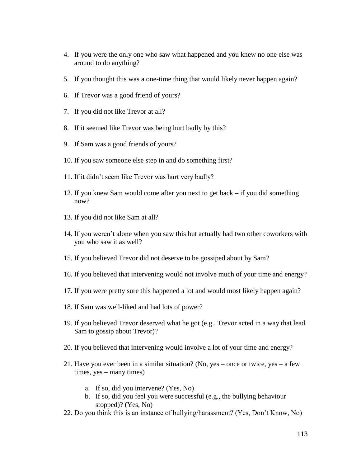- 4. If you were the only one who saw what happened and you knew no one else was around to do anything?
- 5. If you thought this was a one-time thing that would likely never happen again?
- 6. If Trevor was a good friend of yours?
- 7. If you did not like Trevor at all?
- 8. If it seemed like Trevor was being hurt badly by this?
- 9. If Sam was a good friends of yours?
- 10. If you saw someone else step in and do something first?
- 11. If it didn"t seem like Trevor was hurt very badly?
- 12. If you knew Sam would come after you next to get back if you did something now?
- 13. If you did not like Sam at all?
- 14. If you weren"t alone when you saw this but actually had two other coworkers with you who saw it as well?
- 15. If you believed Trevor did not deserve to be gossiped about by Sam?
- 16. If you believed that intervening would not involve much of your time and energy?
- 17. If you were pretty sure this happened a lot and would most likely happen again?
- 18. If Sam was well-liked and had lots of power?
- 19. If you believed Trevor deserved what he got (e.g., Trevor acted in a way that lead Sam to gossip about Trevor)?
- 20. If you believed that intervening would involve a lot of your time and energy?
- 21. Have you ever been in a similar situation? (No, yes once or twice, yes a few times, yes – many times)
	- a. If so, did you intervene? (Yes, No)
	- b. If so, did you feel you were successful (e.g., the bullying behaviour stopped)? (Yes, No)
- 22. Do you think this is an instance of bullying/harassment? (Yes, Don"t Know, No)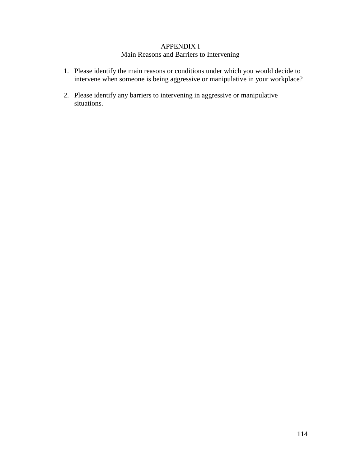### APPENDIX I

## Main Reasons and Barriers to Intervening

- 1. Please identify the main reasons or conditions under which you would decide to intervene when someone is being aggressive or manipulative in your workplace?
- 2. Please identify any barriers to intervening in aggressive or manipulative situations.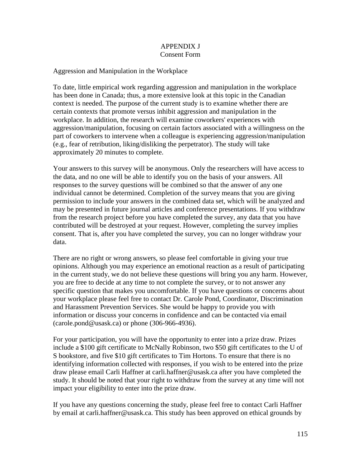### APPENDIX J Consent Form

### Aggression and Manipulation in the Workplace

To date, little empirical work regarding aggression and manipulation in the workplace has been done in Canada; thus, a more extensive look at this topic in the Canadian context is needed. The purpose of the current study is to examine whether there are certain contexts that promote versus inhibit aggression and manipulation in the workplace. In addition, the research will examine coworkers' experiences with aggression/manipulation, focusing on certain factors associated with a willingness on the part of coworkers to intervene when a colleague is experiencing aggression/manipulation (e.g., fear of retribution, liking/disliking the perpetrator). The study will take approximately 20 minutes to complete.

Your answers to this survey will be anonymous. Only the researchers will have access to the data, and no one will be able to identify you on the basis of your answers. All responses to the survey questions will be combined so that the answer of any one individual cannot be determined. Completion of the survey means that you are giving permission to include your answers in the combined data set, which will be analyzed and may be presented in future journal articles and conference presentations. If you withdraw from the research project before you have completed the survey, any data that you have contributed will be destroyed at your request. However, completing the survey implies consent. That is, after you have completed the survey, you can no longer withdraw your data.

There are no right or wrong answers, so please feel comfortable in giving your true opinions. Although you may experience an emotional reaction as a result of participating in the current study, we do not believe these questions will bring you any harm. However, you are free to decide at any time to not complete the survey, or to not answer any specific question that makes you uncomfortable. If you have questions or concerns about your workplace please feel free to contact Dr. Carole Pond, Coordinator, Discrimination and Harassment Prevention Services. She would be happy to provide you with information or discuss your concerns in confidence and can be contacted via email (carole.pond@usask.ca) or phone (306-966-4936).

For your participation, you will have the opportunity to enter into a prize draw. Prizes include a \$100 gift certificate to McNally Robinson, two \$50 gift certificates to the U of S bookstore, and five \$10 gift certificates to Tim Hortons. To ensure that there is no identifying information collected with responses, if you wish to be entered into the prize draw please email Carli Haffner at carli.haffner@usask.ca after you have completed the study. It should be noted that your right to withdraw from the survey at any time will not impact your eligibility to enter into the prize draw.

If you have any questions concerning the study, please feel free to contact Carli Haffner by email at carli.haffner@usask.ca. This study has been approved on ethical grounds by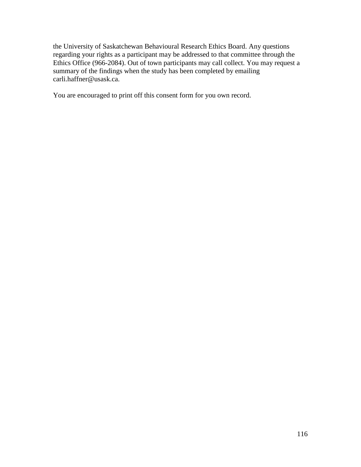the University of Saskatchewan Behavioural Research Ethics Board. Any questions regarding your rights as a participant may be addressed to that committee through the Ethics Office (966-2084). Out of town participants may call collect. You may request a summary of the findings when the study has been completed by emailing carli.haffner@usask.ca.

You are encouraged to print off this consent form for you own record.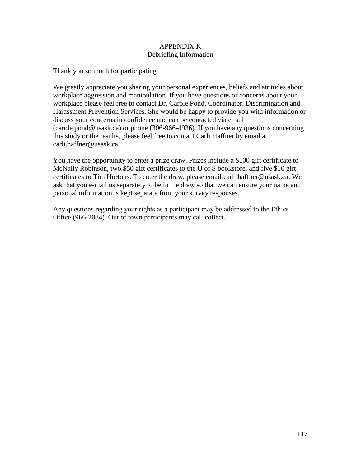### APPENDIX K Debriefing Information

Thank you so much for participating.

We greatly appreciate you sharing your personal experiences, beliefs and attitudes about workplace aggression and manipulation. If you have questions or concerns about your workplace please feel free to contact Dr. Carole Pond, Coordinator, Discrimination and Harassment Prevention Services. She would be happy to provide you with information or discuss your concerns in confidence and can be contacted via email (carole.pond@usask.ca) or phone (306-966-4936). If you have any questions concerning this study or the results, please feel free to contact Carli Haffner by email at carli.haffner@usask.ca.

You have the opportunity to enter a prize draw. Prizes include a \$100 gift certificate to McNally Robinson, two \$50 gift certificates to the U of S bookstore, and five \$10 gift certificates to Tim Hortons. To enter the draw, please email carli.haffner@usask.ca. We ask that you e-mail us separately to be in the draw so that we can ensure your name and personal information is kept separate from your survey responses.

Any questions regarding your rights as a participant may be addressed to the Ethics Office (966-2084). Out of town participants may call collect.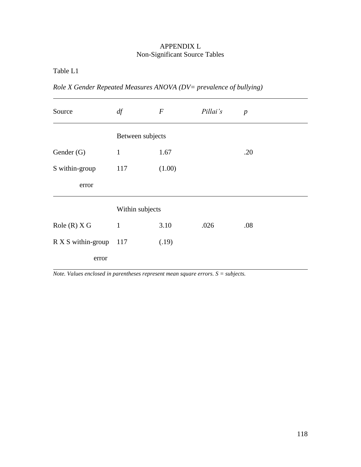# APPENDIX L Non-Significant Source Tables

Table L1

*Role X Gender Repeated Measures ANOVA (DV= prevalence of bullying)*

| Source             | df               | $\boldsymbol{F}$ | Pillai's | $\boldsymbol{p}$ |  |
|--------------------|------------------|------------------|----------|------------------|--|
|                    | Between subjects |                  |          |                  |  |
| Gender (G)         | $\mathbf{1}$     | 1.67             |          | .20              |  |
| S within-group     | 117              | (1.00)           |          |                  |  |
| error              |                  |                  |          |                  |  |
|                    | Within subjects  |                  |          |                  |  |
| Role(R) X G        | $\mathbf{1}$     | 3.10             | .026     | .08              |  |
| R X S within-group | 117              | (.19)            |          |                  |  |
| error              |                  |                  |          |                  |  |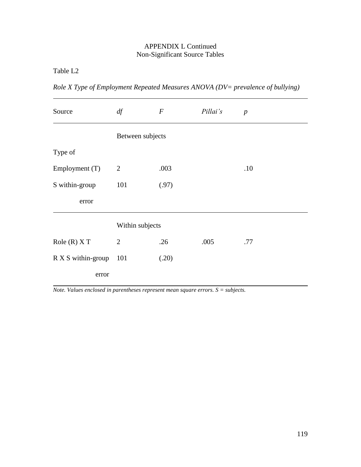Table L2

| Role X Type of Employment Repeated Measures ANOVA (DV= prevalence of bullying) |  |  |  |
|--------------------------------------------------------------------------------|--|--|--|
|                                                                                |  |  |  |

| Source             | df               | $\boldsymbol{F}$ | Pillai's | $\boldsymbol{p}$ |
|--------------------|------------------|------------------|----------|------------------|
|                    | Between subjects |                  |          |                  |
| Type of            |                  |                  |          |                  |
| Employment (T)     | $\overline{2}$   | .003             |          | .10              |
| S within-group     | 101              | (.97)            |          |                  |
| error              |                  |                  |          |                  |
|                    | Within subjects  |                  |          |                  |
| Role(R)XT          | $\overline{2}$   | .26              | .005     | .77              |
| R X S within-group | - 101            | (.20)            |          |                  |
| error              |                  |                  |          |                  |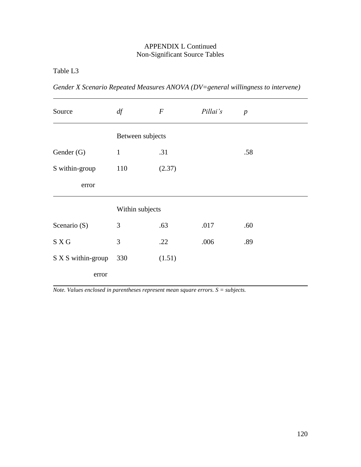Table L3

| Source             | df               | $\boldsymbol{F}$ | Pillai's | $\boldsymbol{p}$ |  |
|--------------------|------------------|------------------|----------|------------------|--|
|                    | Between subjects |                  |          |                  |  |
| Gender (G)         | $\mathbf{1}$     | .31              |          | .58              |  |
| S within-group     | 110              | (2.37)           |          |                  |  |
| error              |                  |                  |          |                  |  |
|                    | Within subjects  |                  |          |                  |  |
| Scenario (S)       | 3                | .63              | .017     | .60              |  |
| S X G              | 3                | .22              | .006     | .89              |  |
| S X S within-group | 330              | (1.51)           |          |                  |  |
| error              |                  |                  |          |                  |  |

*Gender X Scenario Repeated Measures ANOVA (DV=general willingness to intervene)*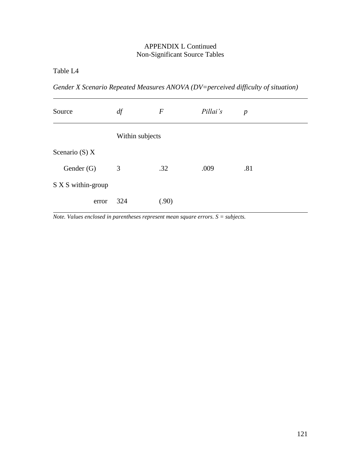Table L4

*Gender X Scenario Repeated Measures ANOVA (DV=perceived difficulty of situation)*

| Source             | df              | $\boldsymbol{F}$ | Pillai's | $\boldsymbol{p}$ |
|--------------------|-----------------|------------------|----------|------------------|
|                    | Within subjects |                  |          |                  |
| Scenario (S) $X$   |                 |                  |          |                  |
| Gender (G)         | 3               | .32              | .009     | .81              |
| S X S within-group |                 |                  |          |                  |
| error              | 324             | (.90)            |          |                  |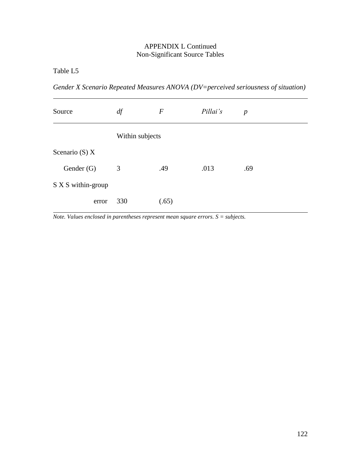Table L5

*Gender X Scenario Repeated Measures ANOVA (DV=perceived seriousness of situation)*

| Source             | df              | $\boldsymbol{F}$ | Pillai's | $\boldsymbol{p}$ |
|--------------------|-----------------|------------------|----------|------------------|
|                    | Within subjects |                  |          |                  |
| Scenario (S) $X$   |                 |                  |          |                  |
| Gender (G)         | 3               | .49              | .013     | .69              |
| S X S within-group |                 |                  |          |                  |
| error              | 330             | (.65)            |          |                  |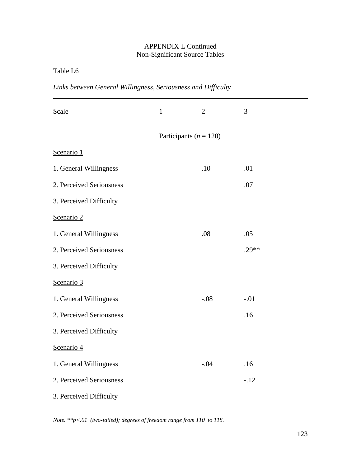Table L6

|  |  | Links between General Willingness, Seriousness and Difficulty |
|--|--|---------------------------------------------------------------|
|  |  |                                                               |

| Scale                    | $\mathbf{1}$               | $\overline{2}$ | 3       |
|--------------------------|----------------------------|----------------|---------|
|                          | Participants ( $n = 120$ ) |                |         |
| Scenario 1               |                            |                |         |
| 1. General Willingness   |                            | .10            | .01     |
| 2. Perceived Seriousness |                            |                | .07     |
| 3. Perceived Difficulty  |                            |                |         |
| Scenario 2               |                            |                |         |
| 1. General Willingness   |                            | .08            | .05     |
| 2. Perceived Seriousness |                            |                | $.29**$ |
| 3. Perceived Difficulty  |                            |                |         |
| Scenario 3               |                            |                |         |
| 1. General Willingness   |                            | $-.08$         | $-.01$  |
| 2. Perceived Seriousness |                            |                | .16     |
| 3. Perceived Difficulty  |                            |                |         |
| Scenario 4               |                            |                |         |
| 1. General Willingness   |                            | $-.04$         | .16     |
| 2. Perceived Seriousness |                            |                | $-.12$  |
| 3. Perceived Difficulty  |                            |                |         |

*Note. \*\*p<.01 (two-tailed); degrees of freedom range from 110 to 118.*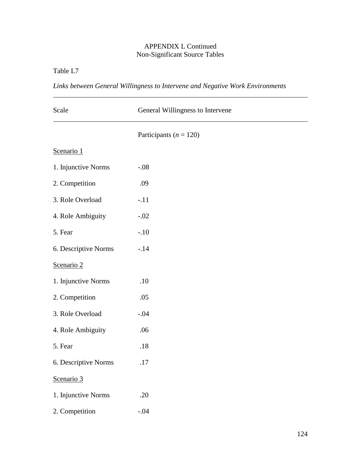Table L7

*Links between General Willingness to Intervene and Negative Work Environments*

| Scale                | General Willingness to Intervene |  |  |  |
|----------------------|----------------------------------|--|--|--|
|                      | Participants ( $n = 120$ )       |  |  |  |
| Scenario 1           |                                  |  |  |  |
| 1. Injunctive Norms  | $-.08$                           |  |  |  |
| 2. Competition       | .09                              |  |  |  |
| 3. Role Overload     | $-.11$                           |  |  |  |
| 4. Role Ambiguity    | $-.02$                           |  |  |  |
| 5. Fear              | $-.10$                           |  |  |  |
| 6. Descriptive Norms | $-.14$                           |  |  |  |
| Scenario 2           |                                  |  |  |  |
| 1. Injunctive Norms  | .10                              |  |  |  |
| 2. Competition       | .05                              |  |  |  |
| 3. Role Overload     | $-.04$                           |  |  |  |
| 4. Role Ambiguity    | .06                              |  |  |  |
| 5. Fear              | .18                              |  |  |  |
| 6. Descriptive Norms | .17                              |  |  |  |
| Scenario 3           |                                  |  |  |  |
| 1. Injunctive Norms  | .20                              |  |  |  |
| 2. Competition       | $-.04$                           |  |  |  |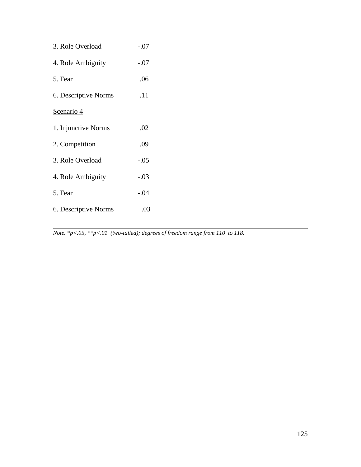| 3. Role Overload     | $-.07$ |
|----------------------|--------|
| 4. Role Ambiguity    | $-.07$ |
| 5. Fear              | .06    |
| 6. Descriptive Norms | .11    |
| Scenario 4           |        |
| 1. Injunctive Norms  | .02    |
| 2. Competition       | .09    |
| 3. Role Overload     | $-.05$ |
| 4. Role Ambiguity    | $-.03$ |
| 5. Fear              | $-.04$ |
| 6. Descriptive Norms | .03    |

*Note. \*p<.05, \*\*p<.01 (two-tailed); degrees of freedom range from 110 to 118.*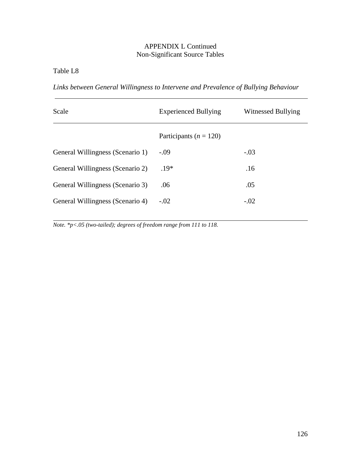Table L8

*Links between General Willingness to Intervene and Prevalence of Bullying Behaviour*

| Scale                            | <b>Experienced Bullying</b> | Witnessed Bullying |  |
|----------------------------------|-----------------------------|--------------------|--|
|                                  | Participants ( $n = 120$ )  |                    |  |
| General Willingness (Scenario 1) | $-.09$                      | $-.03$             |  |
| General Willingness (Scenario 2) | $.19*$                      | .16                |  |
| General Willingness (Scenario 3) | .06                         | .05                |  |
| General Willingness (Scenario 4) | $-.02$                      | $-.02$             |  |

*Note. \*p<.05 (two-tailed); degrees of freedom range from 111 to 118.*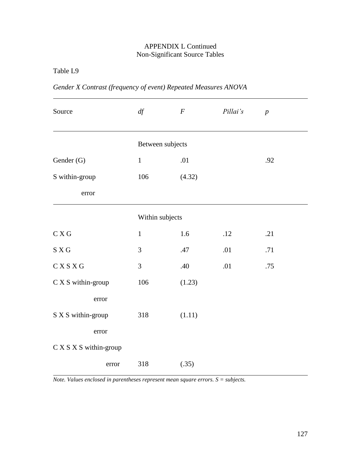Table L9

| Source                 | df               | $\cal F$ | Pillai's | $\boldsymbol{p}$ |  |
|------------------------|------------------|----------|----------|------------------|--|
|                        | Between subjects |          |          |                  |  |
| Gender (G)             | $\mathbf{1}$     | .01      |          | .92              |  |
| S within-group         | 106              | (4.32)   |          |                  |  |
| error                  |                  |          |          |                  |  |
|                        | Within subjects  |          |          |                  |  |
| C X G                  | $\mathbf{1}$     | 1.6      | .12      | .21              |  |
| S X G                  | 3                | .47      | .01      | .71              |  |
| CXSXG                  | 3                | .40      | .01      | .75              |  |
| C X S within-group     | 106              | (1.23)   |          |                  |  |
| error                  |                  |          |          |                  |  |
| S X S within-group     | 318              | (1.11)   |          |                  |  |
| error                  |                  |          |          |                  |  |
| C X S X S within-group |                  |          |          |                  |  |
| error                  | 318              | (.35)    |          |                  |  |

*Gender X Contrast (frequency of event) Repeated Measures ANOVA*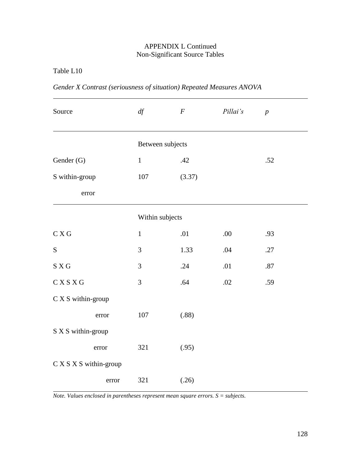Table L10

| Source                 | df               | $\cal F$ | Pillai's | $\boldsymbol{p}$ |  |
|------------------------|------------------|----------|----------|------------------|--|
|                        | Between subjects |          |          |                  |  |
| Gender (G)             | $\mathbf 1$      | .42      |          | .52              |  |
| S within-group         | 107              | (3.37)   |          |                  |  |
| error                  |                  |          |          |                  |  |
|                        | Within subjects  |          |          |                  |  |
| C X G                  | $\mathbf{1}$     | .01      | .00      | .93              |  |
| ${\bf S}$              | 3                | 1.33     | .04      | .27              |  |
| S X G                  | 3                | .24      | .01      | .87              |  |
| CXSXG                  | 3                | .64      | .02      | .59              |  |
| C X S within-group     |                  |          |          |                  |  |
| error                  | 107              | (.88)    |          |                  |  |
| S X S within-group     |                  |          |          |                  |  |
| error                  | 321              | (.95)    |          |                  |  |
| C X S X S within-group |                  |          |          |                  |  |
| error                  | 321              | (.26)    |          |                  |  |

*Gender X Contrast (seriousness of situation) Repeated Measures ANOVA*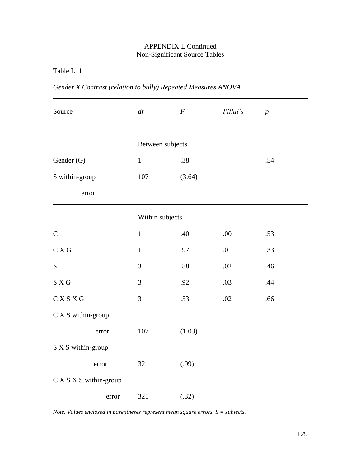Table L11

| Source                 | df               | $\boldsymbol{F}$ | Pillai's | $\overline{p}$ |  |  |
|------------------------|------------------|------------------|----------|----------------|--|--|
|                        | Between subjects |                  |          |                |  |  |
| Gender (G)             | $1\,$            | .38              |          | .54            |  |  |
| S within-group         | 107              | (3.64)           |          |                |  |  |
| error                  |                  |                  |          |                |  |  |
|                        | Within subjects  |                  |          |                |  |  |
| $\mathcal{C}$          | $\mathbf{1}$     | .40              | .00.     | .53            |  |  |
| C X G                  | $\mathbf{1}$     | .97              | .01      | .33            |  |  |
| S                      | 3                | $.88\,$          | .02      | .46            |  |  |
| S X G                  | 3                | .92              | .03      | .44            |  |  |
| C X S X G              | 3                | .53              | .02      | .66            |  |  |
| C X S within-group     |                  |                  |          |                |  |  |
| error                  | 107              | (1.03)           |          |                |  |  |
| S X S within-group     |                  |                  |          |                |  |  |
| error                  | 321              | (.99)            |          |                |  |  |
| C X S X S within-group |                  |                  |          |                |  |  |
| error                  | 321              | (.32)            |          |                |  |  |

*Gender X Contrast (relation to bully) Repeated Measures ANOVA*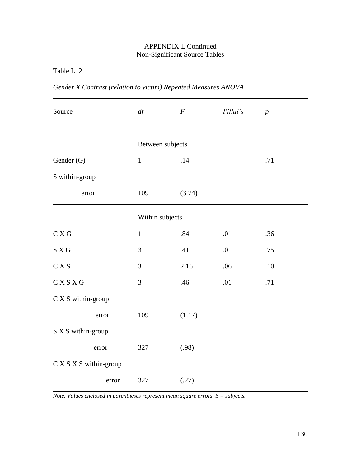Table L12

| Source                 | df               | $\boldsymbol{F}$ | Pillai's | $\boldsymbol{p}$ |  |  |  |
|------------------------|------------------|------------------|----------|------------------|--|--|--|
|                        | Between subjects |                  |          |                  |  |  |  |
| Gender (G)             | $1\,$            | .14              |          | .71              |  |  |  |
| S within-group         |                  |                  |          |                  |  |  |  |
| error                  | 109              | (3.74)           |          |                  |  |  |  |
|                        |                  | Within subjects  |          |                  |  |  |  |
| C X G                  | $\mathbf{1}$     | .84              | .01      | .36              |  |  |  |
| S X G                  | 3                | .41              | .01      | .75              |  |  |  |
| C X S                  | 3                | 2.16             | .06      | $.10\,$          |  |  |  |
| CXSXG                  | 3                | .46              | .01      | .71              |  |  |  |
| $C X S$ within-group   |                  |                  |          |                  |  |  |  |
| error                  | 109              | (1.17)           |          |                  |  |  |  |
| S X S within-group     |                  |                  |          |                  |  |  |  |
| error                  | 327              | (.98)            |          |                  |  |  |  |
| C X S X S within-group |                  |                  |          |                  |  |  |  |
| error                  | 327              | (.27)            |          |                  |  |  |  |

*Gender X Contrast (relation to victim) Repeated Measures ANOVA*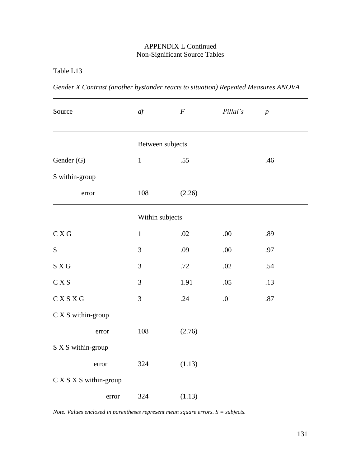Table L13

| Source                                 | df             | $\boldsymbol{F}$ | Pillai's | $\boldsymbol{p}$ |  |  |  |
|----------------------------------------|----------------|------------------|----------|------------------|--|--|--|
|                                        |                | Between subjects |          |                  |  |  |  |
| Gender (G)                             | $\mathbf{1}$   | .55              |          | .46              |  |  |  |
| S within-group                         |                |                  |          |                  |  |  |  |
| error                                  | 108            | (2.26)           |          |                  |  |  |  |
|                                        |                | Within subjects  |          |                  |  |  |  |
| C X G                                  | $\mathbf{1}$   | .02              | .00      | .89              |  |  |  |
| ${\bf S}$                              | 3              | .09              | .00      | .97              |  |  |  |
| $\mathbf S$ X G                        | 3              | .72              | .02      | .54              |  |  |  |
| $\mathrm{C}\, \mathrm{X}\, \mathrm{S}$ | $\mathfrak{Z}$ | 1.91             | .05      | .13              |  |  |  |
| C X S X G                              | 3              | .24              | .01      | .87              |  |  |  |
| C X S within-group                     |                |                  |          |                  |  |  |  |
| error                                  | 108            | (2.76)           |          |                  |  |  |  |
| S X S within-group                     |                |                  |          |                  |  |  |  |
| error                                  | 324            | (1.13)           |          |                  |  |  |  |
| C X S X S within-group                 |                |                  |          |                  |  |  |  |
| error                                  | 324            | (1.13)           |          |                  |  |  |  |

*Gender X Contrast (another bystander reacts to situation) Repeated Measures ANOVA*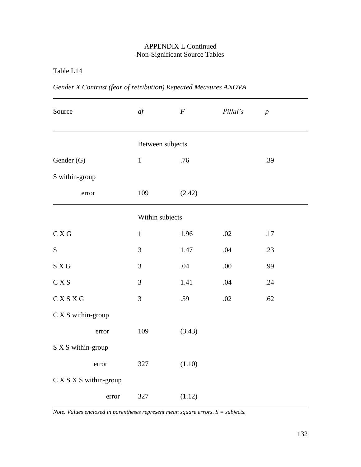Table L14

| Gender X Contrast (fear of retribution) Repeated Measures ANOVA |  |
|-----------------------------------------------------------------|--|
|-----------------------------------------------------------------|--|

| Source                                 | df           | $\boldsymbol{F}$ | Pillai's | $\boldsymbol{p}$ |  |  |  |
|----------------------------------------|--------------|------------------|----------|------------------|--|--|--|
|                                        |              | Between subjects |          |                  |  |  |  |
| Gender (G)                             | $\mathbf{1}$ | .76              |          | .39              |  |  |  |
| S within-group                         |              |                  |          |                  |  |  |  |
| error                                  | 109          | (2.42)           |          |                  |  |  |  |
|                                        |              | Within subjects  |          |                  |  |  |  |
| C X G                                  | $\mathbf{1}$ | 1.96             | .02      | .17              |  |  |  |
| ${\bf S}$                              | 3            | 1.47             | .04      | .23              |  |  |  |
| $\mathbf S$ X G                        | 3            | .04              | .00.     | .99              |  |  |  |
| $\mathrm{C}\, \mathrm{X}\, \mathrm{S}$ | 3            | 1.41             | .04      | .24              |  |  |  |
| C X S X G                              | 3            | .59              | .02      | .62              |  |  |  |
| C X S within-group                     |              |                  |          |                  |  |  |  |
| error                                  | 109          | (3.43)           |          |                  |  |  |  |
| S X S within-group                     |              |                  |          |                  |  |  |  |
| error                                  | 327          | (1.10)           |          |                  |  |  |  |
| C X S X S within-group                 |              |                  |          |                  |  |  |  |
| error                                  | 327          | (1.12)           |          |                  |  |  |  |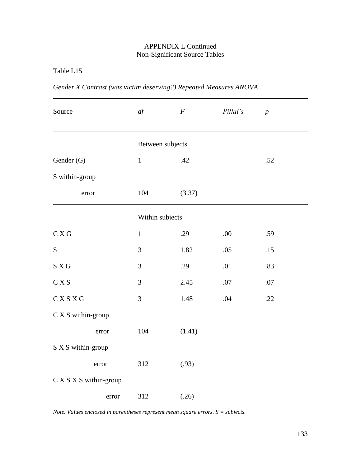Table L15

| Source                 | df               | $\boldsymbol{F}$ | Pillai's | $\boldsymbol{p}$ |  |
|------------------------|------------------|------------------|----------|------------------|--|
|                        | Between subjects |                  |          |                  |  |
| Gender (G)             | $\mathbf 1$      | .42              |          | .52              |  |
| S within-group         |                  |                  |          |                  |  |
| error                  | 104              | (3.37)           |          |                  |  |
|                        | Within subjects  |                  |          |                  |  |
| C X G                  | $\mathbf{1}$     | .29              | .00      | .59              |  |
| ${\mathbf S}$          | 3                | 1.82             | .05      | $.15$            |  |
| S X G                  | 3                | .29              | .01      | .83              |  |
| C X S                  | $\mathfrak{Z}$   | 2.45             | .07      | .07              |  |
| CXSXG                  | 3                | 1.48             | .04      | .22              |  |
| C X S within-group     |                  |                  |          |                  |  |
| error                  | 104              | (1.41)           |          |                  |  |
| S X S within-group     |                  |                  |          |                  |  |
| error                  | 312              | (.93)            |          |                  |  |
| C X S X S within-group |                  |                  |          |                  |  |
| error                  | 312              | (.26)            |          |                  |  |

*Gender X Contrast (was victim deserving?) Repeated Measures ANOVA*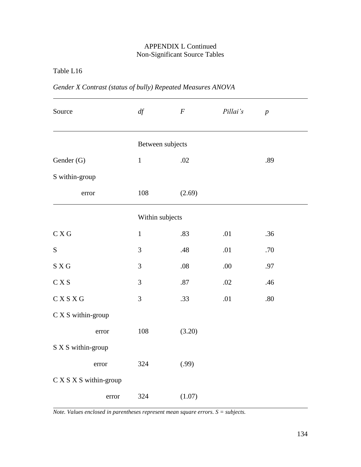Table L16

|  | Gender X Contrast (status of bully) Repeated Measures ANOVA |  |
|--|-------------------------------------------------------------|--|
|  |                                                             |  |

| Source                 |       | df               | $\boldsymbol{F}$ | Pillai's | $\overline{p}$ |  |  |
|------------------------|-------|------------------|------------------|----------|----------------|--|--|
|                        |       | Between subjects |                  |          |                |  |  |
| Gender (G)             |       | $\mathbf{1}$     | .02              |          | .89            |  |  |
| S within-group         |       |                  |                  |          |                |  |  |
| error                  |       | 108              | (2.69)           |          |                |  |  |
|                        |       | Within subjects  |                  |          |                |  |  |
| C X G                  |       | $\mathbf{1}$     | .83              | .01      | .36            |  |  |
| ${\bf S}$              |       | 3                | .48              | .01      | .70            |  |  |
| S X G                  |       | 3                | $.08$            | .00.     | .97            |  |  |
| C X S                  |       | 3                | .87              | .02      | .46            |  |  |
| CXSXG                  |       | 3                | .33              | .01      | $.80\,$        |  |  |
| C X S within-group     |       |                  |                  |          |                |  |  |
|                        | error | 108              | (3.20)           |          |                |  |  |
| S X S within-group     |       |                  |                  |          |                |  |  |
|                        | error | 324              | (.99)            |          |                |  |  |
| C X S X S within-group |       |                  |                  |          |                |  |  |
|                        | error | 324              | (1.07)           |          |                |  |  |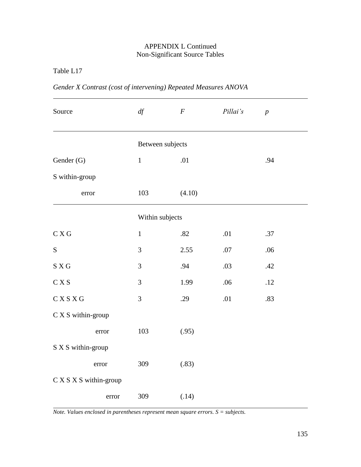Table L17

|  |  | Gender X Contrast (cost of intervening) Repeated Measures ANOVA |  |  |
|--|--|-----------------------------------------------------------------|--|--|
|  |  |                                                                 |  |  |

| Source                                            |       | df               | $\boldsymbol{F}$ | Pillai's | $\overline{p}$ |  |  |
|---------------------------------------------------|-------|------------------|------------------|----------|----------------|--|--|
|                                                   |       | Between subjects |                  |          |                |  |  |
| Gender (G)                                        |       | $\mathbf{1}$     | .01              |          | .94            |  |  |
| S within-group                                    |       |                  |                  |          |                |  |  |
| error                                             |       | 103              | (4.10)           |          |                |  |  |
|                                                   |       | Within subjects  |                  |          |                |  |  |
| C X G                                             |       | $\mathbf{1}$     | .82              | .01      | .37            |  |  |
| ${\bf S}$                                         |       | 3                | 2.55             | $.07$    | .06            |  |  |
| S X G                                             |       | 3                | .94              | .03      | .42            |  |  |
| C X S                                             |       | 3                | 1.99             | .06      | .12            |  |  |
| CXSXG                                             |       | 3                | .29              | .01      | .83            |  |  |
| $\mathrm{C}\ \mathrm{X}\ \mathrm{S}$ within-group |       |                  |                  |          |                |  |  |
|                                                   | error | 103              | (.95)            |          |                |  |  |
| S X S within-group                                |       |                  |                  |          |                |  |  |
|                                                   | error | 309              | (.83)            |          |                |  |  |
| C X S X S within-group                            |       |                  |                  |          |                |  |  |
|                                                   | error | 309              | (.14)            |          |                |  |  |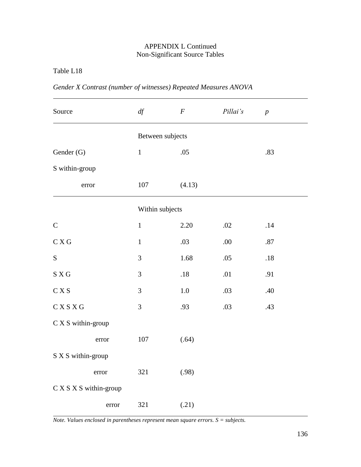## APPENDIX L Continued Non-Significant Source Tables

Table L18

| Source                      | $d\!f$           | $\boldsymbol{F}$ | Pillai's | $\boldsymbol{p}$ |  |
|-----------------------------|------------------|------------------|----------|------------------|--|
|                             | Between subjects |                  |          |                  |  |
| Gender (G)                  | $\mathbf{1}$     | .05              |          | .83              |  |
| S within-group              |                  |                  |          |                  |  |
| error                       | 107              | (4.13)           |          |                  |  |
|                             |                  | Within subjects  |          |                  |  |
| $\mathbf C$                 | $\mathbf{1}$     | 2.20             | .02      | .14              |  |
| $\mathrm{C}\,X\,\mathrm{G}$ | $\mathbf{1}$     | .03              | .00      | .87              |  |
| ${\bf S}$                   | 3                | 1.68             | .05      | $.18\,$          |  |
| S X G                       | 3                | .18              | .01      | .91              |  |
| C X S                       | $\mathfrak{Z}$   | 1.0              | .03      | .40              |  |
| $\mathbf C$ X S X G         | $\mathfrak{Z}$   | .93              | .03      | .43              |  |
| C X S within-group          |                  |                  |          |                  |  |
| error                       | $107\,$          | (.64)            |          |                  |  |
| S X S within-group          |                  |                  |          |                  |  |
| error                       | 321              | (.98)            |          |                  |  |
| C X S X S within-group      |                  |                  |          |                  |  |
| error                       | 321              | (.21)            |          |                  |  |

*Gender X Contrast (number of witnesses) Repeated Measures ANOVA* 

*Note. Values enclosed in parentheses represent mean square errors. S = subjects.*